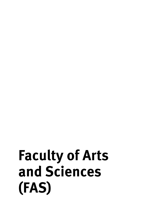# **Faculty of Arts and Sciences (FAS)**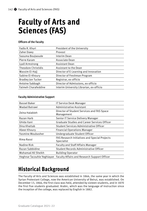## **Faculty of Arts and Sciences (FAS)**

### **Officers of the Faculty**

| Fadlo R. Khuri            | President of the University              |
|---------------------------|------------------------------------------|
| Zaher Dawy                | Provost                                  |
| Saouma Boulaoude          | Interim Dean                             |
| Pierre Karam              | Associate Dean                           |
| Lyall Armstrong           | Assistant Dean                           |
| Theodore Christidis       | Assistant to the Dean                    |
| Wassim El-Haji            | Director of E-Learning and Innovation    |
| Sabine El-Khoury          | Director of Freshman Program             |
| <b>Bradley Jon Tucker</b> | Registrar, ex-officio                    |
| Antoine Sabbagh           | Director of Admissions, ex-officio       |
| Fatmeh Charafeddine       | Interim University Librarian, ex-officio |

### **Faculty Administrative Support**

| <b>Bassel Baker</b>        | IT Service Desk Manager                                            |
|----------------------------|--------------------------------------------------------------------|
| Wadad Batrawi              | Administrative Assistant                                           |
| Zeina Halabieh             | Director of Student Services and FAS Space<br>Management           |
| Razan Harb                 | Senior IT Service Delivery Manager                                 |
| Ghida Itani                | <b>Graduate Studies and Career Services Officer</b>                |
| Dina Khattab               | Student Services Administrative Officer                            |
| Abeer Khoury               | <b>Financial Operations Manager</b>                                |
| Yasmine Moubasher          | Undergraduate Student Officer                                      |
| Rima Rassi                 | <b>FAS Research Initiatives and Special Projects</b><br>Specialist |
| Nadine Rizk                | <b>Faculty and Staff Affairs Manager</b>                           |
| Razan Sabbidine            | Student Records Administrative Officer                             |
| Mohamad Ali Sheikh         | <b>Building Operator</b>                                           |
| Heghnar Tacouhie Yeghiayan | <b>Faculty Affairs and Research Support Officer</b>                |
|                            |                                                                    |

## **Historical Background**

The Faculty of Arts and Sciences was established in 1866, the same year in which the Syrian Protestant College, now the American University of Beirut, was established. On December 13, 1866, the first class was held, attended by sixteen students, and in 1870 the first five students graduated. Arabic, which was the language of instruction since the inception of the college, was replaced by English in 1882.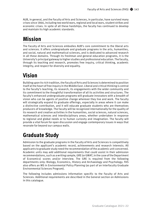AUB, in general, and the Faculty of Arts and Sciences, in particular, have survived many crises since 1866, including two world wars, regional and local wars, student strikes and economic crises. In spite of all these hardships, the faculty has continued to develop and maintain its high academic standards.

## **Mission**

The Faculty of Arts and Sciences embodies AUB's core commitment to the liberal arts and sciences. It offers undergraduate and graduate programs in the arts, humanities, and social, natural and mathematical sciences, and is dedicated to advanced research in all these domains. Through its freshman and general education programs, it is the University's principal gateway to higher studies and professional education. The faculty, through its teaching and research, promotes free inquiry, critical thinking, academic integrity, and respect for diversity and equality.

## **Vision**

Building upon its rich tradition, the Faculty of Arts and Sciences is determined to position itself at the heart of free inquiry in the Middle East. Liberal and critical thinking is central to the faculty's teaching, its research, its engagements with the wider community and its commitment to the thoughtful transformation of all its activities and structures. The faculty's enhanced undergraduate programs will graduate innovators with a breadth of vision who can be agents of positive change wherever they live and work. The faculty will strategically expand its graduate offerings, especially in areas where it can make a distinctive contribution, and it will educate graduate students who are themselves producers of knowledge. The faculty will be recognized internationally for the quality of its research and creative activities in the humanities, social sciences, natural sciences, mathematical sciences and interdisciplinary areas, whether undertaken in response to regional and global needs or to human curiosity and imagination. The faculty will provide a vital forum for open discussion and engage contemporary issues in ways that resonate far beyond our campus walls.

## **Graduate Study**

Admission to the graduate programs in the Faculty of Arts and Sciences is competitively based on the applicant's academic record, achievements and research interests. All applicants to graduate study need the recommendation of the academic unit concerned. Academic units may add additional requirements that could assist in their admission recommendations, such as a writing sample, GRE (or GMAT, in the case of the Department of Economics) scores and/or interview. The GRE is required from the following departments only: Biology, Economics, History and Archaeology and Psychology. FAS also offers an MS in Environmental Policy Planning (as part of an Interfaculty Graduate Environmental Sciences Program).

The following includes admissions information specific to the Faculty of Arts and Sciences. Additional requirements are described in the General section on Admissions in this catalogue.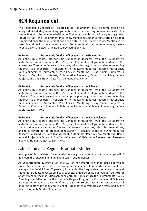## **RCR Requirement**

The Responsible Conduct of Research (RCR) Requirement must be completed by all newly admitted degree-seeking graduate students. The requirement consists of a course that must be completed within the first month and is marked by a passing grade. Failure to fulfill this requirement in a timely manner results in a registration hold that is removed once the requirement has been fulfilled. The specific course/section to be taken is assigned by the student advisor. For more details on the requirement, please refer to page 52. Below is the RCR course listing of FAS.

**RCRA 300 Responsible Conduct of Research in the Humanities 0 cr.** An online RCR course (Responsible Conduct of Research) from the Collaborative Institutional Training Initiative (CITI Program). Required of all graduate students in the humanities. The course "covers core norms, principles, regulations, and rules governing the practice of research." It consists of the following modules: Research Misconduct, Data Management, Authorship, Peer Review, Mentoring, Using Animal Subjects in Research, Conflicts of Interest, Collaborative Research, Research Involving Human Subjects and Case Study - Data Management. *Every term.*

**RCRA 301 Responsible Conduct of Research in the Sciences 0 cr.** An online RCR course (Responsible Conduct of Research) from the Collaborative Institutional Training Initiative (CITI Program). Required of all graduate students in the sciences. The course "covers core norms, principles, regulations, and rules governing the practice of research." It consists of the following modules: Research Misconduct, Data Management, Authorship, Peer Review, Mentoring, Using Animal Subjects in Research, Conflicts of Interest, Collaborative Research and Research Involving Human Subjects. *Every term.*

**RCRA 302 Responsible Conduct of Research in the Social Sciences 0 cr.** An online RCR course (Responsible Conduct of Research) from the Collaborative Institutional Training Initiative (CITI Program). Required of all graduate students in the social and behavioral sciences. The course "covers core norms, principles, regulations, and rules governing the practice of research." It consists of the following modules: Research Misconduct, Data Management, Authorship, Peer Review, Mentoring, Using Animal Subjects in Research, Conflicts of Interest, Collaborative Research and Research Involving Human Subjects. *Every term.*

### Admission as a Regular Graduate Student

An applicant is considered for admission as a regular student to a graduate program if s/ he meets the following minimum admission requirements:

An undergraduate average of at least 3.2 (or 80 percent) (or standardized equivalent from other institutions of higher learning) in the major field of study and a cumulative average of at least 2.7 (or 75 percent) (or standardized equivalent) for all work done at the undergraduate level leading to a bachelor's degree or its equivalent from AUB or another recognized institution of higher learning. Applicants to the Environmental Policy Planning specialization in the Master's Degree Program in Environmental Sciences are required to have an average of at least 3.2 (or 80 percent) in the last two years of undergraduate study or its equivalent at AUB or other universities as determined by the faculty Graduate Studies Committee.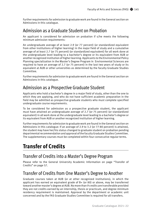Further requirements for admission to graduate work are found in the General section on Admissions in this catalogue.

### Admission as a Graduate Student on Probation

An applicant is considered for admission on probation if s/he meets the following minimum admission requirements:

An undergraduate average of at least 2.9 (or 77 percent) (or standardized equivalent from other institutions of higher learning) in the major field of study and a cumulative average of at least 2.7 (or 75 percent) (or standardized equivalent) for all work done at the undergraduate level leading to a bachelor's degree or its equivalent from AUB or another recognized institution of higher learning. Applicants to the Environmental Policy Planning specialization in the Master's Degree Program in Environmental Sciences are required to have an average of 2.7 (or 75 percent) in the last two years of study or its equivalent at AUB or other universities as determined by the faculty Graduate Studies Committee.

Further requirements for admission to graduate work are found in the General section on Admissions in this catalogue.

### Admission as a Prospective Graduate Student

Applicants who hold a bachelor's degree in a major field of study, other than the one to which they are applying, and who do not have sufficient academic preparation in the field may be admitted as prospective graduate students who must complete specified undergraduate course requirements.

To be considered for admission as a prospective graduate student, the applicant must have attained an undergraduate average of 2.7 (or 75 percent) (or standardized equivalent) in all work done at the undergraduate level leading to a bachelor's degree or its equivalent from AUB or another recognized institution of higher learning.

Further requirements for admission to graduate work are found in the General section on Admissions in this catalogue: If an average of 2.9 to 3.2 (or 77-80 percent) is attained, the student may have her/his status changed to graduate student on probation pending departmental recommendation and approval of the faculty Graduate Studies Committee. The supplementary courses must be completed within four consecutive regular terms.

## **Transfer of Credits**

## Transfer of Credits into a Master's Degree Program

Please refer to the General University Academic Information on page "Transfer of Credits" on page 57.

## Transfer of Credits from One Master's Degree to Another

Graduate courses taken at AUB (or at other recognized institutions), in which the applicant has earned an equivalent grade of B+ (or 80) or above, may be transferred toward another master's degree at AUB. No more than 9 credits are transferable provided they are not credits earned by an internship, thesis or practicum, and degree minimum residency requirement is maintained. Approval by the department or academic unit concerned and by the FAS Graduate Studies Committee is required for all transfers.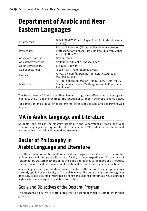## **Department of Arabic and Near Eastern Languages**

| Chairperson:                 | Orfali, Bilal W. (Sheikh Zayed Chair for Arabic & Islamic<br>Studies)                                                                                             |
|------------------------------|-------------------------------------------------------------------------------------------------------------------------------------------------------------------|
| Professors:                  | Baalbaki, Ramzi M. (Margaret Weyerhaeuser Jewett<br>Professor of Arabic); Al-Batal, Mahmoud; Jarrar, Maher<br>Z.; Orfali, Bilal W.                                |
| Associate Professor:         | Halabi, Zeina G.                                                                                                                                                  |
| <b>Assistant Professors:</b> | AbdelMegeed, Maha; Khansa, Enass                                                                                                                                  |
| Adjunct Professor:           | El Saved, Radwan                                                                                                                                                  |
| Senior Lecturers:            | PBazzi, Tarif; PFakhreddine, Jawdat                                                                                                                               |
| Lecturers:                   | Atiyyah, Najah; <sup>P</sup> El Daif, Rachid; Korangy, Alireza;<br>Moukaled, Sina                                                                                 |
| Instructors:                 | <sup>P</sup> El Hajj, Sandra; <sup>P</sup> El Mallah, Jihad; <sup>P</sup> Harb, Reem; Malti,<br>Samir; Semaan, Rima; PSultany, Kanawaty Rima; Zein,<br>Raghida M. |

The Department of Arabic and Near Eastern Languages offers graduate programs leading to the MA and PhD degrees. The requirements for both degrees are listed below.

For admission and graduation requirements, refer to the faculty and department web pages.1

## **MA in Arabic Language and Literature**

Students registered in the master's program in the Department of Arabic and Near Eastern Languages are required to take a minimum of 21 graduate credit hours and present a thesis based on independent research.

## **Doctor of Philosophy in Arabic Language and Literature**

The Department of Arabic and Near Eastern Languages is steeped in the Arabic philological and literary tradition. Its faculty is also experienced in the use of contemporary western methods of teaching and approaches to language and literature. For this reason, the department is well-positioned to train future leaders in the field.

Academic governance of the department complies with the practices and procedures currently applied by the Faculty of Arts and Sciences. The department seeks to augment its faculty as needed, mainly through exchange and visiting programs as well as through highly selective and rigorously defined recruitment.

## Goals and Objectives of the Doctoral Program

The program's objective is to train students to become technically competent in their p) Part time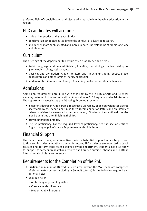preferred field of specialization and play a principal role in enhancing education in the region.

### PhD candidates will acquire:

- critical, interpretive and analytical skills,
- benchmark methodologies leading to the conduct of advanced research,
- and deeper, more sophisticated and more nuanced understanding of Arabic language and literature.

## Curriculum

The offerings of the department fall within three broadly defined fields:

- Arabic language and related fields (phonetics, morphology, syntax, history of grammar, lexicology, stylistics, etc.)
- classical and pre-modern Arabic literature and thought (including poetry, prose, belles lettres and other forms of literary expression)
- modern Arabic literature and thought (including poetry, prose, literary theory, etc.)

## Admissions

Admission requirements are in line with those set by the Faculty of Arts and Sciences and may be found in the section entitled Admission to PhD Programs under Admissions. The department necessitates the following three requirements:

- a master's degree in Arabic from a recognized university, or an equivalent considered acceptable by the department, plus three recommendation letters and an interview (when considered necessary by the department). Students of exceptional promise may be admitted after finishing their BA.
- proven unimpaired Arabic.
- English proficiency. For the required level of proficiency, see the section entitled English Language Proficiency Requirement under Admissions.

## Financial Support

The department offers, on a selective basis, substantial support which fully covers tuition and includes a monthly stipend. In return, PhD students are expected to teach courses and perform other tasks assigned by the department. Students may also apply for support to carry out research in archives and libraries outside Lebanon and to attend international scholarly conferences.

## Requirements for the Completion of the PhD

- **Credits:** A minimum of 18 credits is required beyond the MA. These are comprised of six graduate courses (including a 3-credit tutorial) in the following required and optional fields.
- Required fields:
	- Arabic language and linguistics
	- Classical Arabic literature
	- Modern Arabic literature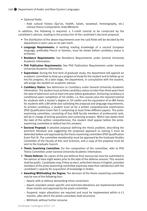- Optional fields:
	- Arab cultural history (Qur'an, Hadith, kalam, tasawwuf, heresiography, etc.) Literary theory (comparative: Arab/Western)

In addition, the following is required: a 3-credit tutorial to be conducted by the candidate's advisor, leading to the production of the candidate's doctoral proposal.

- The distribution of the above requirements over the said fields will be decided by the department in each case on its own merit.
- **Language Requirements:** A working reading knowledge of a second European language, preferably French or German, must be shown before candidacy status is achieved.
- **Residence Requirements:** See Residence Requirements under General University Academic Information.
- **PhD Publication Requirements:** See PhD Publication Requirements under General University Academic Information.
- **Supervision:** During the first term of graduate study, the department will appoint an academic committee to draw up a program of study for the student and to follow up on her/his progress. At a later stage, the department, in consultation with the student, will assign the student an academic advisor.
- **Candidacy Status:** See Admission to Candidacy under General University Academic Information. The student must achieve candidacy status no later than three years from the date of admission and at least one year before graduation. Achieving candidacy is conditional upon completion of 18 credits, i.e. five courses plus the required tutorial for students with a master's degree or 39 credits and the equivalent of an MA thesis for students with a BA while also satisfying the proposal and language requirements. To achieve candidacy, a student must sit for a written comprehensive examination (PhD Qualification Exam Part I) comprising at least three different papers. The protoexamining committee, consisting of four AUB faculty members of professorial rank, will be in charge of writing questions and correcting answers. Within two weeks from the date of the written comprehensive, the student shall appear before the protoexamining committee to defend her/his answers.
- **Doctoral Proposal:** A detailed proposal defining the thesis problem, describing the pertinent literature and suggesting the proposed approach to solving it must be defended before and approved by the thesis examining committee (PhD Qualification Exam Part II). The committee membership must be approved by the Graduate Studies Committee of the Faculty of Arts and Sciences, and a copy of the proposal must be sent to the Graduate Council.
- **Thesis Examining Committee:** For the composition of the committee, refer to PhD Thesis Committee under General University Academic Information.
- • **Thesis Defense:** Six copies of the pre-defense final manuscript must be submitted to the advisor at least eight weeks prior to the date of the defense session. This session shall be public. Candidates may, if they so elect, write their theses in English, provided members of the proto-examining committee expressly state their satisfaction with the candidate's capacity for acquisition of knowledge in Arabic.
- **Awarding/Withholding the Degree:** The decision of the thesis examining committee may be one of the following four:
	- Award: with or without demanding minor corrections
	- Award: provided certain specific and restricted alterations are implemented within three months and approved by the proto-committee
	- Suspend: major alterations are required and must be implemented within 6-12 months, after which the whole committee shall reconvene
	- Withhold: without further recourse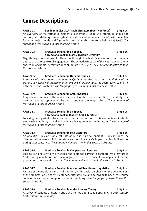## **Course Descriptions**

**ARAB 301 Seminar in Classical Arabic Literature (Poetry or Prose) 3.0; 3 cr.** An overview of the formative elements (geographic, linguistic, ethnic, religious and cultural) and defining issues (identity, nature and economic drives), with selective focus on major trends and figures in classical Arabic literature before 1258/657. *The language of instruction in this course is Arabic.*

### **ARAB 303 Graduate Seminar in an Epoch, 3.0; 3 cr. a Trend or a Book in Classical Arabic Literature**

Negotiating classical Arabic literature through the historical method, the thematic approach or direct textual engagement. The selective focuses of this course cover a wide spectrum of Arabic literary production before 1258/657. *The language of instruction in this course is Arabic.*

### **ARAB 305 Graduate Seminar in Qur'anic Studies 3.0; 3 cr.**

A survey of the different problems in *Qur'anic studies, such as compilation of the Qur'an, al-nasikh wal-mansukh, al-muhkam wal-mutashabih,* the secret letters, and the different schools of tafsir. *The language of instruction in this course is Arabic.*

### **ARAB 309 Graduate Seminar in Arabic Sources 3.0; 3 cr.**

A systematic survey of the major sources of Arabic literary and linguistic study. The different genres represented by these sources are emphasized. *The language of instruction in this course is Arabic.*

### **ARAB 311 Graduate Seminar in an Epoch, 3.0; 3 cr. a Trend or a Book in Modern Arab Literature**

Focusing on a period, a trend, a particular author or book, this course is an in-depth study using modern, critical and comparative approaches to literature. *The language of instruction in this course is Arabic.*

### **ARAB 313 Graduate Seminar in Folk Literature 3.0; 3 cr.**

An analytic study of Arabic folk literature and its development. Study includes the different influences on folk literature and folk literature's impact on Arabic literature during later centuries. *The language of instruction in this course is Arabic.*

### **ARAB 315 Graduate Seminar in Comparative Literature 3.0; 3 cr.**

This course deals with the theories and methods current in comparative literature in Arabic and global literature , encouraging research on transcultural aspects of literary production, theory and criticism. *The language of instruction in this course is Arabic.*

### **ARAB 317 Graduate Seminar in Advanced Semitics or Linguistics 3.0; 3 cr.**

A study of the Arabic grammatical tradition, with special emphasis on the development of the grammarians' analytic methods. Alternatively, and according to need, the course could offer a survey of comparative Semitic philology. *The language of instruction in this course is Arabic.*

### **ARAB 319 Graduate Seminar in Arabic Literary Theory 3.0; 3 cr.**

A survey of schools of literary criticism, genres and issues pertaining to 20th century Arabic literature. *Annually.*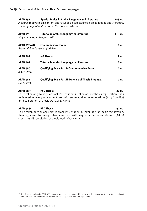| <b>ARAB 351</b>                                    | Special Topics in Arabic Language and Literature<br>A course that varies in content and focuses on selected topics in language and literature.<br>The language of instruction in this course is Arabic. | $1 - 3$ cr. |
|----------------------------------------------------|---------------------------------------------------------------------------------------------------------------------------------------------------------------------------------------------------------|-------------|
| <b>ARAB 390</b><br>May not be repeated for credit. | <b>Tutorial in Arabic Language or Literature</b>                                                                                                                                                        | 1-3 cr.     |
| ARAB 395A/B<br>Prerequisite: Consent of advisor.   | <b>Comprehensive Exam</b>                                                                                                                                                                               | 0 cr.       |
| <b>ARAB 399</b>                                    | <b>MA Thesis</b>                                                                                                                                                                                        | 9 cr.       |
| <b>ARAB 401</b>                                    | <b>Tutorial in Arabic Language or Literature</b>                                                                                                                                                        | 3 cr.       |
| <b>ARAB 480</b><br>Every term.                     | <b>Qualifying Exam Part I: Comprehensive Exam</b>                                                                                                                                                       | 0 cr.       |
| <b>ARAB 481</b><br>Every term.                     | <b>Qualifying Exam Part II: Defense of Thesis Proposal</b>                                                                                                                                              | 0 cr.       |
| <b>ARAB 4841</b>                                   | <b>PhD Thesis</b><br>To be taken only by regular track PhD students. Taken at first thesis registration, then<br>$\{A \mid A \mid A \neq 0\}$                                                           | 30 cr.      |

registered for every subsequent term with sequential letter annotations (A-L; 0 credits) until completion of thesis work. *Every term.*

### **ARAB 488<sup>1</sup> ••• PhD Thesis 42 cr.**

To be taken only by accelerated track PhD students. Taken at first thesis registration, then registered for every subsequent term with sequential letter annotations (A-L; 0 credits) until completion of thesis work. *Every term.*

<sup>1)</sup> The choice to register for ARAB 488 should be done in consultation with the thesis advisor to ensure that the total number of PhD thesis credits and PhD course credits are met as per AUB rules and regulations.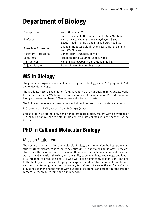## **Department of Biology**

| Chairperson:                 | Knio, Khouzama M.                                                                                                                                                 |
|------------------------------|-------------------------------------------------------------------------------------------------------------------------------------------------------------------|
| Professors:                  | Bariche, Michel J.; Baydoun, Elias H.; Gali-Muhtasib,<br>Hala U.; Knio, Khouzama M.; Kreydiyyeh, Sawsan I.;<br>Saoud, Imad P.; Smith, Colin A.; Talhouk, Rabih S. |
| <b>Associate Professors:</b> | Ghanem, Noel D.; Jaalouk, Diana E.; Kambris, Zakaria<br>S.: Osta, Mike A.                                                                                         |
| <b>Assistant Professors:</b> | Dohna, Heinrich; Sadek, Riyad A.                                                                                                                                  |
| Lecturers:                   | Rizkallah, Hind D.; Sinno-Saoud, Nada                                                                                                                             |
| Instructors:                 | Hajjar, Layane A.M.; Al-Zein, Mohammad S.                                                                                                                         |
| <b>Adjunct Faculty:</b>      | Parker, Bruce; Skinner, Margaret                                                                                                                                  |
|                              |                                                                                                                                                                   |

## **MS in Biology**

The graduate program consists of an MS program in Biology and a PhD program in Cell and Molecular Biology.

The Graduate Record Examination (GRE) is required of all applicants for graduate work. Requirements for an MS degree in biology consist of a minimum of 21 credit hours in biology courses numbered 300 or above and a 9-credit thesis.

The following courses are core courses and should be taken by all master's students:

BIOL 310 (3 cr.), BIOL 315 (3 cr.) and BIOL 393 (1 cr.)

Unless otherwise stated, only senior undergraduate biology majors with an average of 3.2 (or 80) or above can register in biology graduate courses with the consent of the instructor.

## **PhD in Cell and Molecular Biology**

## Mission Statement

The doctoral program in Cell and Molecular Biology aims to provide the best training to students for their careers as research scientists in Cell and Molecular Biology. It provides students with the opportunity to develop their capacity for scholarly and independent work, critical analytical thinking, and the ability to communicate knowledge and ideas. It is intended to produce scientists who will make significant, original contributions to the biological sciences. The program exposes students to theoretical foundations and practical training in current laboratory techniques. It serves the AUB mission by providing Lebanon and the region with qualified researchers and preparing students for careers in research, teaching and public service.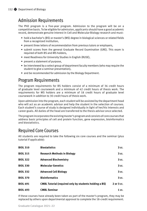## Admission Requirements

The PhD program is a five-year program. Admission to the program will be on a competitive basis. To be eligible for admission, applicants should have a good academic record, demonstrate genuine interest in Cell and Molecular Biology research and must:

- hold a bachelor's (BS) or master's (MS) degree in biological sciences or related fields from a recognized institution,
- present three letters of recommendation from previous tutors or employers,
- submit scores from the general Graduate Record Examination (GRE). This exam is required of both BS and MS holders,
- meet Readiness for University Studies in English (RUSE),
- present a statement of purpose,
- be interviewed by a select group of department faculty members (who may require the student to give a seminar presentation),
- and be recommended for admission by the Biology Department.

## Program Requirements

The program requirements for BS holders consist of a minimum of 36 credit hours of graduate level coursework and a minimum of 42 credit hours of thesis work. The requirements for MS holders are a minimum of 18 credit hours of graduate level coursework in addition to 30 credit hours of thesis work.

Upon admission into the program, each student will be assisted by the department head who will act as an academic advisor and help the student in the selection of courses. Each student's course of study is designed individually in light of her/his interests and career goals. All duties of the head are transferred to the thesis advisor once selected.

The program incorporates the existing master's program and consists of core courses that address basic principles of cell and protein function, gene expression, bioinformatics and biostatistics.

## Required Core Courses

All students are required to take the following six core courses and the seminar (plus tutorial if applicable):

| <b>BIOL 310</b> | <b>Biostatistics</b>                                          | 3 cr.      |
|-----------------|---------------------------------------------------------------|------------|
| <b>BIOL 315</b> | <b>Research Methods in Biology</b>                            | 3 cr.      |
| <b>BIOL 322</b> | <b>Advanced Biochemistry</b>                                  | 3 cr.      |
| <b>BIOL 330</b> | <b>Molecular Genetics</b>                                     | 3 cr.      |
| <b>BIOL 332</b> | <b>Advanced Cell Biology</b>                                  | 3 cr.      |
| <b>BIOL 370</b> | <b>Bioinformatics</b>                                         | 3 cr.      |
| <b>BIOL 491</b> | <b>CMBL Tutorial (required only by students holding a BS)</b> | 2 or 3 cr. |
| <b>BIOL 493</b> | <b>CMBL Seminar</b>                                           | 1 cr.      |

If these courses have already been taken as part of the master's program, they may be replaced by others upon departmental approval to complete the 18-credit requirement.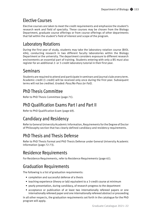## Elective Courses

Elective courses are taken to meet the credit requirements and emphasize the student's research work and field of specialty. These courses may be chosen from the Biology Department, graduate course offerings or from course offerings of other departments that fall within the student's field of interest and scope of the program.

## Laboratory Rotations

During the first year of study, students may take the laboratory rotation course (BIOL 494), conducting research in two different faculty laboratories within the Biology Department or the university. The department considers exposure to different research environments an essential part of training. Students entering with only a BS must also register for an additional 2- or 3-credit laboratory tutorial in their first year.

## Seminars

Students are required to attend and participate in seminars and journal clubs every term. Academic credit (1 credit) will be received only once during the first year. Subsequent terms will not be credited. *Graded: Pass/No Pass (or Fail).*

## PhD Thesis Committee

Refer to PhD Thesis Committee (page 71).

## PhD Qualification Exams Part I and Part II

Refer to PhD Qualification Exam (page 69).

## Candidacy and Residency

Refer to General University Academic Information, Requirements for the Degree of Doctor of Philosophy section that has clearly defined candidacy and residency requirements.

## PhD Thesis and Thesis Defense

Refer to PhD Thesis Format and PhD Thesis Defense under General University Academic Information (page 72-73).

## Residence Requirements

For Residence Requirements, refer to Residence Requirements (page 61).

## Graduation Requirements

The following is a list of graduation requirements:

- completion and successful defense of a thesis
- teaching experience (theory or lab) equivalent to a 3-credit course at minimum
- yearly presentation, during candidacy, of research progress to the department
- acceptance or publication of at least two internationally refereed papers or one internationally refereed paper and one internationally refereed abstract or proceeding

In all other respects, the graduation requirements set forth in the catalogue for the PhD program will apply.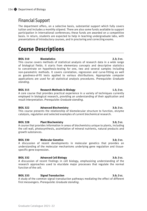## Financial Support

The department offers, on a selective basis, substantial support which fully covers tuition and includes a monthly stipend. There are also some funds available to support participation in international conferences; these funds are awarded on a competitive basis. In return, students are expected to help in teaching undergraduate labs, with presentations of introductory courses, and in proctoring and correcting exams.

## **Course Descriptions**

### **BIOL 310 Biostatistics 2.3; 3 cr.**

This course covers methods of statistical analysis of research data in a wide range of biological fields. It starts from elementary concepts and descriptive statistics to concentrate on hypothesis-testing for one, two and several samples including non-parametric methods. It covers correlation, regression and curve-fitting as well as goodness-of-fit tests applied to various distributions. Appropriate computer applications are used for all statistical analysis procedures. *Prerequisite: Graduate standing.*

### **BIOL 315 Research Methods in Biology 1.5; 3 cr.**

A core course that provides practical experience in a variety of techniques currently employed in biological research, providing an understanding of their application and result interpretation. *Prerequisite: Graduate standing.*

### **BIOL 322 Advanced Biochemistry 3.0; 3 cr.**

This course presents the relationship of biomolecular structure to function, enzyme catalysis, regulation and selected examples of current biochemical research.

### **BIOL 328 Plant Biochemistry 3.0; 3 cr.**

A course that provides information in areas of biochemistry unique to plants, including the cell wall, photosynthesis, assimilation of mineral nutrients, natural products and growth substances.

### **BIOL 330 Molecular Genetics 3.0; 3 cr.**

A discussion of recent developments in molecular genetics that provides an understanding of the molecular mechanisms underlying gene regulation and tissuespecific gene expression.

### **BIOL 332 Advanced Cell Biology 3.0; 3 cr.**

A discussion of recent findings in cell biology, emphasizing understanding of the research approaches used to elucidate major processes that regulate the normal function of the cell.

### **BIOL 333 Signal Transduction 3.0; 3 cr.**

A study of the common signal transduction pathways mediating the effect of different first messengers. *Prerequisite: Graduate standing.*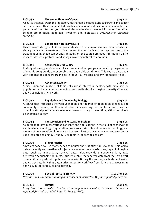### **BIOL 335 Molecular Biology of Cancer 3.0; 3 cr.**

A course that deals with the regulatory mechanisms of neoplastic cell growth and cancer cell metastasis. This course includes a discussion of recent developments in molecular genetics of the intra- and/or inter-cellular mechanisms involved in tumor formation, cellular proliferation, apoptosis, invasion and metastasis. *Prerequisite: Graduate standing.*

### **BIOL 338 Cancer and Natural Products 3.0; 3 cr.**

This course is designed to introduce students to the numerous natural compounds that show promise in the treatment of cancer and the mechanism-based approaches to this treatment using these compounds. In addition, the course provides information on the research designs, protocols and assays involving natural compounds.

### **BIOL 341 Advanced Microbiology 3.0; 3 cr.**

A study of energy metabolism of various microbial groups emphasizing degradation of organic compounds under aerobic and anaerobic conditions. This course also deals with applications of microorganisms in industrial, medical and environmental fields.

### **BIOL 362 Advanced Ecology 2.3; 3 cr.**

A discussion and analysis of topics of current interest in ecology with emphasis on population and community dynamics, and methods of ecological investigation and analysis; includes field work.

### **BIOL 363 Population and Community Ecology 3.0; 3 cr.**

A course that introduces the various models and theories of population dynamics and community structure, and their applications in assessing the complex interactions that occur in natural plant-animal systems as a result of long co-evolution, with an emphasis on chemical ecology.

### **BIOL 364 Conservation and Restoration Ecology 3.0; 3 cr.**

A course that introduces various concepts and applications in the field of conservation and landscape ecology. Degradation processes, principles of restoration ecology, and models of conservation biology are discussed. Part of this course concentrates on the use of remote sensing, GIS and GPS as tools in landscape ecology.

### **BIOL 370 Bioinformatics 2.3; 3 cr.**

A project-based course that teaches computer and statistics skills to handle biological data efficiently and creatively. Projects can involve the analysis of any type of biological data, such as image data, survival data, microarray data, sequence data, nextgeneration sequencing data, etc. Students can either analyze data from their own work or recapitulate parts of a published analysis. During the course, each student writes analysis scripts in R that automatize an entire workflow from data pre-processing to analysis, output of results and plotting.

### **BIOL 390 Special Topics in Biology 1, 2, 3 or 4 cr.**

*Prerequisites: Graduate standing and consent of instructor. May be repeated for credit.*

### **BIOL 391 Tutorial 2 or 3 cr.**

*Every term. Prerequisites: Graduate standing and consent of instructor. Cannot be repeated for credit. Graded: Pass/No Pass (or Fail).*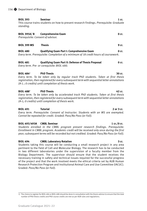### 156 Department of Biology

| <b>BIOL 393</b> | Seminar                                                                                        | 1 cr. |
|-----------------|------------------------------------------------------------------------------------------------|-------|
|                 | This course trains students on how to present research findings. <i>Prerequisite: Graduate</i> |       |
| standing.       |                                                                                                |       |

| <b>BIOL 395A/B</b><br>Prerequisite: Consent of advisor. | <b>Comprehensive Exam</b>                                                                                                                | 0 cr. |
|---------------------------------------------------------|------------------------------------------------------------------------------------------------------------------------------------------|-------|
| <b>BIOL 399 MS</b>                                      | <b>Thesis</b>                                                                                                                            | 9 cr. |
| <b>BIOL 480</b>                                         | <b>Qualifying Exam Part I: Comprehensive Exam</b><br>Every term. Prerequisite: Completion of a minimum of 18 credit hours of coursework. | 0 cr. |

## **BIOL 481 Qualifying Exam Part II: Defense of Thesis Proposal 0 cr.**

*Every term. Pre- or corequisite: BIOL 480.*

**BIOL 4841 PhD Thesis 30 cr.** *Every term. To be taken only by regular track PhD students. Taken at first thesis registration, then registered for every subsequent term with sequential letter annotations (A-L ; 0 credits) until completion of thesis work.*

### **BIOL 4881 PhD Thesis 42 cr.** *Every term. To be taken only by accelerated track PhD students. Taken at first thesis registration, then registered for every subsequent term with sequential letter annotations (A-L; 0 credits) until completion of thesis work.*

### **BIOL 491 Tutorial 2 or 3 cr.**

*Every term. Prerequisite: Consent of instructor. Students with an MS are exempted. Cannot be repeated for credit. Graded: Pass/No Pass (or Fail).*

### **BIOL 493/493A** CMBL Seminar 1 cr./0 cr.

*Students enrolled in the CMBL program present research findings. Prerequisite: Enrollment in CMBL program. Academic credit will be received only once during the first year; subsequent terms will be recorded but not credited. Graded: Pass/No Pass (or Fail).*

### **BIOL 494 CMBL Laboratory Rotation 3 cr.**

Students taking this course will be conducting a small research project in any area pertinent to the field of Cell and Molecular Biology. The research has to be conducted in two different laboratories under the supervision of a faculty member from the Biology Department. The supervisor should ensure that the student receives the necessary training in safety and technical issues required for the successful progress of the project and that the work involved meets the ethical criteria set by AUB Human Research Protection Program and Institutional Animal Care and Use Committee (IACUC). Graded: *Pass/No Pass (or Fail).*

<sup>1)</sup> The choice to register for BIOL 484 or BIOL 488 should be done in consultation with the thesis advisor to ensure that the total number of PhD thesis credits and PhD course credits are met as per AUB rules and regulations.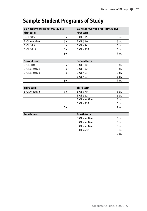## **Sample Student Programs of Study**

| BS holder working for MS (21 cr.) |       |                      | BS holder working for PhD (36 cr.) |  |
|-----------------------------------|-------|----------------------|------------------------------------|--|
| <b>First term</b>                 |       | <b>First term</b>    |                                    |  |
| <b>BIOL 315</b>                   | 3 cr. | <b>BIOL 315</b>      | 3 cr.                              |  |
| <b>BIOL</b> elective              | 3 cr. | <b>BIOL 330</b>      | 3 cr.                              |  |
| <b>BIOL 393</b>                   | 1 cr. | <b>BIOL 494</b>      | 3 cr.                              |  |
| <b>BIOL 391A</b>                  | 2 cr. | <b>BIOL 493A</b>     | $0$ cr.                            |  |
|                                   | 9 cr. |                      | 9 сг.                              |  |
| <b>Second term</b>                |       | <b>Second term</b>   |                                    |  |
| <b>BIOL 310</b>                   | 3 cr. | <b>BIOL 310</b>      | 3 cr.                              |  |
| <b>BIOL</b> elective              | 3 cr. | <b>BIOL 332</b>      | 3 cr.                              |  |
| <b>BIOL</b> elective              | 3 cr. | <b>BIOL 491</b>      | 2 cr.                              |  |
|                                   |       | <b>BIOL 493</b>      | 1 cr.                              |  |
|                                   | 9 cr. |                      | 9 cr.                              |  |
| <b>Third term</b>                 |       | <b>Third term</b>    |                                    |  |
| <b>BIOL</b> elective              | 3 cr. | <b>BIOL 370</b>      | 3 cr.                              |  |
|                                   |       | <b>BIOL 322</b>      | 3 cr.                              |  |
|                                   |       | <b>BIOL</b> elective | 3 cr.                              |  |
|                                   |       | <b>BIOL 493A</b>     | $0$ cr.                            |  |
|                                   | 3 cr. |                      | 9 cr.                              |  |
|                                   |       |                      |                                    |  |
| <b>Fourth term</b>                |       | <b>Fourth term</b>   |                                    |  |
|                                   |       | <b>BIOL</b> elective | 3 cr.                              |  |
|                                   |       | <b>BIOL</b> elective | 3 cr.                              |  |
|                                   |       | <b>BIOL</b> elective | 3 cr.                              |  |
|                                   |       | <b>BIOL 493A</b>     | 0 cr.                              |  |
|                                   |       |                      | 9 сг.                              |  |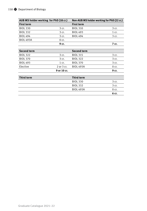| AUB MS holder working for PhD (18 cr.) |             | Non-AUB MS holder working for PhD (22 cr.) |         |
|----------------------------------------|-------------|--------------------------------------------|---------|
| <b>First term</b>                      |             | <b>First term</b>                          |         |
| <b>BIOL 330</b>                        | 3 cr.       | <b>BIOL 310</b>                            | 3 cr.   |
| <b>BIOL 332</b>                        | 3 cr.       | <b>BIOL 493</b>                            | $1$ cr. |
| <b>BIOL 494</b>                        | 3 cr.       | <b>BIOL 494</b>                            | 3 cr.   |
| <b>BIOL 493A</b>                       | $0$ cr.     |                                            |         |
|                                        | 9 cr.       |                                            | 7 cr.   |
|                                        |             |                                            |         |
| <b>Second term</b>                     |             | <b>Second term</b>                         |         |
| <b>BIOL 322</b>                        | 3 cr.       | <b>BIOL 315</b>                            | 3 cr.   |
| <b>BIOL 370</b>                        | 3 cr.       | <b>BIOL 322</b>                            | 3 cr.   |
| <b>BIOL 493</b>                        | 1 cr.       | <b>BIOL 370</b>                            | 3 cr.   |
| Elective                               | 2 or 3 cr.  | <b>BIOL 493A</b>                           | $0$ cr. |
|                                        | 9 or 10 cr. |                                            | 9 cr.   |
|                                        |             |                                            |         |
| <b>Third term</b>                      |             | <b>Third term</b>                          |         |
|                                        |             | <b>BIOL 330</b>                            | 3 cr.   |
|                                        |             | <b>BIOL 332</b>                            | 3 cr.   |
|                                        |             | <b>BIOL 493A</b>                           | $0$ cr. |
|                                        |             |                                            | 6 cr.   |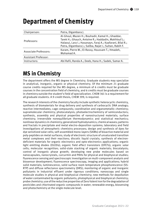## **Department of Chemistry**

| Chairperson:                 | Patra, Digambara J.                                                                                                                                                                                                               |
|------------------------------|-----------------------------------------------------------------------------------------------------------------------------------------------------------------------------------------------------------------------------------|
| Professors:                  | Al-Ghoul, Mazen H.; Bouhadir, Kamal H.; Ghaddar,<br>Tarek H.; Ghauch, Antoine R.; Haddadin, Makhlouf J.;<br>Halaoui, Lara I.; Hasanayn, Faraj A.; Kaafarani, Bilal R.;<br>Patra, Digambara J.; Saliba, Najat I.; Sultan, Rabih F. |
| <b>Associate Professors:</b> | Karam, Pierre M.; El-Rassy, Houssam T.; Hmadeh,<br>Mohamad A.                                                                                                                                                                     |
| <b>Assistant Professor:</b>  |                                                                                                                                                                                                                                   |
| Instructors:                 | Abi Rafii, Randa A.; Deeb, Hana H.; Sadek, Samar A.                                                                                                                                                                               |
|                              |                                                                                                                                                                                                                                   |

## **MS in Chemistry**

The department offers the MS degree in Chemistry. Graduate students may specialize in analytical, inorganic, organic or physical chemistry. Of the minimum 21 graduate course credits required for the MS degree, a minimum of 6 credits must be graduate courses in the concentration field of chemistry, and 6 credits must be graduate courses in chemistry outside the student's field of specialization. CHEM 361 is a requirement for all graduate students. A 9-credit thesis, CHEM 399, is required.

The research interests of the chemistry faculty include synthetic heterocyclic chemistry, synthesis of biomaterials for drug delivery and synthesis of carbocyclic DNA analogs; reactive intermediates; cage compounds; coordination and organometallic chemistry; supramolecular chemistry; photocatalysis; photoelectrochemistry of semiconductors; synthesis, assembly and physical properties of nanostructured materials; surface chemistry; irreversible nonequilibrium thermodynamics and statistical mechanics; nonlinear dynamics in chemistry; generalized hydrodynamics; chemical waves; patterns and fractals in precipitate and metal electro-deposition systems; laboratory and field investigations of atmospheric chemistry processes; design and synthesis of dyes for dye sensitized solar cells; self-assembled mono-layers (SAMs) of bioactive material and poly-peptides on metal surfaces; study of electronic structure of unsaturated transition metal complexes and their reactions; discotic liquid crystals; synthesis of electrondeficient materials for organic electronics and opto-electronics applications; organic light emitting diodes (OLEDs); organic field effect transistors (OFETs); organic solar cells; molecular recognition; solid-state stacking of organic materials; biocatalysis; control of inorganic phase growth; developing new probe molecules based on nanocapsules, nanocrystals, curcurmin and PAHs for physical and biophysical studies; fluorescence sensing and spectroscopic investigation on multi-component analysis and biosensor development; fluorescence spectroscopy, imaging and applications; hybrid solid materials; luminescence, solid surface room temperature phosphorescence (SS-RTP) and diffuse reflectance spectrometry (DRS); monitoring of organic and inorganic pollutants in industrial effluent under rigorous conditions; nanoscopy and single molecule studies in physical and biophysical chemistry; new methods for depollution of water contaminated by organic pollutants; photophysical and biophysical chemistry; probe chemistry; use of the reductive properties of Zero Valent Iron for the degradation of pesticides and chlorinated organic compounds in water; renewable energy, biosensing and photochemistry at the single molecule level.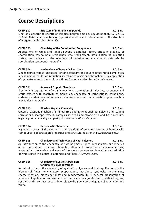## **Course Descriptions**

### **CHEM 301 Structure of Inorganic Compounds 3.0; 3 cr.**

Electronic absorption spectra of complex inorganic molecules; vibrational, NMR, NQR, EPR and Mössbauer spectroscopy; physical methods of determination of the structure of inorganic molecules. *Annually.*

### **CHEM 303 Chemistry of the Coordination Compounds 3.0; 3 cr.**

Applications of Orgel and Tanabe-Sugano diagrams; factors affecting stability of coordination compounds; stereochemistry; trans-effect; stabilization of oxidation states; mechanisms of the reactions of coordination compounds; catalysis by coordination compounds. *Annually.*

### **CHEM 304 Mechanisms of Inorganic Reactions 3.0; 3 cr.**

Mechanisms of substitution reactions in octahedral and square planar metal complexes; mechanisms of oxidation-reduction, metal ion catalysis and photochemistry; application of symmetry rules to inorganic reactions; fluxional molecules. *Alternate years.*

### **CHEM 311 Advanced Organic Chemistry 3.0; 3 cr.**

Electronic interpretation of organic reactions; correlation of inductive, resonance and steric effects with reactivity of molecules; chemistry of carbocations, carbanions, carbenes, carbenoids and radicals as intermediates in characteristic organic reaction mechanisms. *Annually.*

### **CHEM 313 Physical Organic Chemistry 3.0; 3 cr.**

Organic reactions mechanisms, linear free energy relationships, solvent and reagent correlations, isotope effects, catalysis in weak and strong acid and base medium, organic photochemistry and pericyclic reactions. *Alternate years.*

### **CHEM 314 Heterocyclic Chemistry 3.0; 3 cr.**

A general survey of the synthesis and reactions of selected classes of heterocyclic compounds; spectroscopic properties and structural relationships. *Alternate years*.

### **CHEM 315 Chemistry and Technology of High Polymers 3.0; 3 cr.**

An introduction to the chemistry of high polymers; types, mechanisms and kinetics of polymerization; structure, characterization and properties of macromolecules; preparation, processing and uses of the more common condensation and addition polymers used in plastics, elastomers and fibers. *Alternate years*.

### **CHEM 316 Chemistry of Synthetic Polymers 3.0; 3 cr. for Biomedical Applications**

An introduction to the chemistry of synthetic polymers and their applications in the biomedical field; nomenclature, preparations, reactions, synthesis, mechanisms, characterization, biocompatibility and biodegradability. A general presentation of biomedical applications of synthetic polymers in bones, joints, teeth, artificial organs, synthetic skin, contact lenses, time-release drug delivery and gene delivery. *Alternate years.*

Graduate Catalogue 2021–22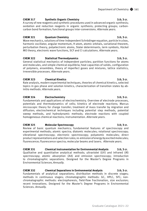### **CHEM 317 Synthetic Organic Chemistry 3.0; 3 cr.**

A survey of new reagents and synthetic procedures used in advanced organic synthesis; oxidation and reduction reagents in organic synthesis; protecting groups; carboncarbon bond formation; functional groups inter-conversions. *Alternate years.*

### **CHEM 321 Quantum Chemistry 3.0; 3 cr.**

Wave mechanics, solutions of time-independent Schrödinger equation, particle in a box, harmonic oscillator, angular momentum, H-atom, atomic orbitals, variational theorem, perturbation theory, polyelectronic atoms, Slater determinants, term symbols, Hückel MO theory, electronic wave functions, SCF and CI calculations. *Alternate years*.

### **CHEM 322 Statistical Thermodynamics 3.0; 3 cr.**

General statistical mechanics of independent particles; partition functions for atoms and molecules, and simple chemical equilibria; heat capacities of solids, configuration of polymers, ensembles, theory of imperfect gases and mixtures, lattice statistics, irreversible processes. *Alternate years*.

### **CHEM 323 Chemical Kinetics 3.0; 3 cr.**

Rate analysis, modern experimental techniques, theories of chemical kinetics, selected topics in gas phase and solution kinetics, characterization of transition states by abinitio methods. *Alternate years.*

### **CHEM 324 Electrochemistry 3.0; 3 cr.**

Fundamentals and applications of electrochemistry. Overview of electrode processes, potentials and thermodynamics of cells; kinetics of electrode reactions; Marcus microscopic theory for charge transfer; treatment of mass transfer by migration and diffusion; electrochemical techniques including potential step methods, potential sweep methods, and hydrodynamic methods; electrode reactions with coupled homogeneous chemical reactions; instrumentation. *Alternate years.*

### **CHEM 325 Molecular Spectroscopy 3.0; 3 cr.**

Review of basic quantum mechanics; fundamental features of spectroscopy and experimental methods; atomic spectra; diatomic molecules; rotational spectroscopy; vibrational spectroscopy; electronic spectroscopy; polyatomic molecules; direct product representations and selection rules; re-emission of energy by excited molecules; fluorescence; fluorescence spectra; molecular beams and lasers. *Alternate years.*

### **CHEM 331 Chemical Instrumentation for Environmental Analysis 3.0; 3 cr.** Qualitative and quantitative analytical methods; ultraviolet (UV) and infrared (IR)

spectroscopy; atomic absorption (AA) and emission spectroscopy; introduction to chromatographic separations. Designed for the Master's Degree Programs in Environmental Sciences.*Annually.*

### **CHEM 332 Chemical Separations in Environmental Analysis 3.0; 3 cr.** Fundamentals of analytical separations; distribution methods in discrete stages; methods in continuous stages; chromatographic methods: GC, HPLC, SFC; nonchromatographic methods: electrophoresis, field-flow fractionation, size exclusion; recent innovations. Designed for the Master's Degree Programs in Environmental Sciences. *Annually.*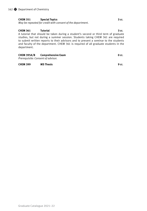### **CHEM 351** Special Topics 3 cr.

*May be repeated for credit with consent of the department.*

### **CHEM 361 Tutorial 3 cr.** 3 cr. A tutorial that should be taken during a student's second or third term of graduate studies, but not during a summer session. Students taking CHEM 361 are required

to submit written reports to their advisors and to present a seminar to the students and faculty of the department. CHEM 361 is required of all graduate students in the department.

| <b>CHEM 395A/B</b> | <b>Comprehensive Exam</b> | 0 cr. |  |
|--------------------|---------------------------|-------|--|
|                    |                           |       |  |

*Prerequisite: Consent of advisor.*

**CHEM 399 MS Thesis 9 cr.**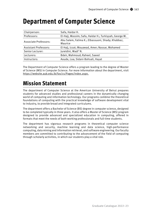## **Department of Computer Science**

| Chairperson:                 | Safa, Haidar H.                                              |
|------------------------------|--------------------------------------------------------------|
| Professors:                  | El-Hajj, Wassim; Safa, Haidar H.; Turkiyyah, George M.       |
| Associate Professors:        | Abu Salem, Fatima K.; Elbassuoni, Shady; Khabbaz,<br>Maurice |
| <b>Assistant Professors:</b> | El Hajj, Izzat; Mouawad, Amer; Nassar, Mohamed               |
| Senior Lecturer:             | Jureidini, Wadi' N.                                          |
| Lecturers:                   | Bdeir, Mahmoud; Raheel, Saeed                                |
| Instructors:                 | Aoude, Loa; Sidani-Bohsali, Hayat                            |
|                              |                                                              |

The Department of Computer Science offers a program leading to the degree of Master of Science (MS) in Computer Science. For more information about the department, visit <https://website.aub.edu.lb/fas/cs/Pages/index.aspx>.

## **Mission Statement**

The department of Computer Science at the American University of Beirut prepares students for advanced studies and professional careers in the dynamically changing world of computing and information technology. Our programs combine the theoretical foundations of computing with the practical knowledge of software development vital to industry, to provide broad and integrated curriculums.

The department offers a Bachelor of Science (BS) degree in computer science, designed to be completed typically in three years. It also offers a Master of Science (MS) program designed to provide advanced and specialized education in computing, offered in formats that meet the needs of both working professionals and full-time students.

The department has vigorous research programs in theoretical computer science networking and security, machine learning and data science, high-performance computing, data mining and information retrieval, and software engineering. Our faculty members are committed to contributing to the advancement of the field of computing through scholarly activities, in which our students play a vital role.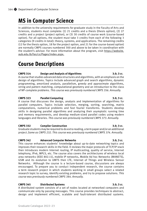## **MS in Computer Science**

In addition to the university requirements for graduate study in the Faculty of Arts and Sciences, students must complete: (1) 21 credits and a thesis (thesis option), (2) 27 credits and a project (project option), or (3) 30 credits of course work (course-based option). For all options, the student must take 3 credits from each of the following 3 categories (9 credits in total): theory, systems, and applications. The remaining credits (12 for the thesis option, 18 for the project option, and 21 for the course-based option) are normally CMPS courses numbered 300 and above to be taken in coordination with the student's advisor. For more information about the program, visit https://website. aub.edu.lb/fas/cs/Pages/index.aspx.

## **Course Descriptions**

### **CMPS 314 Design and Analysis of Algorithms 3.0; 3 cr.**

A course that studies advanced data structures and algorithms, with an emphasis on the design of algorithms. Topics include advanced graph and search algorithms, dynamic programming, amortized analysis, parallelism, greedy and approximate algorithms, string and pattern matching, computational geometry and an introduction to the class of NP-complete problems. *This course was previously numbered CMPS 356*. *Annually.*

### **CMPS 323 Parallel Computing 3.0; 3 cr.**

A course that discusses the design, analysis and implementation of algorithms for parallel computers. Topics include selection, merging, sorting, searching, matrix computations, numerical problems and fast fourier transforms. Students develop skills in designing parallel algorithms and analyzing their asymptotic running time and memory requirements, and develop medium-sized parallel codes using modern languages and libraries. *This course was previously numbered CMPS 373*. *Annually.*

### **CMPS 332 Compiler Construction 3.0; 3 cr.**

Graduate students may be required to do extra reading, a term paper and/or an additional project.*Same as CMPS 232. This course was previously numbered CMPS 374. Annually.*

### **CMPS 342 Advanced Computer Networks 3.0; 3 cr.**

This course enhances students' knowledge about up-to-date networking topics and improves their research skills in the field. It reviews the major protocols of TCP/IP stack then introduces modern Internet routing, IP multicasting, quality of service, Internet telephony, IPv6, MPLS, etc. The course also covers the architectures of wireless local area networks (IEEE 802.11), mobile IP networks, Mobile Ad hoc Networks (MANETS), GSM and its evolution to UMTS then LTE, Internet of Things and Wireless Sensor Networks. Although the course is a lecture-based course, discussions are always encouraged. To prepare you to conduct independent research, the course contains a term research project in which students working in small groups select a related research topic to survey, identify existing problems, and try to propose solutions. *This course was previously numbered CMPS 384*. *Annually.*

### **CMPS 345 Distributed Systems 3.0; 3 cr.**

A distributed system consists of a set of nodes located at networked computers and communicate only by passing messages. This course provides techniques to abstract, design and implement efficient, scalable and fault-tolerant distributed systems.

### Graduate Catalogue 2022–23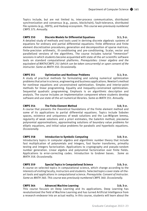Topics include, but are not limited to, inter-process communication, distributed synchronization and consensus (e.g., paxos, blockchain), fault-tolerance, distributed file systems (e.g., HDFS), and Hadoop ecosystem. *This course was previously numbered CMPS 375*. *Annually.*

### **CMPS 350 Discrete Models for Differential Equations 3.1; 3 cr.** A detailed study of methods and tools used in deriving discrete algebraic systems of equations for ordinary and partial differential equations: finite difference and finite element discretization procedures; generation and decomposition of sparse matrices, finite-precision arithmetic, ill-conditioning and pre-conditioning, Scalar, vector and parallelized versions of the algorithms. The course includes tutorial "immersion" sessions in which students become acquainted with state-of-the-art scientific software tools on standard computational platforms. *Prerequisites: Linear algebra and the equivalent of MATH/CMPS 251 (which can be taken concurrently) or upon consent of the instructor. Same as MATH 350. Occasionally.*

### **CMPS 351 Optimization and Nonlinear Problems 3.1; 3 cr.**

A study of practical methods for formulating and solving numerical optimization problems that arise in science, engineering and business applications. Newton's method for nonlinear equations and unconstrained optimization. Simplex and interior-point methods for linear programming. Equality and inequality-constrained optimization. Sequential quadratic programming. Emphasis is on algorithmic description and analysis. The course includes an implementation component where students develop software and use state-of-the-art numerical libraries. *Same as MATH 351. Annually.* 

### **CMPS 354 The Finite Element Method 3.0; 3 cr.**

A course that presents the theoretical foundations of the finite element method and some of its applications to partial differential equations. Topics include Sobolev spaces, existence and uniqueness of weak solutions and the Lax-Milgram lemma, regularity of weak solutions and a priori estimates, the Galerkin method, piecewise polynomial approximations, approximating solutions of boundary value problems for elliptic equations, and initial value problems for parabolic and hyperbolic equations. *Occasionally.*

### **CMPS 358 Introduction to Symbolic Computing 3.0; 3 cr.**

Introductory topics in computer algebra and algorithmic number theory that include fast multiplication of polynomials and integers, fast fourier transforms, primality testing and integers factorization. Applications to cryptography and pseudo-random number generation. Linear algebra and polynomial factorization over finite fields. Applications to error-correcting codes. Introduction to Grobner bases. *Same as MATH 358. Occasionally.* 

### **CMPS 359 Special Topics in Computational Science 3.0; 3 cr.**

A course on selected topics in computational science, which change according to the interests of visiting faculty, instructors and students. Selected topics cover state-of-theart tools and applications in computational science. *Prerequisite: Consent of instructor. Same as MATH 360. This course was previously numbered CMPS 360. Occasionally.* 

### **CMPS 364 Advanced Machine Learning 3.0; 3 cr.**

This course focuses on Deep Learning and its applications. Deep Learning has revolutionized the field of Machine Learning and has turned Artificial Intelligence from a research endeavor into an actual reality. In this course, students will learn about the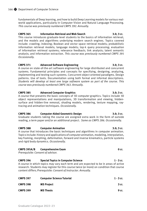fundamentals of Deep learning, and how to build Deep Learning models for various realworld applications, particularly in Computer Vision and Natural Language Processing. *This course was previously numbered CMPS 392*. *Annually.*

### **CMPS 365 Information Retrieval and Web Search 3.0; 3 cr.**

This course introduces graduate-level students to the basics of information retrieval, and the models and algorithms underlying modern search engines. Topics covered include: crawling; indexing; Boolean and vector space retrieval models; probabilistic information retrieval models; language models; top-k query processing; evaluation of information retrieval systems; relevance feedback; link analysis; latent semantic analysis; and information extraction. *This course was previously numbered CMPS 391 Occasionally.*

### **CMPS 371 Advanced Software Engineering 3.0; 3 cr.**

A course on state-of-the-art software engineering for large distributed and concurrent systems. Fundamental principles and concepts for specifying, designing, analyzing, implementing and testing such systems. Concurrent object oriented paradigms. Design patterns. Use of tools. Documentation using both formal and informal descriptions. *Students will develop at least one large software system as part of the course. This course was previously numbered CMPS 363. Annually.*

### **CMPS 385 Advanced Computer Graphics 3.0; 3 cr.**

A course that presents the basic concepts of 3D computer graphics. Topics include 3D object representations and manipulations, 3D transformation and viewing, hiddensurface and hidden-line removal, shading models, rendering, texture mapping, raytracing and animation techniques. *Occasionally.*

### **CMPS 386 Computer-Aided Geometric Design 3.0; 3 cr.**

Graduate students taking the course are assigned extra work in the form of outside reading, a term paper and/or an additional project. *Same as CMPS 286. Occasionally.*

### **CMPS 388 Computer Animation 3.0; 3 cr.**

A course that introduces the basic techniques and algorithms in computer animation. Topics include: history and applications of computer animation, modeling, interpolation, key framing, morphing, deformation, forward and inverse kinematics, particle systems and rigid body dynamics. *Occasionally*.

### **CMPS 395A/B Comprehensive Exam 0 cr.**

*Prerequisite: Consent of advisor.*

**CMPS 396 Special Topics in Computer Science 1 - 3 cr.** A course in which topics may vary each term and are expected to be in areas of active research. Students may register for this course twice (or more) on condition that course content differs.*Prerequisite: Consent of instructor. Annually.*

| <b>CMPS 397</b> | <b>Computer Science Tutorial</b> | $1 - 3$ cr. |
|-----------------|----------------------------------|-------------|
| <b>CMPS 398</b> | <b>MS Project</b>                | 3 cr.       |
| <b>CMPS 399</b> | <b>MS Thesis</b>                 | 9 cr.       |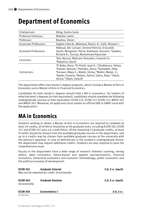## **Department of Economics**

| Chairperson:                 | Altug, Sumru Guler                                                                                                                                                                                                                                                                     |
|------------------------------|----------------------------------------------------------------------------------------------------------------------------------------------------------------------------------------------------------------------------------------------------------------------------------------|
| <b>Professor Emeritus:</b>   | Makdisi, Samir                                                                                                                                                                                                                                                                         |
| Professor:                   | Neaime, Simon                                                                                                                                                                                                                                                                          |
| <b>Associate Professors:</b> | Dagher Leila N.; Mabsout, Ramzi, R.; Salti, Nisreen I.                                                                                                                                                                                                                                 |
| <b>Assistant Professors:</b> | Abboud, Ali; Canaan, Serena Patricia; El Joueidi,<br>Sarah; Mouganie, Pierre; Radmard, Hossein; PSadaka,<br>Richard A.; Tuncay, Muhammed Alparslan                                                                                                                                     |
| Lecturers:                   | PBou Nassar, Makram; Ramadan, Usamah H.;<br><sup>P</sup> Robalino, David                                                                                                                                                                                                               |
| Instructors:                 | PEI Baba, Nora; PEI-Khalil, Iyad A.; PGhabboura, Yehya;<br>PHalawi, Balsam; PHamdan, Dana; PHamadeh, Hiba;<br><sup>P</sup> Kanaan, Maya Z.; Makki, Ghina; <sup>P</sup> Makki, Malak, Z.;<br>PNader, Pamela; PRebeiz, Sylvia; Sabra, Raja; PTabsh,<br>Ghina: <sup>P</sup> Tabsh, Hala M |

The department offers two master's degree programs, which include a Master of Arts in Economics and a Master of Arts in Financial Economics.

Candidates for both master's degrees should hold a BA in economics. For holders of other bachelor's degrees (or their equivalent), candidates should complete the following undergraduate courses or their equivalent: ECON 214, ECON 217, ECON 227, MATH 201 and MATH 202. Moreover, all applicants must submit an official GRE or GMAT score with the application.<sup>1</sup>

## **MA in Economics**

Students wishing to obtain a Master of Arts in Economics are required to complete at least 24 credits, all of which should be at the graduate level, including ECON 305, ECON 317 and ECON 327, plus a 6-credit thesis. Of the remaining 15 graduate credits, at least 9 credits should be chosen from the available graduate courses in the department, and up to 6 credits may be chosen from available graduate courses at the university with the advisor's approval. In case of deficiencies in the student's undergraduate record, the department may require additional credits. Students are also required to pass the comprehensive exam.

Faculty in the Department have a wide range of research interests covering, among others, labor economics, theory-based and applied macroeconomics, financial economics, behavioral economics and economic methodology, public economics and the political economy of development.

| <b>Graduate Tutorial</b><br><b>ECON 301</b><br>May not be repeated for credit. Occasionally. |                         | 3.0; 3 cr. (each) |
|----------------------------------------------------------------------------------------------|-------------------------|-------------------|
| <b>ECON 303</b><br>Occasionally.                                                             | <b>Graduate Seminar</b> | 3.0; 3 cr. (each) |
| <b>ECON 305</b>                                                                              | <b>Econometrics I</b>   | $3.0; 3$ cr.      |

P) Part-time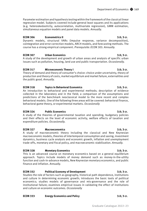Parameter estimation and hypothesis testing within the framework of the classical linear regression model. Subjects covered include general least squares and its applications (e.g. heteroskedasticity, autocorrelation, multivariate regression), GMM estimation, simultaneous equation models and panel data models. *Annually.*

### **ECON 306 Econometrics II 3.0; 3 cr.**

Dynamic models, structural VARs (impulse response, variance decomposition), cointegration and error correction models, ARCH models, and forecasting methods. The course has a strong empirical component. *Prerequisite: ECON 305. Annually.*

### **ECON 307 Urban Economics 3.0; 3 cr.**

A study of the development and growth of urban areas and analysis of specific urban issues such as pollution, housing, land use and public transportation. *Occasionally.*

### **ECON 317 Microeconomic Theory I 3.0; 3 cr.**

Theory of demand and theory of consumer's choice: choice under uncertainty, theory of production and theory of costs, market equilibrium and market failure, externalities and the public good. *Annually.*

### **ECON 318 Topics in Behavioral Economics 3.0; 3 cr.**

An introduction to behavioral and experimental methods; description of evidence collected in the laboratory and in the field; a comparison of the assumptions and predictions of the benchmark neoclassical model to the more recent and complex behavioral models. One of the following three areas will be covered: behavioral finance, behavioral game theory, or experimental markets. *Occasionally*

### **ECON 326 Public Economics 3.0; 3 cr.**

A study of the theories of governmental taxation and spending, budgetary policies and their effects on the level of economic activity, welfare effects of taxation and expenditure policies. *Occasionally.*

### **ECON 327 Macroeconomics 3.0; 3 cr.**

A study of macroeconomic theory including the classical and New Keynesian macroeconomic models, theories of intertemporal consumption and saving, investment dynamics, business cycle analysis and economic growth, inflation and unemployment trade-offs, monetary and fiscal policy, and macroeconomic stabilization. *Annually.*

### **ECON 328 Monetary Economics 3.0; 3 cr.**

This is an advanced course on monetary economics based on a general equilibrium approach. Topics include models of money demand such as money-in-the-utility function and cash-in-advance models, New Keynesian monetary economics, and public finance and inflation. *Annually.*

### **ECON 332 Political Economy of Development 3.0; 3 cr.**

Studies the role of factors such as geography, historical path dependence, institutions and culture in determining economic growth; introduces the basic tools of political economics; studies models of governance and mis-governance and the role of institutional failure; examines empirical issues in validating the effect of institutions and culture on economic outcomes. *Occasionally*

### **ECON 333 Energy Economics and Policy 3.0; 3 cr.**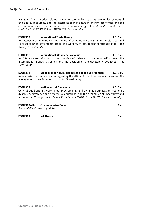A study of the theories related to energy economics, such as economics of natural and energy resources, and the interrelationship between energy, economics and the environment, as well as some important issues in energy policy. *Students cannot receive credit for both ECON 333 and MECH 674. Occasionally.*

### **ECON 335 International Trade Theory 3.0; 3 cr.**

An intensive examination of the theory of comparative advantage: the classical and Heckscher-Ohlin statements, trade and welfare, tariffs, recent contributions to trade theory. *Occasionally.*

**ECON 336 International Monetary Economics 3.0; 3 cr.** An intensive examination of the theories of balance of payments adjustment, the international monetary system and the position of the developing countries in it. *Occasionally*.

### **ECON 338 Economics of Natural Resources and the Environment 3.0; 3 cr.**

An analysis of economic issues regarding the efficient use of natural resources and the management of environmental quality. *Occasionally.*

**ECON 339 Mathematical Economics 3.0; 3 cr.** General equilibrium theory, linear programming and dynamic optimization, economic dynamics, difference and differential equations, and the economics of uncertainty and information. *Prerequisites: ECON 239 and either MATH 218 or MATH 219. Occasionally.*

**ECON 395A/B Comprehensive Exam 0 cr.**

*Prerequisite: Consent of advisor.*

**ECON 399 MA Thesis 6 cr.**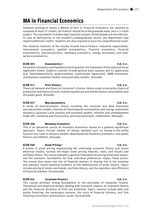## **MA in Financial Economics**

Students wishing to obtain a Master of Arts in Financial Economics are required to complete at least 27 credits, all of which should be at the graduate level, plus a 3-credit project. The coursework includes eight required courses (listed below) and one elective. In case of deficiencies in the student's undergraduate record, the department may require additional credits. Students are also required to pass the comprehensive exam.

The research interests of the faculty include macro-finance, industrial organization, international economics, applied econometrics, financial economics, financial econometrics, macroeconomics, monetary economics, energy economics and timeseries econometrics.

### **ECON 305 Econometrics I 3.0; 3 cr.**

Parameter estimation and hypothesis testing within the framework of the classical linear regression model. Subjects covered include general least squares and its application (e.g. heteroskedasticity, autocorrelation, multivariate regression), GMM estimation, simultaneous equation models and panel data models. *Annually.*

### **ECON 317 Price Theory I 3.0; 3 cr.**

Theory of demand and theory of consumer's choice: choice under uncertainty, theory of production and theory of costs, market equilibrium and market failure, externalities and the public good*. Annually*.

### **ECON 327 Macroeconomics 3.0; 3 cr.**

A study of macroeconomic theory including the classical and New Keynesian macroeconomic models, theories of intertemporal consumption and saving, investment dynamics, business cycle analysis and economic growth, inflation and unemployment trade-offs, monetary and fiscal policy, and macroeconomic stabilization. *Annually*.

### **ECON 328** Monetary Economics 3.0; 3 cr.

This is an advanced course on monetary economics based on a general equilibrium approach. Topics include models of money demand such as money-in-the-utility function and cash-in-advance models, New Keynesian monetary economics, and public finance and inflation. *Annually*.

### **ECON 340 Asset Pricing I 3.0; 3 cr.**

A primer in asset pricing emphasizing the underlying economic theory and recent empirical results; surveys the major asset pricing theories, tools, and results and portfolio choice. The course presents a general framework for pricing (financial) assets, and the economic foundations for how individual preferences impact these prices. The course also covers the role of financial markets in sharing risk in the economy and presents recent empirical evidence on the determinants of asset returns. Topics include pricing of stocks and bonds, portfolio theory, and the operation and efficiency of financial markets. *Occasionally*

### **ECON 341 Corporate Finance I 3.0; 3 cr.**

This course provides strong foundations in the principles of corporate finance. Theoretical and empirical models dealing with economic aspects of corporate finance and the financial decisions of firms are examined. Topics covered include debt and equity financing, the bankruptcy process, the costs of financial distress, and firm financing constraints and business cycles. *Occasionally*

### Graduate Catalogue 2022–23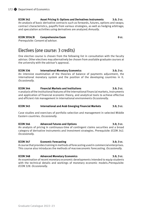### **ECON 342 Asset Pricing II: Options and Derivatives Instruments 3.0; 3 cr.** An analysis of basic derivative contracts such as forwards, futures, options and swaps; contract characteristics, payoffs from various strategies, as well as hedging arbitrage; and speculation activities using derivatives are analyzed.*Annually.*

### **ECON 395A/B Comprehensive Exam 0 cr.**

*Prerequisite: Consent of advisor.*

## Electives (one course: 3 credits)

One elective course is chosen from the following list in consultation with the faculty advisor. Other electives may alternatively be chosen from available graduate courses at the university with the advisor's approval.

### **ECON 336 International Monetary Economics 3.0; 3 cr.**

An intensive examination of the theories of balance of payments adjustment, the international monetary system and the position of the developing countries in it. *Occasionally.*

### **ECON 344 Financial Markets and Institutions 3.0; 3 cr.**

n analysis of the institutional features of the international financial markets, instruments and application of financial economic theory, and analytical tools to achieve effective and efficient risk management in international environments *Occasionally.*

### **ECON 345 International and Arab Emerging Financial Markets 3.0; 3 cr.**

Case studies and exercises of portfolio selection and management in selected Middle Eastern countries. *Occasionally.*

### **ECON 346 Advanced Futures and Options 3.0; 3 cr.**

An analysis of pricing in continuous-time of contingent claims securities and a broad category of derivative instruments and investment strategies. *Prerequisite: ECON 342. Occasionally.*

### **ECON 347 Economic Forecasting 3.0; 3 cr.**

A course that provides training in methods of forecasting used in commercial enterprises. This course also introduces the methods of macroeconomic forecasting. *Occasionally.*

### **ECON 348 Advanced Monetary Economics 3.0; 3 cr.**

An examination of recent monetary economic developments intended to equip students with the technical details and workings of monetary economic models.*Prerequisite: ECON 328. Occasionally.*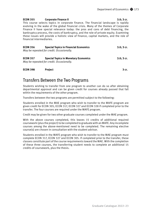| <b>ECON 355</b>           | <b>Corporate Finance II</b> |                                                                                        | $3.0:3$ cr. |
|---------------------------|-----------------------------|----------------------------------------------------------------------------------------|-------------|
|                           |                             | This course selects topics in corporate finance. The financial landscape is rapidly    |             |
|                           |                             | evolving in the wake of the global financial crisis. Many of the themes of Corporate   |             |
|                           |                             | Finance II have special relevance today: the pros and cons of debt financing, the      |             |
|                           |                             | bankruptcy process, the costs of bankruptcy, and the role of private equity. Examining |             |
|                           |                             | these issues will provide a holistic view of finance, capital markets, and the role of |             |
| financial intermediaries. |                             |                                                                                        |             |

| <b>Special Topics in Financial Economics</b><br><b>ECON 356</b><br>May be repeated for credit. Occasionally. |                                                                                          | $3.0; 3$ cr. |
|--------------------------------------------------------------------------------------------------------------|------------------------------------------------------------------------------------------|--------------|
| <b>ECON 357</b>                                                                                              | <b>Special Topics in Monetary Economics</b><br>May be repeated for credit. Occasionally. | $3.0:3$ cr.  |

**ECON 398 Project 3 cr.**

### Transfers Between the Two Programs

Students wishing to transfer from one program to another can do so after obtaining departmental approval and can be given credit for courses already passed that fall within the requirements of the other program.

Transfers between the two programs are permitted subject to the following:

Students enrolled in the MAE program who wish to transfer to the MAFE program are given credit for ECON 305, ECON 317, ECON 327 and ECON 328 if completed prior to the transfer. The four courses are required under the MAFE program.

Credit may be given for two other graduate courses completed under the MAE program.

With the above courses completed, this leaves 15 credits of additional required coursework (plus the project) to be completed to graduate with an MAFE. Any incomplete courses among the above-mentioned need to be completed. The remaining elective course(s) are chosen in consultation with the student advisor.

Students enrolled in the MAFE program who wish to transfer to the MAE program must complete ECON 317, ECON 327 and ECON 305. If completed prior to the transfer, these classes constitute part of the course requirements toward the MAE. With the completion of these three courses, the transferring student needs to complete an additional 15 credits of coursework, plus the thesis.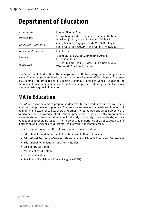## **Department of Education**

| Chairperson:          | Karami-Akkary, Rima                                                                                   |
|-----------------------|-------------------------------------------------------------------------------------------------------|
| Professors:           | Al-Hroub, Anies M.; ; Boulaoude, Saouma B.; Ghaith,<br>Ghazi M.; Jurdak, Murad E.; Khamis, Vivian E.  |
| Associate Professors: | Amin, Tamer G.; Baytiyeh, Hoda M.; El-Mouhayar,<br>Rabih R.; Karami-Akkary, Rima R.; Khishfe, Rola F. |
| Assistant Professor:  | Khalil, Lina                                                                                          |
| Lecturers:            | PBachour, Najla A.; BouZeineddine, Amal R.;<br>El Hassan, Karma                                       |
| Instructors:          | PEl Khatib, Lara; Plouni, Nidal; PShukri Balaa, Rola;<br>PMouawad, Rim; PHout, Hanin                  |

The Department of Education offers programs at both the undergraduate and graduate levels. The undergraduate level program leads to a Bachelor of Arts degree. The post-BA Diploma Program leads to a Teaching Diploma, Diploma in Special Education, or Diploma in Educational Management and Leadership. The graduate program leads to a Master of Arts degree in Education.P

## **MA in Education**

The MA in Education aims to prepare students for further graduate study as well as to improve their professional practice. The program addresses the needs and interests of beginning and experienced teachers and other interested persons whose objective is to advance their knowledge of educational practice in schools. The MA program also prepares students for admission to doctoral study in a variety of related fields, such as educational psychology, research methodology, administrative and policy studies, and instruction and learning of subject matter in a variety of content areas.

The MA program comprises the following areas of concentration:

- Educational Foundations and Policy Studies (not offered at present)
- Educational Psychology (Tests and Measurement or School Guidance and Counseling)
- Educational Administration and Policy Studies
- Elementary Education
- Mathematics Education
- Science Education
- Teaching of English as a Foreign Language (TEFL)

P) Part-time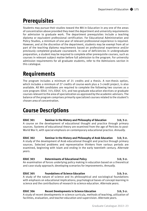## **Prerequisites**

Students may pursue their studies toward the MA in Education in any one of the areas of concentration above provided they meet the department and university requirements for admission to graduate work. The department prerequisites include a teaching diploma or equivalent professional certification. For Educational Administration and Policy Studies, a minimum of one year of relevant professional experience is required. However, and at the discretion of the department, students may be exempt from all or part of the teaching diploma requirements based on professional experience and/or previously completed graduate coursework. In case of deficiencies in undergraduate preparation, a student may be required to complete other prerequisite courses, such as courses in relevant subject matter before full admission to the program. For university admission requirements for all graduate students, refer to the Admissions section in this catalogue.

## **Requirements**

The program includes a minimum of 21 credits and a thesis. A non-thesis option, which includes a minimum of 27 credits of course-work plus a 3-credit project, is also available. All MA candidates are required to complete the following two courses as a core program: EDUC 315; EDUC 321; and two graduate education electives or graduate courses relevant to the area of specialization as approved by the academic advisors. The balance of the program comprises primarily specialized courses related to the student's chosen area of concentration.

## **Course Descriptions**

**EDUC 301 Seminar in the History and Philosophy of Education 3.0; 3 cr.** A course on the development of educational thought and practice through primary sources. Systems of educational theory are examined from the age of Pericles to post-World War II, with special emphasis on contemporary educational practice. *Annually.*

**EDUC 302 Seminar in the History and Philosophy of Arab Education 3.0; 3 cr.** A study of the development of Arab educational thought and practice through primary sources. Selected problems and representative thinkers from various periods are examined, beginning with Islam and ending in the early twentieth century. *Alternate years.*

### **EDUC 303 Determinants of Educational Policy 3.0; 3 cr.** An examination of forces underlying policy making in education based on a theoretical and case study approach; developing scenarios for improvements. *Annually.*

### **EDUC 305 Foundations of Science Education 3.0; 3 cr.**

A study of the nature of science and its philosophical and sociological foundations with emphasis on educational implications; psychological bases of concept-learning in science and the contributions of research to science education. *Alternate years.*

**EDUC 306 Recent Developments in Science Education 3.0; 3 cr.** A study of recent developments in science curricula, methods of teaching, utilization of facilities, evaluation, and teacher education and supervision. *Alternate years.*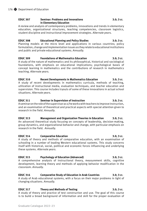### **EDUC 307 Seminar: Problems and Innovations 3.0; 3 cr. in Elementary Education**

A review and analysis of contemporary problems, innovations and trends in elementary education, organizational structures, teaching competencies, classroom logistics, student discipline and instructional improvement strategies. *Alternate years.*

### **EDUC 308 Educational Planning and Policy Studies 3.0; 3 cr.**

Planning models at the micro level and applications in various countries; policy formulation, change and implementation issues as they relate to educational institutions and public and private educational systems. *Annually.*

**EDUC 309 Foundations of Mathematics Education 3.0; 3 cr.** A study of the nature of mathematics and its philosophical, historical and sociological foundations, with emphasis on educational implications; psychological bases of concept learning in mathematics and the contributions of research in mathematics teaching. *Alternate years.*

### **EDUC 310 Recent Developments in Mathematics Education 3.0; 3 cr.**

A study of recent developments in mathematics curricula, methods of teaching, utilization of instructional media, evaluation techniques, and teacher education and supervision. This course includes tryouts of some of these innovations in actual school situations. *Alternate years.*

### **EDUC 311 Seminar in Supervision of Instruction 3.0; 3 cr.**

A seminar on the role of the supervisor as s/he works with teachers to improve instruction, and an examination of theoretical and practical aspects with special attention given to research in the field. *Annually.*

### **EDUC 313 Management and Organization Theories in Education 3.0; 3 cr.**

An advanced theoretical study focusing on concepts of leadership, decision-making, group dynamics, and organizational behavior and change, with particular emphasis on research in the field. *Annually.*

### **EDUC 314 Comparative Education 3.0; 3 cr.** A study of theory and methods of comparative education, with an examination of

schooling in a number of leading Western educational systems. This study concerns itself with historical, social, political and economic forces influencing and underlying these systems. *Alternate years.*

### **EDUC 315 Psychology of Education (Advanced) 3.0; 3 cr.**

A comprehensive analysis of instructional theory, measurement skills, cognitive development, learning theory and methods of applying behavior modification in the classroom. *Annually.*

### **EDUC 316 Comparative Study of Education in Arab Countries 3.0; 3 cr.**

A study of Arab educational systems, with a focus on their major problems in light of changing situations. *Annually.*

### **EDUC 317 Theory and Methods of Testing 3.0; 3 cr.**

A study of theory and practice of test construction and use. The goal of this course is to build a broad background of information and skill for the proper evaluation of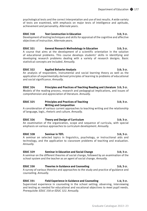psychological tests and the correct interpretation and use of test results. A wide variety of tests are examined, with emphasis on major tests of intelligence and aptitude, achievement and personality. *Alternate years.*

### **EDUC 318 Test Construction in Education 3.0; 3 cr.**

Development of testing techniques and skills for appraisal of the cognitive and affective objectives of instruction. *Alternate years.*

### **EDUC 321 General Research Methodology in Education 3.0; 3 cr.**

A course that aims at the development of a scientific orientation in the solution of educational problems. This course develops students' skills in identifying and developing research problems dealing with a variety of research designs. Basic statistical concepts are included. *Annually.*

### **EDUC 322 Applied Behavior Analysis 3.0; 3 cr.**

An analysis of respondent, instrumental and social learning theory as well as the application of experimentally derived principles of learning to problems of educational and social significance. *Annually.*

### **EDUC 324 Principles and Practices of Teaching Reading and Literature 3.0; 3 cr.**

Models of the reading process, research and pedagogical implications, and issues of comprehension and appreciation of literature. *Annually.*

### **EDUC 325 Principles and Practices of Teaching 3.0; 3 cr. Writing and Composition**

A consideration of various current approaches to teaching writing and the relationship of language, logic, rhetoric and culture. *Annually.*

### **EDUC 326 Theory and Design of Curriculum 3.0; 3 cr.**

An examination of the organization, scope and sequence of curricula, with special emphasis on various approaches to curriculum development. *Annually.*

**EDUC 328** Seminar in TEFL 3.0; 3 cr. A seminar on selected topics in linguistics, psychology, or instructional aids and technology, and the application to classroom problems of teaching and evaluation. *Annually.*

### **EDUC 329 Seminar in Education and Social Change 3.0; 3 cr.**

A seminar on the different theories of social change, followed by an examination of the school system and the teacher as an agent of social change. *Annually.*

### **EDUC 330 Theories in Guidance and Counseling 3.0; 3 cr.**

A survey of various theories and approaches to the study and practice of guidance and counseling. *Annually.*

### **EDUC 331 Field Experience in Guidance and Counseling 1.4; 3 cr.**

Supervised experience in counseling in the school setting; observing, interviewing and testing as needed for educational and vocational objectives to meet pupil needs. *Prerequisite: EDUC 330 or EDUC 322. Annually.*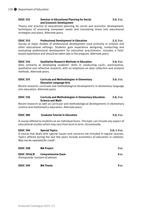### **EDUC 332 Seminar in Educational Planning for Social 3.0; 3 cr. and Economic Development**

Theory and practice of educational planning for social and economic development; techniques of assessing manpower needs and translating these into educational strategies and plans. *Alternate years.*

### **EDUC 333 Professional Development in Education 2.2; 3 cr.**

Survey of major models of professional development used primarily in schools and other educational settings. Students gain experience designing, conducting and evaluating professional development for education practitioners. Includes a fieldbased experience and should be taken late in the program. *Alternate years.*

**EDUC 334 Qualitative Research Methods in Education 3.0; 3 cr.** Aims primarily at developing students' skills in conducting cyclic, participative, qualitative and reflective research, with an emphasis on data collection and analysis methods. *Alternate years.*

### **EDUC 335 Curricula and Methodologies in Elementary 3.0; 3 cr. Education Language Arts**

Recent research, curricular and methodological developments in elementary language arts education. *Alternate years.*

#### **EDUC 336 Curricula and Methodologies in Elementary Education: 3.0; 3 cr. Science and Math**

Recent research as well as curricular and methodological developments in elementary science and mathematics education. *Alternate years.*

### **EDUC 380 Graduate Tutorial in Education 3.0; 3 cr.**

A course offered to students on an individual basis. The topic can include any aspect of educational studies which may vary from term to term. *Occasionally.*

### **EDUC 390 Special Topics 3.0; 1-3 cr.**

A course that deals with special issues and concerns not included in regular courses. Topics offered during the last few years include economics of education in Lebanon. *May not be repeated for credit.*

| <b>EDUC 398</b>                                         | <b>MA Project</b>         | 3 cr. |
|---------------------------------------------------------|---------------------------|-------|
| <b>EDUC 395A/B</b><br>Prerequisite: Consent of advisor. | <b>Comprehensive Exam</b> | 0 cr. |

**EDUC 399 MA Thesis 9 cr.**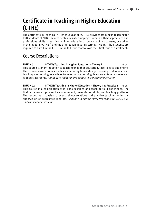# **Certificate in Teaching in Higher Education (C-THE)**

The Certificate in Teaching in Higher Education (C-THE) provides training in teaching for PhD students at AUB. The certificate aims at equipping students with best practices and professional skills in teaching in higher education. It consists of two courses, one taken in the fall term (C-THE I) and the other taken in spring term (C-THE II). PhD students are required to enroll in the C-THE in the fall term that follows their first term of enrollment.

## Course Descriptions

**EDUC 401 C-THE I: Teaching in Higher Education – Theory I 0 cr.**  This course is an introduction to teaching in higher education, face-to-face and online. The course covers topics such as course syllabus design, learning outcomes, and teaching methodologies such as transformative learning, learner-centered classes and flipped classrooms. *Annually in fall term. Pre-requisite: consent of instructor.*

**EDUC 402 C-THE II: Teaching in Higher Education – Theory II & Practicum 0 cr.**  This course is a combination of in-class sessions and teaching field experience. The first part covers topics such as assessment, presentation skills, and teaching portfolio. The second part consists of practical observations and practice teaching under the supervision of designated mentors. *Annually in spring term. Pre-requisite: EDUC 401 and consent of instructor*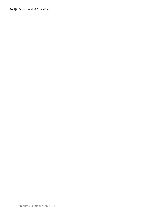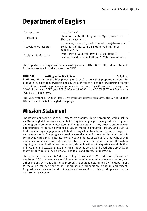# **Department of English**

| Chairperson:                 | Hout, Syrine C.                                                                                                             |
|------------------------------|-----------------------------------------------------------------------------------------------------------------------------|
| Professors:                  | Choueiri, Lina G.; Hout, Syrine C.; Myers, Robert E.;<br>Shaaban, Kassim A.                                                 |
| Associate Professors:        | Gonsalves, Joshua D.; Harb, Sirène H.; Mejcher-Atassi,<br>Sonja; Khalaf, Roseanne S.; Mehmood Ali, Tariq;<br>Zenger, Amy A. |
| <b>Assistant Professors:</b> | Avant, Doyle R.; Currell, David A.; Issa, Rana H.;<br>Landes, David; Maude, Kathryn R; Waterman, Adam J.                    |

The Department of English offers one writing course, ENGL 300, to all graduate students in the university who did not meet the RUSE.

### **ENGL 300 Writing in the Disciplines 3.0; 0 cr.**

ENGL 300 Writing in the Disciplines 3.0; 0 cr. A course that prepares students for graduate-level academic writing, and covers such topics as academic writing in different disciplines, the writing process, argumentation and working with sources. Prerequisite: 500-529 on the AUB EEE (new EEE: 32-39) or 573-582 on the TOEFL (PBT) or 88-96 on the TOEFL (IBT). Each term.

The Department of English offers two graduate degree programs: the MA in English Literature and the MA in English Language.

## **Mission Statement**

The Department of English at AUB offers two graduate degree programs, which include an MA in English Literature and an MA in English Language. These graduate programs aim to ground students in literature and language studies. They provide students with opportunities to pursue advanced study in multiple linguistic, literary and cultural traditions through engagement with texts in English, in translation, between languages and across media. The programs provide a solid academic basis for those who wish to continue toward a PhD in literature or language studies, as well as for those who wish to pursue a career in writing, publishing, editing, teaching and related areas. Through an ongoing process of critical self-reflection, students will attain experience and abilities in linguistic and textual analysis, critical thought, writing and aesthetic appreciation that will contribute to their personal, academic and professional growth.

The requirements for an MA degree in English consist of 21 credit hours in courses numbered 300 or above, successful completion of a comprehensive examination, and a thesis along with any additional prerequisite courses determined by the department to make up for deficiencies in undergraduate preparation. General requirements for graduate study are found in the Admissions section of this catalogue and on the departmental website.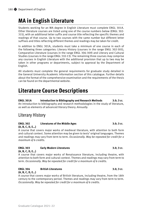# **MA in English Literature**

Students working for an MA degree in English Literature must complete ENGL 301A. Other literature courses are listed using one of the course numbers below (ENGL 302- 315), with an additional letter suffix and course title reflecting the specific themes and readings of that course. Up to two courses with the same number but different letter suffixes and titles reflecting different themes and readings may be taken for credit.

In addition to ENGL 301A, students must take a minimum of one course in each of the following three categories: Literary History (courses in the range ENGL 302-305), Comparative Literature (courses in the range ENGL 306-309) and Literary and Cultural Studies (courses in the range ENGL 310-13). The remaining three courses may comprise any courses in English Literature with the additional provision that up to two may be taken in other programs or departments, subject to approval by the Department of English.

All students must complete the general requirements for graduate study detailed in the General University Academic Information section of this catalogue. Further details about the format of the comprehensive examination and the requirements of the thesis can be found on the departmental website.

# **Literature Course Descriptions**

**ENGL 301A Introduction to Bibliography and Research Methods 3.0; 3 cr.** An introduction to bibliography and research methodologies in the study of literature, as well as elements of advanced literary theory. *Annually.*

## Literary History

### **ENGL 302 Literatures of the Middle Ages 3.0; 3 cr. (A, B, C, D, E…)**

A course that covers major works of medieval literature, with attention to both form and cultural context. Some attention may be given to texts' original languages. Themes and readings may vary from term to term. *Occasionally. May be repeated for credit for a maximum of 6 credits.* 

### **ENGL 303 Early Modern Literatures 3.0; 3 cr.**

**(A, B, C, D, E…)**

A course that covers major works of Renaissance literature, including theatre, with attention to both form and cultural context. Themes and readings may vary from term to term. *Occasionally. May be repeated for credit for a maximum of 6 credits.*

### **ENGL 304 British Literatures 3.0; 3 cr.**

**(A, B, C, D, E…)**

A course that covers major works of British literature, including theatre, from the 18th century to the contemporary period. Themes and readings may vary from term to term. *Occasionally. May be repeated for credit for a maximum of 6 credits.*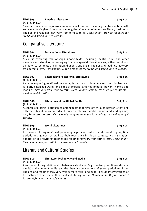## **(A, B, C, D, E…)** A course that covers major works of American literature, including theatre and film, with

some emphasis given to relations among the wide array of American literary traditions. Themes and readings may vary from term to term. *Occasionally. May be repeated for credit for a maximum of 6 credits.*

### Comparative Literature

### **ENGL 306 Transnational Literatures 3.0; 3 cr. (A, B, C, D, E…)**

A course exploring relationships among texts, including theatre, film, and other narrative and visual forms, emerging from a range of different locales, with an emphasis on historical contexts of migration, diaspora and crisis. Themes and readings may vary from term to term. *Occasionally. May be repeated for credit for a maximum of 6 credits.*

### **ENGL 307 Colonial and Postcolonial Literatures 3.0; 3 cr. (A, B, C, D, E…)**

A course exploring relationships among texts that circulate between the colonized and formerly colonized world, and sites of imperial and neo-imperial power. Themes and readings may vary from term to term. *Occasionally. May be repeated for credit for a maximum of 6 credits.*

#### **ENGL 308 Literatures of the Global South 3.0; 3 cr. (A, B, C, D, E…)**

A course exploring relationships among texts that circulate through networks that link different sites of the colonized and formerly colonized world. Themes and readings may vary from term to term. *Occasionally. May be repeated for credit for a maximum of 6 credits.*

### **ENGL 309 World Literatures 3.0; 3 cr. (A, B, C, D, E…)**

A course exploring relationships among significant texts from different origins, time periods and genres, as well as their resonance in global contexts via translation, adaptation and rewriting. Themes and readings may vary from term to term. *Occasionally. May be repeated for credit for a maximum of 6 credits.*

## Literary and Cultural Studies

### **ENGL 310 Literature, Technology and Media 3.0; 3 cr. (A, B, C, D, E…)**

A course exploring relationships between established (e.g. theatre, print, film and visual media) and emergent media, and the changing conventions of genre, period and form. Themes and readings may vary from term to term, and might include interrogations of the histories of cinematic, theatrical and literary culture. *Occasionally. May be repeated for credit for a maximum of 6 credits.*

**ENGL 305 American Literatures 3.0; 3 cr.**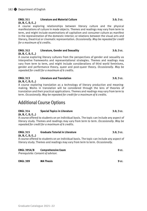### **ENGL 311 Literature and Material Culture 3.0; 3 cr.**

### **(A, B, C, D, E…)**

A course exploring relationships between literary culture and the physical manifestations of culture in made objects. Themes and readings may vary from term to term, and might include examinations of capitalism and consumer culture as manifest in the representation of the domestic interior; or relations between the visual arts and literary, theatrical or cinematic representation. *Occasionally. May be repeated for credit for a maximum of 6 credits.*

### **ENGL 312 Literature, Gender and Sexuality 3.0; 3 cr. (A, B, C, D, E…)**

A course exploring literary cultures from the perspectives of gender and sexuality as interpretive frameworks and representational strategies. Themes and readings may vary from term to term, and might include considerations of third world feminisms, gender and performance theory, queer and post-queer theory. *Occasionally. May be repeated for credit for a maximum of 6 credits.*

### **ENGL 313 Literature and Translation 3.0; 3 cr.**

**(A, B, C, D, E…)** A course exploring translation as a technology of literary production and meaningmaking. Works in translation will be considered through the lens of theories of translation and their practical applications. Themes and readings may vary from term to term. *Occasionally. May be repeated for credit for a maximum of 6 credits.*

## Additional Course Options

### **ENGL 314 Special Topics in Literature 3.0; 3 cr.**

**(A, B, C, D, E…)** A course offered to students on an individual basis. The topic can include any aspect of literary study. Themes and readings may vary from term to term. *Occasionally. May be repeated for credit for a maximum of 6 credits.*

#### **ENGL 315 Graduate Tutorial in Literature 3.0; 3 cr. (A, B, C, D, E…)**

A course offered to students on an individual basis. The topic can include any aspect of literary study. Themes and readings may vary from term to term. *Occasionally.*

### **ENGL 395A/B Comprehensive Exam 0 cr.**

*Prerequisite: Consent of advisor.*

**ENGL 399 MA Thesis 9 cr.**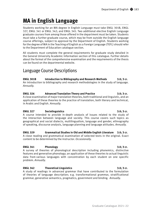# **MA in English Language**

Students working for an MA degree in English Language must take ENGL 301B, ENGL 327, ENGL 341 or ENGL 342; and ENGL 345. Two additional elective English Language graduate courses from among those offered in the department must be taken. Students must take a further graduate course, which may be from outside the English language course offerings, subject to approval by the Department of English. Students working for the degree of MA in the Teaching of English as a Foreign Language (TEFL) should refer to the Department of Education catalogue section.

All students must complete the general requirements for graduate study detailed in the General University Academic Information section of this catalogue. Further details about the format of the comprehensive examination and the requirements of the thesis can be found on the departmental website.

## Language Course Descriptions

**ENGL 301B Introduction to Bibliography and Research Methods 3.0; 3 cr.** An introduction to bibliography and research methodologies in the study of language. *Annually.*

### **ENGL 326 Advanced Translation Theory and Practice 3.0; 3 cr.**

A close examination of major translation theories, both traditional and linguistic, and an application of these theories to the practice of translation, both literary and technical, in Arabic and English. *Annually.*

### **ENGL 327 Sociolinguistics 3.0; 3 cr.**

A course intended to provide in-depth analysis of issues related to the study of the interaction between language and society. This course covers such topics as geographical and social dialects, multilingualism, language and gender, ethnography of speaking, discourse analysis, language planning and language attitudes. *Annually.*

### **ENGL 329 Grammatical Studies in Old and Middle English Literature 3.0; 3 cr.**

A close reading and grammatical examination of selected texts in the original. Exact content to be determined by the instructor. *Occasionally.*

### **ENGL 341** Phonology 3.0; 3 cr.

A survey of theories of phonological description including phonemics, distinctive features and generative phonology; an application of these theories to actual linguistic data from various languages with concentration by each student on one specific problem. *Annually.*

### **ENGL 342 Theoretical Linguistics 3.0; 3 cr.**

A study of readings in advanced grammar that have contributed to the formulation of theories of language description; e.g. transformational grammar, stratificational grammar, generative semantics, pragmatics, government and binding. *Annually.*

### Graduate Catalogue 2021–22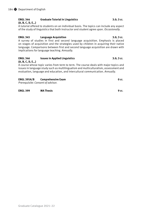### **ENGL 344 Graduate Tutorial in Linguistics 3.0; 3 cr.**

### **(A, B, C, D, E…)**

A tutorial offered to students on an individual basis. The topics can include any aspect of the study of linguistics that both instructor and student agree upon. *Occasionally.*

### **ENGL 345 Language Acquisition 3.0; 3 cr.**

A survey of studies in first and second language acquisition. Emphasis is placed on stages of acquisition and the strategies used by children in acquiring their native language. Comparisons between first and second language acquisition are drawn with implications for language teaching. *Annually.*

### **ENGL 346 Issues in Applied Linguistics 3.0; 3 cr. (A, B, C, D, E…)**

A course whose topic varies from term to term. The course deals with major topics and issues in language study such as multilingualism and multiculturalism, assessment and evaluation, language and education, and intercultural communication. *Annually.*

### **ENGL 395A/B Comprehensive Exam 0 cr.**

*Prerequisite: Consent of advisor.* 

**ENGL 399 MA Thesis 9 cr.**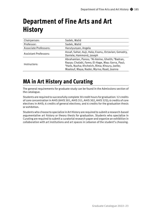# **Department of Fine Arts and Art History**

| Chairperson:                                                                                                    | Sadek, Walid                                                                                                                                                                                      |
|-----------------------------------------------------------------------------------------------------------------|---------------------------------------------------------------------------------------------------------------------------------------------------------------------------------------------------|
| Professor:                                                                                                      | Sadek, Walid                                                                                                                                                                                      |
| <b>Associate Professors:</b><br>Harutyunyan, Angela                                                             |                                                                                                                                                                                                   |
| Assaf, Sahar; Auji, Hala; Esanu, Octavian; Genadry,<br><b>Assistant Professors:</b><br>Daniele; Hammond, Joseph |                                                                                                                                                                                                   |
| Instructors:                                                                                                    | Abrahamian, Panos; PAI-Amine, Gheith; PBadran,<br>Rayya; Chalabi, Fares; El-Hage, May; Gorra, Paul;<br>PHarb, Nazha; Khcheich, Rima; Khoury, Joelle;<br>Maalouf, Maya; Nader, Myrna; Raad, Joanna |

# **MA in Art History and Curating**

The general requirements for graduate study can be found in the Admissions section of the catalogue.

Students are required to successfully complete 30 credit hours for graduation: 12 credits of core concentration in AHIS (AHIS 301, AHIS 311, AHIS 302, AHIS 325); 6 credits of core electives in AHIS; 6 credits of general electives; and 6 credits for the graduation thesis or exhibition.

Students who choose to specialize in Art History are required to submit a research-based argumentative art history or theory thesis for graduation. Students who specialize in Curating are required to submit a curatorial research paper and organize an exhibition in collaboration with art institutions and art spaces in Lebanon of the student's choosing.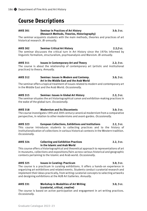# **Course Descriptions**

#### **AHIS 301 Seminar in Practices of Art History 3.0; 3 cr. (Research Methods, Theories, Historiography)**

The seminar acquaints students with the main methods, theories and practices of art historical research. *Bi-annually.*

#### **AHIS 302 Seminar Critical Art History 2.2;3 cr.** The seminar discusses the critical turn in Art History since the 1970s informed by linguistic formalism, structuralism, psychoanalysis and Marxism. *Bi-annually.*

### **AHIS 311 Issues in Contemporary Art and Theory 2.2; 3 cr.**

The course is about the relationship of contemporary art (artistic and institutional practices) to theory. *Annually.*

### **AHIS 312 Seminar: Issues in Modern and Contemp. 3.0; 3 cr. Art in the Middle East and the Arab World**

The seminar offers a topical treatment of issues related to modern and contemporary art in the Middle East and the Arab World. *Occasionally.*

### **AHIS 315 Seminar: Issues in Global Art History 2.2; 3 cr.**

The seminar situates the art historiographical canon and exhibition-making practices in the wake of the global turn. *Occasionally.* 

#### **AHIS 318 Modernism and Its Discontents 3.0; 3 cr.**  The course investigates 19th and 20th century canonical modernism from a comparative

perspective, in relation to other modernisms and avant-gardes. *Occasionally.*

### **AHIS 323 European Collections, Exhibitions and Institutions 2.2, 3 cr.**

This course introduces students to collecting practices and to the history of institutionalization of collections in various historical contexts in the Western tradition. *Occasionally.*

### **AHIS 324 Collecting and Exhibition Practices 2.2, 3 cr. in the Islamic and Arab World**

This course offers a historiographical and theoretical approach to representations of art in museums, collections and expositions/fairs across various historical and geographic contexts pertaining to the Islamic and Arab world. *Occasionally*.

### **AHIS 325 Issues in Curating: Practicum 3.0; 3 cr.**

The course is a practicum in curating exhibitions. It offers a hands-on experience in organizing art exhibitions and related events. Students conduct curatorial research and implement their ideas practically, from writing curatorial concepts to selecting artworks and designing exhibitions at the AUB Art Galleries. *Annually*.

### **AHIS 331 Workshop in Modalities of Art Writing 3.0; 3 cr. (curatorial, critical, creative)**

The course is based on active participation and engagement in art writing practices. *Occasionally.*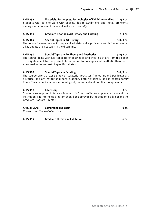### **AHIS 335 Materials, Techniques, Technologies of Exhibition-Making 2.2; 3 cr.**

Students will learn to work with spaces, design exhibitions and install art works, amongst other relevant technical skills. *Occasionally.*

### **AHIS 313 Graduate Tutorial in Art History and Curating 1-3 cr.**

### **AHIS 349 Special Topics in Art History 3.0; 3 cr.**

The course focuses on specific topics of art historical significance and is framed around a key debate or discussion in the discipline.

### **AHIS 350 Special Topics in Art Theory and Aesthetics 3.0; 3 cr.**

The course deals with key concepts of aesthetics and theories of art from the epoch of Enlightenment to the present. Introduction to concepts and aesthetic theories is examined in the context of specific debates.

### **AHIS 385 Special Topics in Curating 3.0; 3 cr.**

The course offers a close study of curatorial practices framed around particular art historical and art institutional constellations, both historically and in contemporary times. The course includes methodological, theoretical and practical components.

### **AHIS 390 Internship 0 cr.**

Students are required to take a minimum of 40 hours of internship in an art and cultural institution. The internship program should be approved by the student's advisor and the Graduate Program Director.

### **AHIS 395A/B Comprehensive Exam OCT. OCT.**

*Prerequisite: Consent of advisor.*

### **AHIS 399 Graduate Thesis and Exhibition 6 cr.**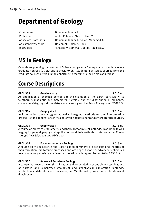# **Department of Geology**

| Chairperson:          | Doummar, Joanna J.                                 |
|-----------------------|----------------------------------------------------|
| Professor:            | Abdel-Rahman, Abdel-Fattah M.                      |
| Associate Professors: | Doummar, Joanna J.; Salah, Mohamed K.              |
| Assistant Professors: | Haidar, Ali T; Nemer, Tony.                        |
| Instructors:          | <sup>P</sup> Khadra, Wisam M.; POueida, Raghida S. |

# **MS in Geology**

Candidates pursuing the Master of Science program in Geology must complete seven graduate courses (21 cr.) and a thesis (9 cr.). Students may select courses from the graduate courses offered in the department according to their fields of interest.

# **Course Descriptions**

### **GEOL 303 Geochemistry 3.0; 3 cr.**

An application of chemical concepts to the evolution of the Earth, particularly its weathering, magmatic and metamorphic cycles, and the distribution of elements; cosmochemistry, crystal chemistry and aqueous geo-chemistry. *Prerequisite: GEOL 211*.

### **GEOL 304 Geophysics I 3.0; 3 cr.**

An introduction to seismic, gravitational and magnetic methods and their interpretation procedures and applications in the exploration of petroleum and other natural resources.

### **GEOL 305 Geophysics II 3.0; 3 cr.**

A course on electrical, radiometric and thermal geophysical methods, in addition to well logging for general geophysical applications and their methods of interpretation. *Pre- or corequisites: GEOL 221 and GEOL 222.*

### **GEOL 306 Economic Minerals Geology 3.0; 3 cr.**

A course on the occurrence and classification of mineral ore deposits and theories of their formation; ore forming processes and ore deposit models; advanced techniques to evaluate ore genesis; and mineral exploration techniques. *Prerequisite: GEOL 211.*

### **GEOL 307 Advanced Petroleum Geology 3.0; 3 cr.**

A course that covers the origin, migration and accumulation of petroleum; applications of surface and subsurface geological and geophysical exploration methods, production, and development processes; and Middle East hydrocarbon exploration and development.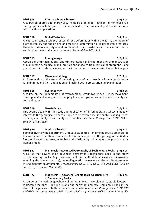### **GEOL 308 Alternate Energy Sources 3.0; 3 cr.**

A course on energy and energy use, including a detailed treatment of non-fossil fuel energy options including nuclear, biomass, hydro, wind, solar and geothermal methods, with practical applications.

### **GEOL 310 Global Tectonics 3.0; 3 cr.**

A course on large-scale processes of rock deformation within the Earth, the theory of plate tectonics, and the origins and modes of deformation of major tectonic features. These include ocean ridges and continental rifts, transform and transcurrent faults, subduction zones and mountain ranges. *Prerequisite: GEOL 213*.

### **GEOL 313 Photogeology 2.2; 3 cr.**

A course on the principles of air photo interpretation and remote sensing; the construction of planimetric geological maps, profiles and mosaics from vertical photographs using pocket and mirror stereoscopes, and an introduction to the analysis of satellite imagery.

### **GEOL 317 Micropaleontology 2.2; 3 cr.**

An introduction to the study of the main groups of microfossils, with emphasis on the foraminifera, and their application and techniques in preparation for examination.

### **GEOL 318 Hydrogeology 3.0; 3 cr.**

A course on the fundamentals of hydrogeology; groundwater occurrence, movement, development and management; pumping tests; and groundwater chemistry, quality and contamination.

### **GEOL 319 Geostatistics 2.2; 3 cr.**

This course deals with the study and application of different statistical techniques of interest to the geological sciences. Topics to be covered include analysis of sequences of data, map analysis and analysis of multivariate data. *Prerequisite: GEOL 213 or consent of instructor.* 

### **GEOL 320 Graduate Seminar 3.0; 3 cr.**

Seminar given by the department. Graduate students attending the course are required to cover a particular theme on one of the various aspects of the geology of the Middle East, such as earthquakes, tectonism and stratigraphy of the region, magmatism in the Nubian shield.

### **GEOL 321 Diagenesis I: Advanced Petrography of Sedimentary Rocks 3.0; 3 cr.**

A course that covers some advanced petrographic techniques used in the study of sedimentary rocks (e.g., conventional and cathodoluminescence microscopy, scanning electron microscopy), major diagenetic processes and the resultant products in sedimentary environments. *Prerequisites: GEOL 212, GEOL 214 and GEOL 222; or consent of instructor. Biannually.*

### **GEOL 322 Diagenesis II: Advanced Techniques in Geochemistry 3.0; 3 cr. of Sedimentary Rocks**

A course on the various geochemical methods (e.g., trace elements, stable isotopes, radiogenic isotopes, fluid inclusions and microthermometry) commonly used in the study of diagenesis of both carbonate and clastic reservoirs. *Prerequisites: GEOL 212 and GEOL 222; corequisites: GEOL 214 and GEOL 222; or consent of instructor. Biannually*.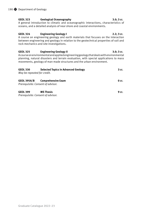Graduate Catalogue 2022–23

#### **GEOL 323 Geological Oceanography 3.0; 3 cr.** A general introduction to climatic and oceanographic interactions, characteristics of oceans, and a detailed analysis of near shore and coastal environments.

### **GEOL 324 Engineering Geology I 2.2; 3 cr.**

A course on engineering geology and earth materials that focuses on the interaction between engineering and geology in relation to the geotechnical properties of soil and rock mechanics and site investigations.

### **GEOL 325 Engineering Geology II 3.0; 3 cr.** A course on environmental and applied engineering geology that deals with environmental

| A course on environmental and applied engineering geology that deals with environmental |
|-----------------------------------------------------------------------------------------|
| planning, natural disasters and terrain evaluation, with special applications to mass   |
| movements, geology of man-made structures and the urban environment.                    |

| <b>GEOL 330</b>             | <b>Selected Topics in Advanced Geology</b>                          | 3 cr. |
|-----------------------------|---------------------------------------------------------------------|-------|
| May be repeated for credit. |                                                                     |       |
|                             | GEOL 395A/B Comprehensive Exam<br>Prerequisite: Consent of advisor. | 0 cr. |
| <b>GEOL 399</b>             | <b>MS Thesis</b>                                                    | 9 cr. |
|                             | Prerequisite: Consent of advisor.                                   |       |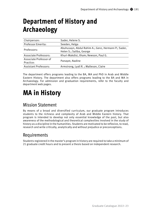# **Department of History and Archaeology**

| Chairperson:                        | Sader, Helene S.                                                                |
|-------------------------------------|---------------------------------------------------------------------------------|
| Professor Emerita:                  | Seeden, Helga                                                                   |
| Professors:                         | Abuhusayn, Abdul Rahim A.; Genz, Hermann P.; Sader,<br>Helen S.; Saliba, George |
| <b>Associate Professors:</b>        | Khuri-Makdisi, Ilham; Newson, Paul G.                                           |
| Associate Professor of<br>Practice: | Panayot, Nadine                                                                 |
| <b>Assistant Professors:</b>        | Armstrong, Lyall R.; Malleson, Claire                                           |

The department offers programs leading to the BA, MA and PhD in Arab and Middle Eastern History. The department also offers programs leading to the BA and MA in Archaeology. For admission and graduation requirements, refer to the faculty and department web pages.

# **MA in History**

## Mission Statement

By means of a broad and diversified curriculum, our graduate program introduces students to the richness and complexity of Arab and Middle Eastern history. That program is intended to develop not only essential knowledge of the past, but also awareness of the methodological and theoretical complexities involved in the study of history as a discipline in the humanities. Students are motivated to be reflexive, to read, research and write critically, analytically and without prejudice or preconceptions.

## Requirements

Students registered in the master's program in history are required to take a minimum of 21 graduate credit hours and to present a thesis based on independent research.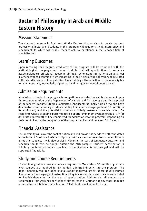# **Doctor of Philosophy in Arab and Middle Eastern History**

### Mission Statement

The doctoral program in Arab and Middle Eastern History aims to create top-rank professional historians. Students in this program will acquire critical, interpretive and research skills, which will enable them to achieve excellence in their chosen field of specialization.

## Learning Outcomes

Upon receiving their degree, graduates of the program will be equipped with the methodological, language and research skills that will qualify them to serve as academicians or professional researchers in local, regional and international universities; in other advanced centers of higher learning in their fields of specialization; or in related cultural and inter-disciplinary studies. Their training will enable them to become eligible for administrative, journalistic, diplomatic and non-governmental posts as well.

## Admission Requirements

Admission to the doctoral program is competitive and selective and is dependent upon the recommendation of the Department of History and Archaeology and the approval of the faculty Graduate Studies Committee. Applicants normally hold an MA and have demonstrated outstanding academic ability (minimum average grade of 3.2 (or 80) or its equivalent) and the potential to conduct scholarly research. In certain cases, BA recipients whose academic performance is superior (minimum average grade of 3.7 (or 85) or its equivalent) will be considered for admission into the program. Depending on their point of entry, the completion of the program will extend between 3 to 5 years.

## Financial Assistance

The university will cover the cost of tuition and will provide stipends to PhD candidates in the form of Graduate Assistantship support on a merit or need basis. In addition to a housing subsidy, it will also assist in covering the cost of language education and research should this be sought outside the AUB campus. Student participation in scholarly conferences, which can lead to publications, is encouraged and will be supported financially.

## Study and Course Requirements

18 credits of graduate level courses are required for MA holders. 36 credits of graduate level courses are required for BA holders admitted directly into the program. The department may require students to take additional graduate or undergraduate courses if necessary. The language of instruction is English. Arabic, however, may be substituted for English depending on the area of specialization. Additionally, all students are required to attain working knowledge of either French or German and any other language required by their field of specialization. All students must submit a thesis.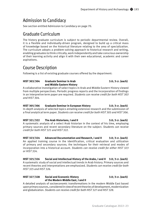## Admission to Candidacy

See section entitled Admission to Candidacy on page 70.

## Graduate Curriculum

The history graduate curriculum is subject to periodic departmental review. Overall, it is a flexible and individually-driven program, designed to build up a critical mass of knowledge based on the historical literature relating to the area of specialization. The curriculum adopts a problem-solving approach to historical research and writing, enabling graduates to think critically, work independently and take conscious ownership of their learning activity and align it with their own educational, academic and career aspirations.

## Course Description

Following is a list of existing graduate courses offered by the department:

### **HIST 303/304 Graduate Seminar in Arab 3.0; 3 cr. (each) and Middle Eastern History**

A collaborative investigation of select topics in Arab and Middle Eastern History viewed from multiple perspectives. Periodic progress reports and the incorporation of findings in an interpretive term paper are required. *Students can receive credit for both HIST 303 and HIST 304.*

### **HIST 305/306 Graduate Seminar in European History 3.0; 3 cr. (each)**

In-depth analysis of selected topics entailing extensive research and the submission of a final analytical term paper. *Students can receive credit for both HIST 305 and HIST 306*.

### **HIST 321/322 The Arab Historians, I and II 3.0; 3 cr. (each)**

A systematic analysis of a select Arab historian in the context of his time, employing primary sources and recent secondary literature on the subject. *Students can receive credit for both HIST 321 and HIST 322.*

**HIST 323/324 Advanced Documentation and Research, I and II 3.0; 3 cr. (each)** An applied training course in the identification, critical evaluation and utilization of primary and secondary sources; the techniques for their retrieval and modes of incorporation into a historical account. *Students can receive credit for either HIST 323 or HIST 324.*

**HIST 325/326 Social and Intellectual History of the Arabs, I and II 3.0; 3 cr. (each)** A systematic study of social and intellectual trends in Arab history. Primary sources and recent theories and interpretations are emphasized. *Students can receive credit for both HIST 325 and HIST 326.*

### **HIST 327/328 Social and Economic History 3.0; 3 cr. (each) of the Modern Middle East, I and II**

A detailed analysis of socioeconomic transformations in the modern Middle East based upon primary sources, considered in view of recent theories of development, modernization and globalization. *Students can receive credit for both HIST 327 and HIST 328.*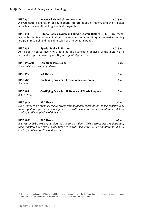### 194 Department of History and Archaeology

| HIST 330                       | <b>Advanced Historical Interpretation</b><br>A systematic examination of key modern interpretations of history and their impact<br>upon historical methodology and historiography.                                          | $3.0; 3$ cr. |
|--------------------------------|-----------------------------------------------------------------------------------------------------------------------------------------------------------------------------------------------------------------------------|--------------|
| HIST 331                       | Tutorial Topics in Arab and Middle Eastern History 3.0; 3 cr. (each)<br>A directed individual examination of a selected topic entailing an intensive reading<br>program, research and the submission of a model term paper. |              |
| <b>HIST 332</b>                | <b>Special Topics in History</b><br>An in-depth course involving a detailed and systematic analysis of the history of a<br>particular topic, area or region. May be repeated for credit.                                    | $3.0; 3$ cr. |
| <b>HIST 395A/B</b>             | <b>Comprehensive Exam</b><br>Prerequisite: Consent of advisor.                                                                                                                                                              | 0 cr.        |
| <b>HIST 399</b>                | <b>MA Thesis</b>                                                                                                                                                                                                            | 9 cr.        |
| <b>HIST 480</b><br>Every term. | <b>Qualifying Exam Part I: Comprehensive Exam</b>                                                                                                                                                                           | 0 cr.        |
| <b>HIST 481</b><br>Every term. | <b>Qualifying Exam Part II: Defense of Thesis Proposal</b>                                                                                                                                                                  | 0 cr.        |

**HIST 4841 PhD Thesis 30 cr.** *Every term. To be taken by regular track PhD students. Taken at first thesis registration, then registered for every subsequent term with sequential letter annotations (A-L; 0 credits) until completion of thesis work.*

### **HIST 4881 PhD Thesis 42 cr.** *Every term. To be taken by accelerated track PhD students. Taken at first thesis registration, then registered for every subsequent term with sequential letter annotations (A-L; 0 credits) until completion of thesis work.*

<sup>1)</sup> The choice to register for HIST 484 should be done in consultation with the thesis advisor to ensure that the total number of PhD thesis credits and PhD course credits are met as per AUB rules and regulations.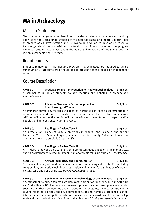# **MA in Archaeology**

### Mission Statement

The graduate program in Archaeology provides students with advanced working knowledge and critical understanding of the methodological and theoretical principles of archaeological investigation and fieldwork. In addition to developing essential knowledge about the material and cultural roots of past societies, the program enhances student awareness about the value and relevance of Lebanon's and the region's archaeological heritage.

### Requirements

Students registered in the master's program in archaeology are required to take a minimum of 21 graduate credit hours and to present a thesis based on independent research.

## Course Description

**AROL 301 Graduate Seminar: Introduction to Theory in Archaeology 3.0; 3 cr.** A seminar to introduce students to key theories and debates in archaeology. *Alternate* years.

### **AROL 302 Advanced Seminar in Current Approaches 3.0; 3 cr. to Archaeological Theory**

A seminar on current key theories and debates in archaeology, such as center/periphery, economics and world systems analysis, power and hierarchy, cognitive archaeology, critiques of ideology or the politics of interpretation and presentation of the past, native peoples and gender issues. *Alternate years.*

#### **AROL 303 Readings in Ancient Texts I 3.0; 3 cr.**  An introduction to ancient Semitic epigraphy in general, and to one of the ancient Eastern or Western Semitic languages in particular. Alternately, Akkadian, Phoenician or Aramaic texts are studied. *Occasionally.*

### **AROL 304 Readings in Ancient Texts II 3.0; 3 cr.**

An in-depth study of a particular ancient Semitic language based on grammar and text analysis. Alternately, Akkadian, Phoenician or Aramaic texts are studied. *Occasionally.*

### **AROL 305 Artifact Technology and Representation 3.0; 3 cr.**  A technical analysis and representation of archaeological artifacts, including

composition, production technique, description and drawing for publication of ceramic, metal, stone and bone artifacts. *May be repeated for credit.*

**AROL 307 Seminar in the Bronze Age Archaeology of the Near East 3.0; 3 cr.**  A seminar that examines selected problems of the Bronze Age in the Levant during the 3rd and 2nd millennia BC. The course addresses topics such as the development of complex societies in urban communities and incipient territorial states, the incorporation of the Levant into larger empires, the development of palace economies, craft specialization, international trade and political relations as well as the breakdown of the Bronze Age system during the last centuries of the 2nd millennium BC. *May be repeated for credit.*

#### Graduate Catalogue 2022–23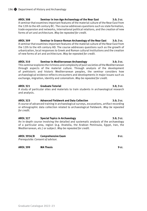### **AROL 308 Seminar in Iron Age Archaeology of the Near East 3.0; 3 cr.**

A seminar that examines important features of the material culture of the Near East from the 12th to the 4th century BC. The course addresses questions such as state formation, trade expansion and networks, international political relations, and the creation of new forms of art and architecture. *May be repeated for credit.*

### **AROL 309 Seminar in Graeco-Roman Archaeology of the Near East 3.0; 3 cr.**

A seminar that examines important features of the material culture of the Near East from the 12th to the 4th century AD. The course addresses questions such as the growth of urbanization, local responses to Greek and Roman cultural institutions and the creation of new forms of art and architecture. *May be repeated for credit*.

### **AROL 310 Seminar in Mediterranean Archaeology 3.0; 3 cr.**

This seminar explores the richness and complexity of past societies of the Mediterranean through aspects of the material culture. Through analysis of the development of prehistoric and historic Mediterranean peoples, the seminar considers how archaeological evidence reflects encounters and developments in major issues such as exchange, migration, identity and colonialism. *May be repeated for credit.*

### **AROL 321 Graduate Tutorial 3.0; 3 cr.**

A study of particular sites and materials to train students in archaeological research and analysis.

### **AROL 323 Advanced Fieldwork and Data Collection 3.0; 3 cr.**

A course of advanced training in archaeological surveys, excavations, artifact recording or ethnographic data collection related to archaeological fieldwork. *May be repeated for credit*.

### **AROL 327 Special Topics in Archaeology 3.0; 3 cr.**

An in-depth course involving the detailed and systematic analysis of the archaeology of a particular area, region (e.g. Anatolia, the Arabian Peninsula, Egypt, Iran, the Mediterranean, etc.) or subject. *May be repeated for credit.* 

### **AROL 395A/B Comprehensive Exam 0 cr.**

*Prerequisite: Consent of advisor.*

**AROL 399 MA Thesis 9 cr.**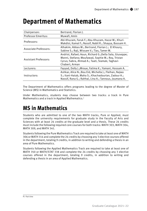# **Department of Mathematics**

| Chairperson:                                                                                                                      | Bertrand, Florian J.                                                                                                                                                               |  |
|-----------------------------------------------------------------------------------------------------------------------------------|------------------------------------------------------------------------------------------------------------------------------------------------------------------------------------|--|
| <b>Professor Emeritus:</b>                                                                                                        | Muwafi, Amin                                                                                                                                                                       |  |
| Professors:                                                                                                                       | Abi-Khuzam, Faruk F.; Abu-Khuzam, Hazar M.; Khuri-<br>Makdisi, Kamal F.; Nassif, Nabil R.; Shayya, Bassam H.                                                                       |  |
| Alhakim, Abbas M.; Bertrand, Florian J.; El Khoury,<br><b>Associate Professors:</b><br>Sabine S.; Raji, Wissam V.; Tlas, Tamer M. |                                                                                                                                                                                    |  |
| <b>Assistant Professors:</b>                                                                                                      | Andrist, Rafael; Aoun, Richard G.; Della Sala, Giuseppe;<br>Monni, Stefano; Moufawad, Sophie M.; Roy, Tristan<br>Cyrus: Sabra, Ahmad A.; Taati, Siamak; Taghavi-<br>Chabert, Arman |  |
| Lecturers:                                                                                                                        | Fayyad, Dolly J.; Mroue, Fatima K.; Yamani, Hossam A.                                                                                                                              |  |
| Instructors:                                                                                                                      | Ashkar, Alice N.; Bou Eid, Michella J.; Fleihan, Najwa<br>S.; Itani-Hatab, Maha S.; Khachadourian, Zadour A.;<br>Nassif, Rana G.; Rahhal, Lina A.; Tannous, Joumana A.             |  |

The Department of Mathematics offers programs leading to the degree of Master of Science (MS) in Mathematics and Statistics.

Under Mathematics, students may choose between two tracks: a track in Pure Mathematics and a track in Applied Mathematics.<sup>1</sup>

# **MS in Mathematics**

Students who are admitted to one of the two MATH tracks, Pure or Applied, must complete the university requirements for graduate study in the Faculty of Arts and Sciences with at least 24 credits at the graduate level and a thesis. These 24 credits must include the following required core courses for both tracks: MATH 303, MATH 304, MATH 309, and MATH 341.

Students following the Pure Mathematics Track are required to take at least one of MATH 306 or MATH 314 and complete the 24 credits by choosing any 3 elective courses offered in the department, totaling 9 credits, in addition to writing and defending a thesis in an area of Pure Mathematics.

Students following the Applied Mathematics Track are required to take at least one of MATH 350 or MATH/STAT 338 and complete the 24 credits by choosing any 3 elective courses offered in the department, totaling 9 credits, in addition to writing and defending a thesis in an area of Applied Mathematics.

P) Part time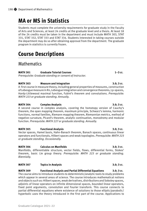# **MA or MS in Statistics**

Students must complete the university requirements for graduate study in the Faculty of Arts and Sciences, at least 24 credits at the graduate level and a thesis. At least 18 of the 24 credits must be taken in the department and must include MATH 303, STAT 331, STAT 332, STAT 333 and STAT 334. Students interested in taking courses outside the department may do so after obtaining approval from the department. The graduate program in statistics is currently frozen.

# **Course Descriptions**

## **Mathematics**

### **MATH 301 Graduate Tutorial Courses 1–3 cr.**

*Prerequisite: Graduate standing or consent of instructor.*

### **MATH 303 Measure and Integration 3.0; 3 cr.**

A first course in measure theory, including general properties of measures, construction of Lebesgue measure in Rn, Lebesgue integration and convergence theorems, Lp-spaces, Hardy-Littlewood maximal function, Fubini's theorem and convolutions. *Prerequisite: MATH 223 or graduate standing. Annually.*

### **MATH 304 Complex Analysis 3.0; 3 cr.**

A second course in complex analysis, covering the homotopy version of Cauchy's theorem, the open mapping theorem, maximum principle, Schwarz's lemma, harmonic functions, normal families, Riemann mapping theorem, Riemannian metrics, method of negative curvature, Picard's theorem, analytic continuation, monodromy and modular function. *Prerequisite: MATH 227 or graduate standing. Annually.*

### **MATH 305 Functional Analysis 3.0; 3 cr.**

Vector spaces, Hamel basis, Hahn-Banach theorem, Banach spaces, continuous linear operators and functionals, Hilbert spaces and weak topologies. *Prerequisite: MATH 223 or graduate standing. Occasionally.*

### **MATH 306 Calculus on Manifolds 3.0; 3 cr.**

Manifolds, differentiable structure, vector fields, flows, differential forms, Stokes' theorem, basic Lie group theory. *Prerequisite: MATH 223 or graduate standing. Biennially.*

### **MATH 307** Topics in Analysis 3.0; 3 cr.

**MATH 309 Functional Analysis and Partial Differential Equations 3.0; 3 cr.** The course aims to introduce students to deterministic/analytic tools to study problems which appear in several areas of science. The course introduces mathematical notions and objects such as: Hilbert spaces, weak derivatives, distributions and Soboley spaces, adjoints of linear operators on infinite dimensional spaces, bounded linear operators, fixed point arguments, convolution and Fourier transform. This course connects to partial differential equations where existence of solutions to those elliptic/parabolic/ hyperbolic uses the theory introduced in the first part of the course. Applications to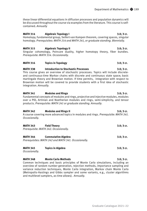Graduate Catalogue 2021–22

these linear differential equations in diffusion processes and population dynamics will be discussed throughout the course via examples from the literature. This course is selfcontained. *Annually*

### **MATH 314 Algebraic Topology I 3.0; 3 cr.** 3.0; 3 cr.

Homotopy, fundamental group, Seifert-van Kampen theorem, covering spaces, singular homology. *Prerequisites: MATH 214 and MATH 241, or graduate standing. Biennially.*

### **MATH 315** Algebraic Topology II 3.0; 3 cr.

Singular cohomology, Poincare duality, higher homotopy theory, fiber bundles. *Prerequisite: MATH 314. Occasionally.* 

#### **MATH 316 Topics in Topology 3.0; 3 cr.**

**MATH 338 Introduction to Stochastic Processes 3.0; 3 cr.**  This course gives an overview of stochastic processes. Topics will include discreteand continuous-time Markov chains with discrete and continuous state space; basic martingale theory and Brownian motion. If time permits, integration with respect to Brownian motion will be covered to provide students with a first idea of stochastic integration. *Annually.*

### **MATH 341 Modules and Rings** 3.0; 3 cr. Fundamental concepts of modules and rings, projective and injective modules, modules

over a PID, Artinian and Noetherian modules and rings, semi-simplicity, and tensor products. *Prerequisite: MATH 241 or graduate standing. Annually.*

### **MATH 342** Modules and Rings II 3.0; 3 cm 3.0; 3 cm 3.0; 3 cm 3.0; 3 cm 3.0; 3 cm 3.0; 3 cm 3.0; 3 cm 3.0; 3 cm 3.0; 3 cm 3.0; 3 cm 3.0; 3 cm 3.0; 3 cm 3.0; 3 cm 3.0; 3 cm 3.0; 3 cm 3.0; 3 cm 3.0; 3 cm 3.0; 3 cm 3.0; 3 cm

A course covering more advanced topics in modules and rings. *Prerequisite: MATH 341. Occasionally.*

| <b>MATH 343</b> | <b>Field Theory</b><br>Prerequisite: MATH 242. Occasionally.                      | $3.0; 3$ cr. |
|-----------------|-----------------------------------------------------------------------------------|--------------|
| MATH 344        | <b>Commutative Algebra</b><br>Prerequisites: MATH 242 and MATH 341. Occasionally. | $3.0; 3$ cr. |
| <b>MATH 345</b> | Topics in Algebra                                                                 | 3.0: 3 cr.   |

*Occasionally*.

### **MATH 348 Monte Carlo Methods 3.0; 3 cr.**

Common techniques and basic principles of Monte Carlo simulations, including an overview of random number generation, rejection methods, importance sampling and variance reduction techniques, Monte Carlo integration, Markov chain Monte Carlo (Metropolis-Hastings and Gibbs sampler and some variants, e.g., cluster algorithms and multilevel samplers, as time allows). *Annually.*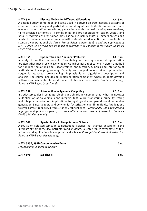### 200 Department of Mathematics

### **MATH 350 Discrete Models for Differential Equations 3.1; 3 cr.**

A detailed study of methods and tools used in deriving discrete algebraic systems of equations for ordinary and partial differential equations: finite difference and finite element discretization procedures; generation and decomposition of sparse matrices, finite-precision arithmetic, ill-conditioning and pre-conditioning, scalar, vector, and parallelized versions of the algorithms. The course includes tutorial immersion sessions in which students become acquainted with state-of-the-art scientific software tools on standard computational platforms.*Prerequisites: Linear algebra and the equivalent of MATH/CMPS 251 (which can be taken concurrently) or consent of instructor. Same as CMPS 350. Annually.*

### **MATH 351 Optimization and Nonlinear Problems 3.1; 3 cr.**

A study of practical methods for formulating and solving numerical optimization problems that arise in science, engineering and business applications. Newton's method for nonlinear equations and unconstrained optimization. Simplex and interior-point methods for linear programming. Equality and inequality-constrained optimization. sequential quadratic programming. Emphasis is on algorithmic description and analysis. The course includes an implementation component where students develop software and use state-of-the-art numerical libraries. *Prerequisite: Graduate standing. Same as CMPS 351. Occasionally.*

**MATH 358 Introduction to Symbolic Computing 3.0; 3 cr.** Introductory topics in computer algebra and algorithmic number theory that include fast multiplication of polynomials and integers, fast Fourier transforms, primality testing and integers factorization. Applications to cryptography and pseudo-random number generation. Linear algebra and polynomial factorization over finite fields. Applications to error-correcting codes. Introduction to Grobner bases. *Prerequisite: Good background in programming, linear algebra, discrete mathematics or consent of instructor. Same as CMPS 358. Occasionally.*

#### **MATH 360 Special Topics in Computational Science 3.0; 3 cr.** A course on selected topics in computational science that changes according to the interests of visiting faculty, instructors and students. Selected topics cover state-of-theart tools and applications in computational science. *Prerequisite: Consent of instructor. Same as CMPS 360. Occasionally.*

### **MATH 395A/395B Comprehensive Exam 0 cr.**

*Prerequisite: Consent of advisor.*

**MATH 399 MS Thesis 6 cr.**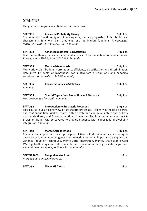### **Statistics**

The graduate program in statistics is currently frozen.

### **STAT 331 Advanced Probability Theory 3.0; 3 cr.**

Characteristic functions, types of convergence, limiting properties of distribution and characteristic functions, limit theorems, and multivariate functions. *Prerequisites: MATH 227, STAT 238 and MATH 303. Annually.*

### **STAT 332 Advanced Mathematical Statistics 3.0; 3 cr.**

Distribution theory, decision theory, and advanced topics in estimation and inference. *Prerequisites: STAT 235 and STAT 238. Annually.*

**STAT 333 Multivariate Analysis 3.0; 3 cr.** Multivariate distributions, correlation coefficients, classification and discrimination, Hotelling's T2, tests of hypotheses for multivariate distributions and canonical variables. *Prerequisite: STAT 238. Annually.*

| <b>STAT 334</b> | <b>Advanced Topics in Statistics</b> | $3.0;3$ cr. |
|-----------------|--------------------------------------|-------------|
| Annually.       |                                      |             |

### **STAT 335 Special Topics from Probability and Statistics 3.0; 3 cr.**

*May be repeated for credit. Annually.*

### **STAT 338 Introduction to Stochastic Processes 3.0; 3 cr.**

This course gives an overview of stochastic processes. Topics will include discreteand continuous-time Markov chains with discrete and continuous state space; basic martingale theory and Brownian motion. If time permits, integration with respect to Brownian motion will be covered to provide students with a first idea of stochastic integration. *Annually*

**STAT 348 Monte Carlo Methods 3.0; 3 cr.**  Common techniques and basic principles of Monte Carlo simulations, including an overview of random number generation, rejection methods, importance sampling and variance reduction techniques, Monte Carlo integration, Markov chain Monte Carlo (Metropolis-Hastings and Gibbs sampler and some variants, e.g., cluster algorithms and multilevel samplers, as time allows). *Annually.*

| STAT 395A/B | <b>Comprehensive Exam</b>         | 0 cr. |
|-------------|-----------------------------------|-------|
|             | Prerequisite: Consent of advisor. |       |
|             |                                   |       |

### **STAT 399 MA or MS Thesis 6 cr.**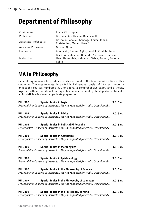# **Department of Philosophy**

| Chairperson:                | Johns, Christopher                                                                                             |
|-----------------------------|----------------------------------------------------------------------------------------------------------------|
| Professors:                 | Brassier, Ray; Haydar, Bashshar H.                                                                             |
| Associate Professors:       | Bashour, Bana M.; Gannage, Emma; Johns,<br>Christopher; Muller, Hans D.                                        |
| <b>Assistant Professor:</b> | Gibson, Quinn                                                                                                  |
| Lecturers:                  | Abou Zaki, Nadine; Agha, Saleh J.; Chalabi, Fares                                                              |
| Instructors:                | Baassiri, Mahmoud; Dimerdji, Ali Hocine; Hassan,<br>Hani; Hassanieh, Mahmoud; Sabra, Zainab; Salloum,<br>Rabih |

# **MA in Philosophy**

General requirements for graduate study are found in the Admissions section of this catalogue. The requirements for an MA in Philosophy consist of 21 credit hours in philosophy courses numbered 300 or above, a comprehensive exam, and a thesis, together with any additional prerequisite courses required by the department to make up for deficiencies in undergraduate preparation.

|                 | PHIL 300 Special Topics in Logic                                               | $3.0; 3$ cr. |
|-----------------|--------------------------------------------------------------------------------|--------------|
|                 | Prerequisite: Consent of instructor. May be repeated for credit. Occasionally. |              |
|                 | <b>PHIL 301</b> Special Topics in Ethics                                       | $3.0; 3$ cr. |
|                 | Prerequisite: Consent of instructor. May be repeated for credit. Occasionally. |              |
| <b>PHIL 302</b> | <b>Special Topics in Political Philosophy</b>                                  | $3.0; 3$ cr. |
|                 | Prerequisite: Consent of instructor. May be repeated for credit. Occasionally. |              |
|                 | <b>PHIL 303</b> Special Topics in Aesthetics                                   | $3.0; 3$ cr. |
|                 | Prerequisite: Consent of instructor. May be repeated for credit. Occasionally. |              |
|                 | PHIL 304 Special Topics in Metaphysics                                         | $3.0; 3$ cr. |
|                 | Prerequisite: Consent of instructor. May be repeated for credit. Occasionally. |              |
|                 | <b>PHIL 305</b> Special Topics in Epistemology                                 | $3.0; 3$ cr. |
|                 | Prerequisite: Consent of instructor. May be repeated for credit. Occasionally. |              |
| <b>PHIL 306</b> | Special Topics in the Philosophy of Science                                    | $3.0; 3$ cr. |
|                 | Prerequisite: Consent of instructor. May be repeated for credit. Occasionally. |              |
| <b>PHIL 307</b> | Special Topics in the Philosophy of Language                                   | $3.0; 3$ cr. |
|                 | Prerequisite: Consent of instructor. May be repeated for credit. Occasionally. |              |
| <b>PHIL 308</b> | Special Topics in the Philosophy of Mind                                       | $3.0; 3$ cr. |
|                 | Prerequisite: Consent of instructor. May be repeated for credit. Occasionally. |              |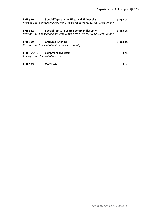| Special Topics in the History of Philosophy<br><b>PHIL 310</b><br>Prerequisite: Consent of instructor. May be repeated for credit. Occasionally. |                                                                                                                             | $3.0; 3$ cr. |
|--------------------------------------------------------------------------------------------------------------------------------------------------|-----------------------------------------------------------------------------------------------------------------------------|--------------|
| <b>PHIL 312</b>                                                                                                                                  | Special Topics in Contemporary Philosophy<br>Prerequisite: Consent of instructor. May be repeated for credit. Occasionally. | $3.0; 3$ cr. |
| <b>PHIL 320</b>                                                                                                                                  | <b>Graduate Tutorials</b><br>Prerequisite: Consent of instructor. Occasionally.                                             | $3.0; 3$ cr. |
| <b>PHIL 395A/B</b><br>Prerequisite: Consent of advisor.                                                                                          | <b>Comprehensive Exam</b>                                                                                                   | 0 cr.        |
| <b>PHIL 399</b>                                                                                                                                  | <b>MA Thesis</b>                                                                                                            | 9 cr.        |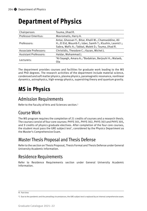# **Department of Physics**

| Chairperson:                 | Touma, Jihad R.                                                                                                                                                            |
|------------------------------|----------------------------------------------------------------------------------------------------------------------------------------------------------------------------|
| <b>Professor Emeritus:</b>   | Mavromatis, Harry A.                                                                                                                                                       |
| Professors:                  | Antar, Ghassan Y., Bitar, Khalil M.; Chamseddine, Ali<br>H.; El Eid, Mounib F.; Isber, Samih T.; Klushin, Leonid I.;<br>Sabra, Wafic A.; Tabbal, Malek D.; Touma, Jihad R. |
| Associate Professors:        | Christidis, Theodore C.; Kazan, Michel J.                                                                                                                                  |
| <b>Assistant Professors:</b> | Haidar, Mohammad J.                                                                                                                                                        |
| Lecturers:                   | PAI-Sayegh, Amara A.; PBodakian, Berjouhi H.; Malaeb,<br>Ola                                                                                                               |

The department provides courses and facilities for graduate work leading to the MS and PhD degrees. The research activities of the department include material science, condensed and soft matter physics, plasma physics, paramagnetic resonance, nonlinear dynamics, astrophysics, high-energy physics, superstring theory and quantum gravity.

# **MS in Physics**

## Admission Requirements

Refer to the Faculty of Arts and Sciences section.1

## Course Work

The MS program requires the completion of 21 credits of courses and a research thesis. The courses consist of four core courses: PHYS 301, PHYS 302, PHYS 303 and PHYS 305, and 9 credits of physics graduate electives. After completion of the four core courses, the student must pass the GRE subject test\* , considered by the Physics Department as the Master's Comprehensive Exam.

### Master Thesis Proposal and Thesis Defense

Refer to the section on Thesis Proposal, Thesis Format and Thesis Defense under General University Academic Information.

### Residence Requirements

Refer to Residence Requirements section under General University Academic Information.

P) Part-time

<sup>\*)</sup> Due to the pandemic and the prevailing circumstances, the GRE subject test is replaced by an internal comprehensive exam.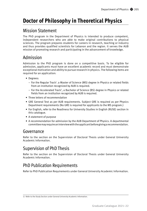# **Doctor of Philosophy in Theoretical Physics**

## Mission Statement

The PhD program in the Department of Physics is intended to produce competent, independent researchers who are able to make original contributions to physical sciences. The program prepares students for careers in research, teaching or industry and thus provides qualified scientists for Lebanon and the region. It serves the AUB mission of promoting research and participating in the advancement of knowledge.

## Admission

Admission to the PhD program is done on a competitive basis. To be eligible for admission, applicants must have an excellent academic record and must demonstrate exceptional motivation and ability to pursue research in physics. The following items are required for an application:

- Degrees:
	- For the Regular Track<sup>1</sup>, a Master of Science (MS) degree in Physics or related fields from an institution recognized by AUB is required.
	- $-$  For the Accelerated Track<sup>2</sup>, a Bachelor of Science (BS) degree in Physics or related fields from an institution recognized by AUB is required.
- Three letters of recommendation
- GRE General Test as per AUB requirements. Subject GRE is required as per Physics Department requirements (No GRE is required for applicants to the MS program.)
- For English, refer to the Readiness for University Studies in English (RUSE) section in this catalogue.
- A statement of purpose
- A recommendation for admission by the AUB Department of Physics. A departmental committee may require an interview with the applicant before giving a recommendation.

### Governance

Refer to the section on the Supervision of Doctoral Thesis under General University Academic Information.

## Supervision of PhD Thesis

Refer to the section on the Supervision of Doctoral Thesis under General University Academic Information.

## PhD Publication Requirements

Refer to PhD Publication Requirements under General University Academic Information.

<sup>1)</sup> Refer to the Study Section under General University Academic Information.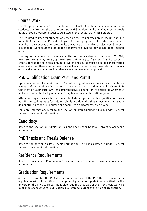## Course Work

The PhD program requires the completion of at least 39 credit hours of course work for students admitted on the accelerated track (BS holders) and a minimum of 18 credit hours of course work for students admitted on the regular track (MS holders).

The required courses for students admitted on the regular track are PHYS 306 and 307 (6 credits) and at least 12 credits beyond the core program, out of which one course must be in the concentration area, while the others can be taken as electives. Students may take relevant courses outside the department provided they secure departmental approval.

The required courses for students admitted on the accelerated track are PHYS 301, PHYS 302, PHYS 303, PHYS 305, PHYS 306 and PHYS 307 (18 credits) and at least 21 credits beyond the core program, out of which one course must be in the concentration area, while the others can be taken as electives. Students may take relevant courses outside the department provided they secure departmental approval.

## PhD Qualification Exam Part I and Part II

Upon completion of a minimum of 15 credits of graduate courses with a cumulative average of 85 or above in the four core courses, the student should sit for PhD Qualification Exam Part I (written comprehensive examination) to determine whether s/ he has acquired the background necessary to continue in the PhD program.

After choosing a thesis advisor, the student should pass the PhD Qualification Exam Part II; the student must formulate, submit and defend a thesis research proposal to demonstrate a capacity to pursue and complete a doctoral research project.

For more information, refer to the section on PhD Qualifying Exam under General University Academic Information.

## Candidacy

Refer to the section on Admission to Candidacy under General University Academic Information.

### PhD Thesis and Thesis Defense

Refer to the section on PhD Thesis Format and PhD Thesis Defense under General University Academic Information.

### Residence Requirements

Refer to Residence Requirements section under General University Academic Information.

### Graduation Requirements

A student is granted the PhD degree upon approval of the PhD thesis committee in a public session. In addition to the general graduation guidelines specified by the university, the Physics Department also requires that part of the PhD thesis work be published or accepted for publication in a refereed journal by the time of graduation.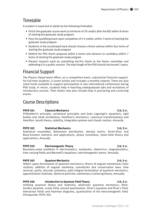### **Timetable**

A student is expected to abide by the following timetable:

- Finish the graduate course work (a minimum of 39 credits after the BS) within 8 terms of starting the graduate study program
- Pass the qualifying exam upon completion of 15 credits, within 3 terms of starting the graduate study program
- Students in the accelerated track should choose a thesis advisor within four terms of starting the graduate study program
- Defend the PhD thesis proposal within 6 terms and advance to candidacy within 7 terms of starting the graduate study program
- Present research work by submitting her/his thesis to the thesis committee and defending it in a public session. The total length of the PhD should not exceed 7 years.

## Financial Support

The Physics Department offers, on a competitive basis, substantial financial support. For full-time students, it covers tuition and includes a monthly stipend. There are also some funds available to support participation in two international conferences during PhD study. In return, students help in teaching undergraduate labs and recitations of introductory courses. Their duties may also include help in proctoring and correcting exams.

### Course Descriptions

### **PHYS 301 Classical Mechanics 3.0; 3 cr.**

D'Alembert's principle, variational principles and Euler Lagrange's equations, rigid bodies and small oscillations, Hamilton's mechanics, canonical transformations and Hamilton- Jacobi theory, stability, integrable systems and chaotic motion. *Annually.*

### **PHYS 302 Statistical Mechanics 3.0; 3 cr.**

Statistical ensembles, Boltzmann distribution, density matrix, Fermi-Dirac and Bose-Einstein statistics and applications, phase transitions, mean-field theory and applications. *Annually.*

### **PHYS 303 Electromagnetic Theory 3.0; 3 cr.**

Boundary-value problems in electrostatics, multipoles, dielectrics, magnetostatics, time-varying fields and Maxwell's equations, electromagnetic waves. *Annually.*

### **PHYS 305 Quantum Mechanics 3.0; 3 cr.**

Hilbert space formulation of quantum mechanics; theory of angular momentum; Euler rotation; addition of angular momenta; symmetries and conservation laws: time reversal, parity, discrete symmetry, path-integral formulation of quantum mechanics, approximation methods, identical particles, elementary scattering theory. *Annually.*

### **PHYS 306 Introduction to Quantum Field Theory 3.0; 3 cr.**

Unifying quantum theory and relativity; relativistic quantum mechanics: Klein-Gordon equation, scalar field, second quantization, Dirac's equation and Dirac's field. Interaction fields and Feynman diagrams, quantization of the electromagnetic field. *Prerequisite: PHYS 305.*

### Graduate Catalogue 2021–22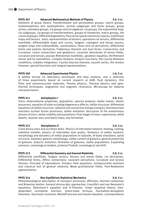### **PHYS 307 Advanced Mathematical Methods of Physics 3.0; 3 cr.**

Elements of group theory: Transformation and permutation groups, matrix groups, homomorphisms and isomorphisms, normal subgroups and factor groups, group action, symmetry groups. Lie groups and Lie algebras: Lie groups, the exponential map, Lie subgroups, Lie groups of transformations, groups of isometries, matrix groups, the classical groups. Differential geometry: Free vector spaces and tensor spaces, multilinear maps and tensors, basic representations of tensors, operations on tensors, differential manifolds, differentiable maps and curves, tangent, cotangent and tensor spaces, tangent maps and submanifolds, commutators, flows and Lie derivatives, differential forms and exterior derivative, Frobenious theorem and dual forms. Connections and Curvature: Linear connections and geodesics, covariant derivatives of tensor fields, curvature and torsion, pseudo-Riemannian manifolds., geodesic equation, the Riemann tensor and its symmetries. Complex Analysis: Analytic functions, the Cauchy-Riemann conditions, complex integration, Cauchy-Goursat theorem, Laurent series, the residue theorem, special functions and integral representations.

### **PHYS 309 Advanced Experimental Physics 1.6; 3 cr.**

A weekly lecture on laboratory techniques and data analysis, and a selection of three experiments based on current research at AUB: fluid dynamics, thin films and nanostructured materials, Plasma physics, Thermal physics and optothermal techniques, magnetism and magnetic resonance, Microscopy for material characterization.

### **PHYS 311 Astrophysics I 3.0; 3 cr.**

Stars: observational properties, population, spectra analysis; stellar matter: atomic processes, equation of state including degeneracy effects; stellar structure: differential equations of stellar structure, radiative and convective energy transport, thermonuclear reactions nuclear fusion processes; stellar evolution: discussion of the evolutionary phases of stars, stellar stability and pulsations; final stages of stars: supernovae, white dwarfs, neutron stars and black holes; star formation.

### **PHYS 312 Astrophysics II 3.0; 3 cr.**

Close binary stars and accretion disks. Physics of interstellar medium: heating, cooling, radiative transfer, physics of interstellar dust grains. Dynamics of stellar systems: morphology and dynamics of stellar populations in Galaxies, N-body simulation, spiral structure. Galaxies: galactic morphology, stellar content of galaxies, general properties of galaxies. Galactic evolution: formation of galaxies, stellar populations. Expanding universe: cosmological models, primeval fireball, cosmological red shift.

### **PHYS 313 Differential Geometry and General Relativity 3.0; 3 cr.**

Differential manifolds. Tangent vectors. Vectors and tensor fields. Lie derivatives. Differential forms. Affine connections: covariant derivatives. Curvature and torsion Tensors. Principal of equivalence. Einstein filed equations. Schwarzschild solutions and classical test of general relativity. Weak gravitational fields. Post-Newtonian approximation.

**PHYS 314 Non-Equilibrium Statistical Mechanics 3.0; 3 cr.** Phenomenological description of transport processes: diffusion, thermal conduction and Brownian motion. General microscopic approaches: Liouville's and von Neumann's equations. Boltzmann's equation and H-Theorem. Linear response theory: timedependent correlation function, Green-Kubo formula, fluctuation-dissipation theorems. Stochastic evolution: Markoff process and master equation, correspondence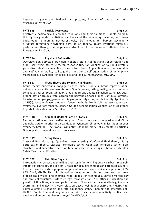between Langevin and Fokker-Planck pictures, kinetics of phase transitions. *Prerequisite: PHYS 302.*

### **PHYS 315 Particle Cosmology 3.0; 3 cr.**

Relativistic cosmology: Friedmann equations and their solutions, Hubble diagram. Hot Big Bang model: statistical mechanics of the expanding universe, microwave background, primordial nucleosynthesis, GUT model for baryon asymmetry. Structure formation: Newtonian perturbation theory, gauge invariant relativistic perturbation theory, the large-scale structure of the universe. Inflation theory. *Prerequisite: PHYS 313.* 

### **PHYS 316 Physics of Soft Matter 3.0; 3 cr.**

Overview: liquid crystals, polymers, colloids. Statistical mechanics of correlation and order: scattering, structure factor, response function. Application to liquid crystals: generalized elasticity, nematic-to-smectic transitions. Application to polymers: random and self-voiding walks, coil-to-globe transitions, self-organization of amphiphylic macromolecules. Application to colloids and foams. *Prerequisite: PHYS 302.*

#### **PHYS 317 Group Theory and Symmetry in Physics 3.0; 3 cr.**

Group theory: subgroups, conjugate cases, direct products. Group representation: unitary spaces, unitary representations, Shur's Lemma, orthogonality, tensor products, conjugate classes, Young tableaux. Group theory and quantum mechanics. Point groups: proper rotation group, crystallographic point groups. Space groups. Continuous groups: transformation groups, generators, Lie groups and algebras, Yacobi identity. Application of SU(2). Isospin. Tensor products. Tensor methods: irreducible representations and symmetry, invariant tensors, Clebsch-Gordon decomposition. Application of Lie groups to particle classifications: SU(5) and SO(10).

### **PHYS 318 Standard Model of Particle Physics 3.0; 3 cr.**

Renormalization and renormalization group. Group theory and the quark model. Chiral anomaly. Gauge theories and quantization. Quantum Chromodynamics. Spontaneous symmetry braking. Electroweak symmetry. Standard model of elementary particles. One loop structure and one loop processes.

### **PHYS 319 String Theory 3.0; 3 cr.**

Classical Bosonic string. Quantized bosonic string. Conformal field theory. String perturbation theory. Classical Fermionic string. Quantized fermionic string. Spin structures and superstring partition functions. Heterotic strings. D-branes. Orbifolds. Calabi-Yau compactification.

### **PHYS 322 Thin Films Physics 3.0; 3 cr.**

Introduction to surface and thin films physics: definitions, importance in basic research, impact on technology and society. Ultra high vacuum techniques and processes: kinetic theory concepts, surface preparation procedures; surface chemical composition: XPS, AES, SIMS, GIXRD. Thin film deposition: evaporation, plasma, laser and ion beam processing; physical and chemical vapor deposition techniques. Surface morphology and physical structure: surface energy, reconstruction, 2-D lattices, nucleation and growth of thin films, microscopy techniques. Theory of surface scattering; inelastic scattering and dielectric theory; electron-based techniques: LEED and RHEED, RBS. Epitaxy: atomistic models and rate equations; steps, ripening and interdiffusion; HRXRD. Conduction and magnetism in thin films; superconductivity; optical and mechanical properties. *Pre- or corequisite: PHYS 302.*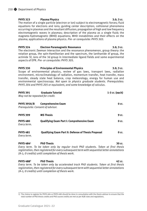### **PHYS 323 Plasma Physics 3.0; 3 cr.**

The motion of a single particle (electron or ion) subject to electromagnetic forces; fluid equations for electrons and ions; guiding center description; collisional phenomena occurring in plasmas and the resultant diffusion; propagation of high and low frequency electromagnetic waves in plasmas; description of the plasma as a single fluid; the magneto-hydromagnetic (MHD) equations; MHD instabilities and their effects on the plasma; applications of plasma physics. *Pre- or corequisite: PHYS 303.*

### **PHYS 324 Electron Paramagnetic Resonance 3.0; 3 cr.**

The electronic Zeeman interaction and the resonance phenomenon, group theory: the rotation group, the spin-Hamiltonian and the spectrum, the lanthanide 4f group, the actinide 5f, ions of the 3d group in intermediate ligand fields and some experimental aspects of EPR. *Pre- or corequisite: PHYS 305.*

### **PHYS 330 Principles of Environmental Physics 3.0; 3 cr.**

Scope of environmental physics, review of gas laws, transport laws, radiation environment, microclimatology of radiation, momentum transfer, heat transfer, mass transfer, steady state heat balance, crop meteorology, energy for human use and environmental spectroscopy. *Not open to physics graduate students. Prerequisites: PHYS 204 and PHYS 205 or equivalent, and some knowledge of calculus.*

| <b>PHYS 391</b><br>May not be repeated for credit.      | <b>Graduate Tutorial</b>                                   | 1-3 cr. (each) |
|---------------------------------------------------------|------------------------------------------------------------|----------------|
| <b>PHYS 395A/B</b><br>Prerequisite: Consent of advisor. | <b>Comprehensive Exam</b>                                  | 0 cr.          |
| <b>PHYS 399</b>                                         | <b>MS Thesis</b>                                           | 9 cr.          |
| <b>PHYS 480</b><br>Every term.                          | <b>Qualifying Exam Part I: Comprehensive Exam</b>          | 0 cr.          |
| <b>PHYS 481</b><br>Every term.                          | <b>Qualifying Exam Part II: Defense of Thesis Proposal</b> | 0 cr.          |

### **PHYS 4841 PhD Thesis 30 cr.** *Every term. To be taken only by regular track PhD students. Taken at first thesis registration, then registered for every subsequent term with sequential letter annotations*

**PHYS 4883 PhD Thesis 42 cr.** *Every term. To be taken only by accelerated track PhD students. Taken at first thesis registration, then registered for every subsequent term with sequential letter annotations* 

*(A-L; 0 credits) until completion of thesis work.*

*(A-L; 0 credits) until completion of thesis work.*

<sup>1)</sup> The choice to register for PHYS 484 or PHYS 488 should be done in consultation with the thesis advisor to ensure that the total number of PhD thesis credits and PhD course credits are met as per AUB rules and regulations.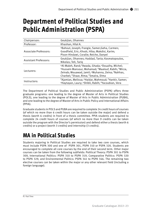# **Department of Political Studies and Public Administration (PSPA)**

| Chairperson:                 | Geukjian, Ohannes                                                                                                                                                                                     |
|------------------------------|-------------------------------------------------------------------------------------------------------------------------------------------------------------------------------------------------------|
| Professor:                   | Khashan, Hilal A.                                                                                                                                                                                     |
| Associate Professors:        | PBahout, Joseph; Frangie, Samer; Geha, Carmen;<br>Goodfield, Eric; Khodr, Hiba; Makdisi, Karim;<br>Pison-Hindawi, Coralie; Reiche, Danyel                                                             |
| <b>Assistant Professors:</b> | Geukjian, Ohannes; Haddad, Tania; Kosmatopoulos,<br>Nikolas; Tell, Tarig                                                                                                                              |
| Lecturers:                   | PAI-Maleh, Rand; PAwada, Ghada; PDouaihy, Michel;<br>PHussein Mansour, Mohamad; PMaalouf, Rabih; PMirza,<br>Zeinab; Mouawad, Jamil; PMuhanna, Zeina; PNahhas,<br>Charbel: PShaar, Rima: PSmaira, Dima |
| Instructors:                 | PAjamian, Melissa; PHaidar, Mahmoud; PHankir, Samer;<br>PHaytayan, Laury; PShibli, Rabih; PYacoubian, Vera                                                                                            |

The Department of Political Studies and Public Administration (PSPA) offers three graduate programs: one leading to the degree of Master of Arts in Political Studies (POLS), one leading to the degree of Master of Arts in Public Administration (PUBA), and one leading to the degree of Master of Arts in Public Policy and International Affairs (PPIA).

Graduate students in POLS and PUBA are required to complete 24 credit hours of courses (of which no more than 6 credit hours can be taken outside the major) and defend a thesis (worth 6 credits) in front of a thesis committee. PPIA students are required to complete 24 credit hours of courses (of which no more than 9 credits can be taken outside the program with the Director's permission) and defend either a thesis (worth 6 credits) or a project (worth 3 credits) and internship (3 credits).

# **MA in Political Studies**

Students majoring in Political Studies are required to take two core courses, which must include PSPA 300 and one of PSPA 301, PSPA 310 or PSPA 320. Students are encouraged to complete all core courses by the end of their second term. Other major courses can be taken from the following subfields: Political Theory: PSPA 301 to PSPA 309, International Politics: PSPA 310 to PSPA 319, Comparative Politics: PSPA 320 to PSPA 329, and Environmental Politics: PSPA 341 to PSPA 346. The remaining two elective courses can be taken within the major or any other relevant field (including a foreign language).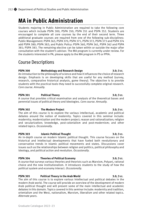# **MA in Public Administration**

Students majoring in Public Administration are required to take the following core courses which include PSPA 300, PSPA 350, PSPA 351 and PSPA 352. Students are encouraged to complete all core courses by the end of their second term. Three additional graduate courses are required from one of the following sub-disciplines: Public Management: PSPA 363, PSPA 370, PSPA 371, PSPA 372, PSPA 373 and PSPA 374 add PSPA 380; PSPA 382; and Public Policy: PSPA 360, PSPA 361, PSPA 362 and PSPA 381; PSPA 383. The remaining elective can be taken within or outside the major after consultation with the student's advisor. The MA program is currently under review. For the students interested in PA, please apply to the MA program in PS or PPIA.

## Course Descriptions

## **PSPA 300 Methodology and Research Design 3.0; 3 cr.**

An introduction to the philosophy of science and how it influences the choice of research design. Emphasis is on developing skills that are useful for any method (survey, research, comparative historical analysis, game theory). The objective is to provide students with the practical tools they need to successfully complete original research. *Core course. Annually.*

## **PSPA 301 Political Theory 3.0; 3 cr.**

A course that provides critical examination and analysis of the theoretical bases and perennial issues of political theory and ideologies. *Core course. Annually.*

## **PSPA 302 The Modern Project 3.0; 3 cr.**

The aim of this course is to explore the various intellectual, academic and political debates around the notion of modernity. Topics covered in this seminar include: modernity; modernization and the modern project; reason and rationalization; religion and secularization; knowledge, post-colonialism and post-modernism; and other related topics. *Occasionally.*

## **PSPA 303 Islamic Political Thought 3.0; 3 cr.**

An in-depth course on modern Islamic political thought. This course focuses on the historical and intellectual developments that have fueled both revolutionary and conservative trends in Islamic political movements and states. Discussions cover issues such as the relationships between religion and politics, political philosophy and ideology, and political action and revolution. *Occasionally.*

## **PSPA 304 Theories of Political Economy 3.0; 3 cr.**

A course that surveys various theories and theorists such as Marxism, Polyani, rational choice and the new institutionalism. It introduces students to the study of how the political system and economy interact. *Occasionally.*

## **PSPA 305 Political Theory in the Arab World 3.0; 3 cr.**

The aim of this course is to explore various intellectual and political debates in the modern Arab world. The course will provide an overview of the development of modern Arab political thought and will present some of the main intellectual and academic debates in this domain. Topics covered in this seminar include: modernity and tradition, orientalism and the West, nationalism, Marxism, liberalism and other related topics. *Alternate years.*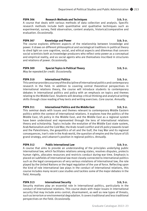## **PSPA 306 Research Methods and Techniques 3.0; 3 cr.**

A course that deals with various methods of data collection and analysis. Specific research methods include both quantitative and qualitative techniques such as experimental, survey, field observation, content analysis, historical/comparative and evaluation. *Occasionally.*

## **PSPA 307 Knowledge and Power 3.0; 3 cr.**

The course explores different aspects of the relationship between knowledge and power. It draws on different philosophical and sociological traditions in political theory to shed light on core cognitive, social, and ethical aspects and dilemmas that concern social scientists both as knowledge-producers who reflect onto power as a conceptual and empirical reality, and as social agents who are themselves inscribed in structures and relations of power. *Occasionally.*

### **PSPA 309 Special Topics in Political Theory 3.0; 3 cr.** *May be repeated for credit. Occasionally.*

**PSPA 310** International Politics 3.0; 3 cr. This seminar provides a survey of the discipline of international politics and contemporary research in the field. In addition to covering central theoretical perspectives in international relations theory, the course will introduce students to contemporary debates in international politics and policy with an emphasis on topics and themes relating to the Middle East. Students will develop critical thinking and analytical writing skills through close reading of key texts and writing exercises. *Core course. Annually.*

## **PSPA 311 International Politics and the Middle East 3.0; 3 cr.**

This seminar deals with issues and themes relevant to contemporary Middle Eastern politics within the context of international relations. It explores how the politics of the Middle East, US policy in the Middle East, and the Middle East as a regional system have been understood and represented through the lens of international relations theory and scholarship. Topics include: the evolution of the Middle East state system, Arab Nationalism and the Cold War, the Arab-Israeli conflict and US policy towards Israel and the Palestinians, the geopolitics of oil and the Gulf, the Iraq War and its regional consequences, Iran's role in the Arab world, the question of empire and the future of US grand strategy, and Lebanon's position in regional politics. *Annually.*

## **PSPA 312 Public International Law 3.0; 3 cr.**

A course that aims to provide an understanding of the principles underlying public international law, which facilitates relations among states, resolves disputes, protects human rights, allocates resources and restricts conduct during war time. Emphasis is placed on subfields of international law most closely connected to international politics such as the legal consequences of very serious violations of international law, the role played by the United Nations or the legal regulation of the use of force. Reflecting upon the kind of role international law plays in the conduct of international relations, this course includes many recent case studies and tackles some of the major debates in the field. *Annually.*

## **PSPA 313 International Security 3.0; 3 cr.**

Security motives play an essential role in international politics, particularly in the conduct of international relations. This course deals with major issues in international security that may include arms control, disarmament, as well as new types of threats, such as terrorism or environmental degradation. It covers traditional and less traditional perspectives on the field. *Occasionally.*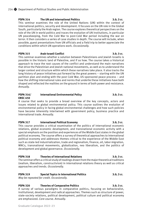## **PSPA 314 The UN and International Politics 3.0; 3 cr.**

This seminar examines the role of the United Nations (UN) within the context of international politics, security and development. It focuses on the UN role in the Global South, particularly the Arab region. The course explores theoretical perspectives on the role of the UN in world politics and traces the evolution of UN institutions, in particular UN peacekeeping, from the Cold War to post-Cold War period including the war on terror. It then considers a series of case studies in depth. The course will include, when possible, guest presentations from UN officials and a field trip to better appreciate the conditions within which UN operations work. *Occasionally.*

## **PSPA 315 Arab-Israeli Conflict 3.0; 3 cr.**

This seminar examines whether a solution between Palestinians and Jewish Israelis is possible in the historic land of Palestine, and if so how. The course takes a historical approach to trace the root causes of the conflict and understand the main narratives that drive the Palestinian and Jewish national movements, as well as to understand the larger context and structure within which these narratives take place. It also tracks the long history of peace initiatives put forward by the great powers – starting with the UN partition plan and ending with the post Cold War, US-sponsored peace process – and how the shifting international rules and norms that underlie these initiatives have both shaped and reflected the realities on the ground in terms of both power and resistance. *Annually.*

## **PSPA 316/ International Environmental Policy 3.0; 3 cr. ENSC 650**

A course that seeks to provide a broad overview of the key concepts, actors and issues related to global environmental policy. This course outlines the evolution of environmental policy in facing global environmental challenges and how such policies have become inherently intertwined with government policy, business practice and international trade. *Annually.*

## **PSPA 317 International Political Economy 3.0; 3 cr.**

This course provides a critical examination of the politics of international economic relations, global economic development, and transnational economic activity with a special emphasis on the position and experiences of the Middle East states in the global political economy. The course offers a survey of theoretical approaches to international political economy and addresses themes critical to the experience of the Middle East such as state-led industrialization, trade and regionalism, finance, oil, labor migration, MNCs, transnational movements, globalization, neo liberalism, and the politics of development and global governance. *Occasionally.*

### **PSPA 318 Theories of International Relations 3.0; 3 cr.** The seminar offers a critical study of readings drawn from the major theoretical traditions (realism, liberalism, constructivism) in international relations theory as well as critical approaches and trends. *Occasionally.*

## **PSPA 319 Special Topics in International Politics 3.0; 3 cr.**

*May be repeated for credit. Occasionally.*

## **PSPA 320 Theories of Comparative Politics 3.0; 3 cr.**

A survey of various paradigms in comparative politics, focusing on behavioralist, institutional, development and radical approaches. Themes such as structure of power, state-society relations, political development, political culture and political economy are emphasized. *Core course. Annually.*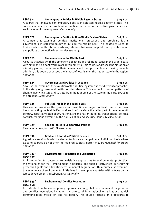### **PSPA 321 Contemporary Politics in Middle Eastern States 3.0; 3 cr.** A course that analyzes contemporary politics in selected Middle Eastern states. This course emphasizes the problems of political participation, effective governance and socio-economic development. *Occasionally.*

### **PSPA 322 Contemporary Politics in Non-Middle Eastern States 3.0; 3 cr.** A course that examines political institutions, processes and problems facing governments in selected countries outside the Middle East. This course focuses on topics such as authoritarian systems, relations between the public and private sector, and politics of collective identity. *Occasionally.*

**PSPA 323 Communalism in the Middle East 3.0; 3 cr.** A course that deals with the emergence of ethnic and religious issues in the Middle East, with emphasis on post World War I developments. This course addresses the situation of minority groups, the nature of their demands and their prospects of achieving them. In addition, this course assesses the impact of localism on the nation-state in the region. *Annually.*

**PSPA 324 Government and Politics in Lebanon 3.0; 3 cr.** A course that examines the evolution of the political system and the different approaches to the study of government institutions in Lebanon. This course focuses on patterns of change involving state and society from the founding of the state in the early 1920s to the present. *Occasionally.*

### **PSPA 325 Political Trends in the Middle East 3.0; 3 cr.** This course examines the genesis and evolution of major political trends that have been impacting the Middle East and North Africa since the latter part of the nineteenth century, especially colonialism, nationalism and nation-building, transnational political conflict, religious extremism, the politics of oil and security issues. *Occasionally.*

## **PSPA 329 Special Topics in Comparative Politics 3.0; 3 cr.**

*May be repeated for credit. Occasionally.*

*Annually*.

### **PSPA 330 Graduate Tutorial in Political Science 3.0; 3 cr.** A graduate seminar in which selected topics are arranged on an individual basis where existing courses do not offer the required subject matter. *May be repeated for credit.*

## **PSPA 341/ Environmental Regulation and Legislation 3.0; 3 cr. ENSC 657**

An introduction to contemporary legislative approaches to environmental protection, the rationales for their embodiment in policies, and their effectiveness in achieving prescribed goals and alleviating environmental degradation. This course also examines the emergence of environmental initiatives in developing countries with a focus on the latest developments in Lebanon. *Occasionally.*

## **PSPA 343/ Environmental Conflict Resolution 3.0; 3 cr. ENSC 658**

An introduction to contemporary approaches to global environmental negotiation and conflict resolution, including the efforts of international organizations at risk communication, mediation and facilitation. This course focuses on procedures to

Graduate Catalogue 2022–23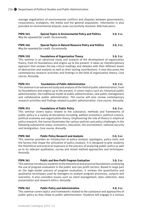manage negotiations of environmental conflicts and disputes between governments, corporations, ecologists, the media and the general population. Information is also provided on environmental dispute cases successfully resolved. *Alternate years*.

### **PSPA 346 Special Topics in Natural Resource Policy and Politics 3.0; 3 cr.** *May be repeated for credit. Occasionally.*

**PSPA 350 Foundations of Organization Theory 3.0; 3 cr.** This seminar is an advanced study and analysis of the development of organization theory, from its foundations and origins up to the present. It takes an interdisciplinary approach that reviews the key critical readings and debates with their different levels of abstraction and analysis as well as their lasting contributions. It also discusses the contemporary research activities and findings in the field of organization theory. *Core course. Annually.*

## **PSPA 351 Foundations of Public Administration 3.0; 3 cr.**

This seminar is an advanced study and analysis of the field of public administration, from its foundations and origins up to the present. It covers topics such as: historical public administration, the traditional model of public administration, new public management and collaborative public administration. The course will also review contemporary research activities and findings related to public administration. *Core course. Annually*.

## **PSPA 352 Foundations of Public Policy 3.0; 3 cr.**

This seminar covers topics related to the substance, methods and frameworks of public policy in a variety of disciplines including: welfare economics, political science, political economy and organization theory. Emphasizing the role of theory in empirical policy research, the course illuminates the various policies and policy challenges in the following substantive areas: economics, education, the environment, national security and immigration. *Core course. Annually.*

## **PSPA 360 Public Policy Research and Analysis 3.0; 3.cr.**

This seminar provides an introduction to policy analysis typologies, policy tools and the factors that shape the utilization of policy analysis. It is designed to give students the theoretical and practical exposure to the process of analyzing public policy as well as to its relevant qualitative, survey and mixed method approaches and techniques. *Annually.*

## **PSPA 361 Public and Non-Profit Program Evaluation 3.0; 3 cr.**

This seminar introduces students to the theoretical and practical foundations underlying the use of program evaluation in the public and non-profit sectors. Based in large part on the logic-model process of program evaluation, it reviews the quantitative and qualitative techniques used by managers to analyze program processes, outputs and outcomes. It also considers issues such as client management, data collection, data presentation and research ethics. *Annually.*

## **PSPA 362 Public Policy and Administration 3.0; 3 cr.**

This seminar covers topics and frameworks related to the substance and approaches of public policy as they relate to public administration. Students will engage in a serious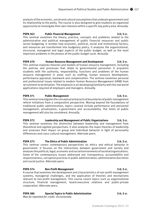analysis of the economic, social and cultural assumptions that underpin government and its relationship to the polity. The course is also designed to give students an organized opportunity to investigate their own interests within a specific key policy area. *Annually*.

## **PSPA 363 Public Financial Management 3.0; 3 cr.**

This seminar examines the theory, practice, concepts and problems related to the administrative and political management of public financial resources and public sector budgeting. It reviews how economic, political, social and institutional factors, and resources are transformed into budgetary policy. It analyzes the organizational, structural, managerial and legal aspects of the public budget, as well as the most important problems in the phases of the public budget cycle. *Annually.*

### **PSPA 370 Human Resource Management and Development 3.0; 3 cr.** This seminar explores theories and models of human resource management, including the policies and processes that relate to governmental personnel. It acquaints students with the authority, responsibility, functions and problems of the human resource management in areas such as staffing, human resource development, performance appraisal, teamwork and compensation. The seminar examines personal and professional issues related to modern Human Resource Management (HRM) from recruitment to termination. The emphasis is on developing familiarity with the real world applications required of employers and managers. *Annually.*

## **PSPA 371 Public Management 3.0; 3 cr.**

This seminar investigates the conceptual and practical boundaries of public management reform initiatives from a comparative perspective. Moving beyond the foundations of traditional public administration, topics covered include performance and personnel management, privatization, e-government and accountability. The limits of public management will also be considered. *Annually.*

## **PSPA 372 Leadership and Management of Public Organizations 3.0; 3 cr.**

This seminar examines the distinction between leadership and management from theoretical and applied perspectives. It also analyzes the major theories of leadership and assesses their impact on group and individual behavior in light of personality differences and cross-cultural management. *Alternate years.*

## **PSPA 373 The Ethics of Public Administration 3.0; 3 cr.**

This seminar covers contemporary perspectives on ethics and ethical behavior in government. It focuses on the interactions between government and society and analyzes the political, legal, economic and social environments of societal organizations. Some of the contemporary issues addressed are: transparency, accountability and responsiveness, corruptive practices in public administration, administrative discretion and social justice. *Alternate years.*

## **PSPA 374 Non-Profit Management 3.0; 3 cr.**

A course that examines the development and characteristics of non-profit management systems, managerial challenges, and the application of theories and mechanisms relevant to non-profit management. This course covers topics such as organizational structure, financial management, board-executive relations and public-private cooperation. *Alternate years.*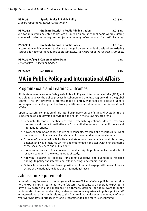| <b>PSPA 381</b> | <b>Special Topics in Public Policy</b>    | $3.0; 3$ cr. |
|-----------------|-------------------------------------------|--------------|
|                 | May be repeated for credit. Occasionally. |              |

**PSPA 382 Graduate Tutorial in Public Administration 3.0; 3 cr.** A tutorial in which selected topics are arranged on an individual basis where existing

courses do not offer the required subject matter. *May not be repeated for credit. Annually*.

## **PSPA 383 Graduate Tutorial in Public Policy 3.0; 3 cr.**

A tutorial in which selected topics are arranged on an individual basis where existing courses do not offer the required subject matter. *May not be repeated for credit. Annually*.

## **PSPA 395A/395B Comprehensive Exam 0 cr.**

*Prerequisite: Consent of advisor.*

**PSPA 399 MA Thesis 6 cr.**

# **MA in Public Policy and International Affairs**

## Program Goals and Learning Outcomes

Students who earn a Master's degree in Public Policy and International Affairs (PPIA) will be able to analyze the policy process in Lebanon and the Arab region within the global context. The PPIA program is professionally-oriented, that seeks to expose students to perspectives and approaches from practitioners in public policy and international affairs.

Upon successful completion of this interdisciplinary course of study, PPIA students are expected to able to develop knowledge and skills in the following core areas:

- Research Methods: Identify essential research questions, design research proposals and conduct qualitative and/or quantitative research on public policy and international affairs.
- Advanced Core Knowledge: Analyze core concepts, research and theories in relevant and multi-disciplinary areas of study in public policy and international affairs.
- Scholarly Communication Skills: Demonstrate scholarly communication skills in clear, detailed and well-structured written and oral formats consistent with high standards of the social sciences and public affairs.
- Professionalism and Ethical Research Conduct: Apply professionalism and ethical research conduct in the relevant areas of study.
- Applying Research to Practice: Translating qualitative and quantitative research findings to policy and international affairs settings and general public.
- Outreach to Policy Actors: Develop skills to inform and engage with relevant policy actors at the national, regional, and international levels.

## Admission Requirements

Admission requirements to the program will follow FAS admissions policies. Admission to the MA in PPIA is restricted to the fall term. Applicants are generally expected to have a BA degree in a social science field (broadly defined) or one relevant to public policy and/or international affairs, or else professional experience in public policy and/ or international affairs as it relates to the Arab region. In all cases, a minimum of oneyear work/policy experience is strongly recommended and more is encouraged.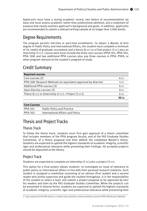Applicants must have a strong academic record, two letters of recommendation (at least one must assess academic rather than professional abilities), and a statement of purpose that clearly outlines applicant's background and goals. In addition, applicants are recommended to submit a relevant writing sample of no longer than 5,000 words.

## Degree Requirements

The program permits full-time or part-time enrollments. To obtain a Master of Arts degree in Public Policy and International Affairs, the student must complete a minimum of 24 credits of graduate coursework and a thesis (6 cr.) or a final project (3 cr.) plus an internship (3 cr.). Course work must include the three core courses (PPIA 301, PPIA 302, PPIA 308) and two additional PPIA courses plus any three courses in PPIA, PSPA, or other program relevant to the student's program of study.

## Credit Summary

| <b>Required courses</b>                                                     |        |
|-----------------------------------------------------------------------------|--------|
| Core courses (2)                                                            | 6 cr.  |
| PPIA 308 <sup>1</sup> Research Methods (or equivalent approved by director) | 3 cr.  |
| Additional PPIA courses (2)                                                 | 6 cr.  |
| Open Elective courses (3)                                                   | 9 cr.  |
| Thesis (6 cr.) or (Internship $(3$ cr.) + Project $(3$ cr.))                | 6 cr.  |
|                                                                             | 30 cr. |
|                                                                             |        |
| <b>Core Courses</b>                                                         |        |

| PPIA 301 | Public Policy and Practice       |
|----------|----------------------------------|
| PPIA 302 | International Affairs and Policy |

## Thesis and Project Tracks

## Thesis Track

To follow the thesis track, students must first gain approval of a thesis committee that includes members of the PPIA program faculty, and of the FAS Graduate Studies Committee, of a thesis proposal and then defend the completed Master's thesis. Students are expected to uphold the highest standards of academic integrity, scientific rigor and professional relevance while presenting their findings. All accepted projects should be deposited at the library.

## Project Track

Students are expected to complete an internship (3 cr.) plus a project (3 cr.).

This option for a final project allows students to investigate an issue of relevance to public policy or international affairs in line with their personal research interests. Each student is assigned a committee consisting of an advisor (first reader) and a second reader who jointly supervise and guide the student throughout. It is the responsibility of the student to select a topic and submit a project proposal to be approved by her/ his readers and then by the FAS Graduate Studies Committee. While the projects can be presented in diverse forms, students are expected to uphold the highest standards of academic integrity, scientific rigor and professional relevance while presenting their

<sup>1)</sup> Upon approval of the PPIA director, a student may substitute a relevant methods course for PPIA 308 Research Methods.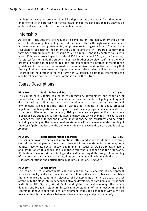findings. All accepted projects should be deposited at the library. A student who is unable to finish the project within the allotted time period can petition to be allowed an additional semester subject to consent of his committee.

## Internship

All project track students are required to complete an internship. Internships offer an exploration of public policy and international affairs through work experience in governmental, non-governmental, or private sector organizations. Students are responsible for securing their internships and having the PPIA program confirm that they meet AUB guidelines. Internships for credit require about 45 contact hours with about 90 hours of work beyond this (total 135 hours or about 10 hr/wk for 3 months). To register for internship the student must have his/her supervisor confirm to the PPIA program in writing at the beginning of the internships that the internships meets these guidelines. At the end of the internship, the supervisor must confirm in writing that these guidelines have been met. Upon completion, the student will write up a short report about the internship that will form a PPIA internship database. Internships can also be taken as an elective course for those on the thesis track.

## Course Descriptions

## **PPIA 301 Public Policy and Practice 3.0; 3 cr.**

The course covers topics related to the formation, development and evolution of frameworks of public policy. It compares theories and models of policy-making and decision-making to illustrate the special requirements of the country's context and environment. It examines the roles of various participants in the policy process: legislators, political parties, interest groups, civil society groups, media, administrative structures, citizens and the judiciary. Using a comparative perspective, the course discusses how public policy is formulated, and how and why it changes. The course also examines the role of formal and informal institutions, actors, structures and networks including challenges. The course provides students with an increased understanding of theories of public policy, and the ability to critically analyze and compare public policy. *Annually.*

## **PPIA 302 International Affairs and Policy 3.0, 3 cr.**

The seminar provides a survey of international affairs and policy. In addition to covering central theoretical perspectives, the course will introduce students to contemporary political, economic, social, and/or environmental issues as well as relevant actors and institutions with a special focus on those relevant to Lebanon and the Arab world. Students will develop critical thinking and analytical writing skills through close reading of key texts and writing exercises. Student engagement will include activities such as class presentations and participation in policy simulations. *Annually.*

## **PPIA 304** Development **3.0; 3 cr.**

This course offers students historical, political and policy analysis of development both as a reality and as a concept and discipline in the social sciences. It explains the emergence and continuing relevance of development, offering particular critical attention to the close interdependence between development paradigms, international institutions (UN System, World Bank) and global political economy. The course deepens and broadens students' historical understanding of the antecedents behind contemporaneous global and local development issues and challenges with a critical focus on the interdependence between science, advocacy and policy. *Annually.*

## Graduate Catalogue 2022–23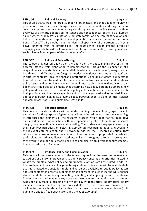## **PPIA 306 Political Economy 3.0; 3 cr.**

This course starts from the premise that history matters and that a long-term view of production, power and social change is essential for understanding enduring patters of wealth and poverty in the contemporary world. It goes on to provide students with an overview of scholarly debates on the causes and consequences of the rise of Europe, asking whether the historical literature on state formation and capitalist development helps us understand socio-political developmental success and failure in the Global South after WWII. By emphasizing the historical specificity of the structure of social power inherited from the agrarian past, the course tries to highlight the pitfalls of deploying models based on European example for understanding development and social change in other parts of the globe. *Annually.*

### **PPIA 307 Politics of Policy-Making 3.0; 3 cr.**

The course provides an analysis of the politics of the policy-making process in its different stages, from elaboration to implementation, through the examination of a range of policy case studies (urban/spatial, development, environment, energy, social, health, etc.) at different scales (neighborhood, city, region, state, groups of states) and in different contexts (local, regional and international). It equips students to understand how policy ideas are framed into technical and normative discourses that depoliticize policy issues and neutralize power and inequalities. It trains them to identify, trace and deconstruct the political elements that determine how policy paradigms emerge, how policy windows come to be created, how policy actors mobilize, network and advocate their positions, and how policy agendas and tools are negotiated and assembled. It also approaches policy-making as a hybrid space between expertise and politics, science and democracy, nature and humanity. *Occasionally.*

## **PPIA 308 Research Methods 3.0; 3 cr.**

This course provides students with an understanding of research language, concepts and ethics for the purpose of generating evidence-based research for policy-making. It introduces the elements of the research process within quantitative, qualitative and mixed methods approaches, with an emphasis on problem formulation, research design, data collection, analysis and reporting. The students will engage in identifying their main research question, selecting appropriate research methods, and designing the relevant data collection and fieldwork to address their research question. They will also learn how to present their research ideas as research proposals for academic, professional and other audiences. Students will also, throughout the course, be exposed to the variety of public policy tools used to communicate with different publics (memos, briefs, reports, etc.)*. Annually.*

## **PPIA 309 Evidence, Policy and Communication 3.0; 3 cr.**

This course introduces students to the types of questions that need to be answered to address and make improvements to public policy concerns and priorities, including what's the problem, what policy and programmatic options are best suited to address the problem, and how can change be brought about. This course will train students to use the knowledge translation tools and resources available to public policymakers and stakeholders in order to support their use of research evidence; and will enhance students' skills in assessing, selecting, adapting and applying research evidence. Students will experiment with key tools and resources to communicate with different types of policy makers including priority setting, evidence briefs, policy briefs, policy memos, personalized briefing and policy dialogues. This course will provide skills on how to prepare briefs and effective tips on how to communicate evidence (both published and tacit) to policy makers and the public. *Annually.*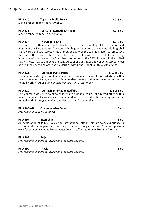## **PPIA 310 Topics in Public Policy 3.0; 3 cr.**

May be repeated for credit. *Annually*

## **PPIA 311 Topics in International Affairs 3.0; 3 cr.**

May be repeated for credit. *Annually*

## **PPIA 314 The Global South 3.0; 3 cr.**

The purpose of this course is to develop greater understanding of the evolution and history of the Global South. The course highlights the nature of changes within global frameworks and structures. While the course explores the common historical processes that unify the various states, societies and peoples within the global south (e.g. imperialism/colonialism; core/periphery; formation of the G77 block within the United Nations; etc.), it also unpacks the contradictions; class, race and gender discrepancies; power imbalances and other particularities within the Global South. *Occasionally*.

## **PPIA 321 Tutorial in Public Policy 1, 2, or 3 cr.**

This course is designed to allow students to pursue a course of directed study with a faculty member. It may consist of independent research, directed reading, or policyrelated work. *Prerequisite: Consent of Instructor. Occasionally*.

## **PPIA 322 Tutorial in International Affairs 1, 2 or 3 cr.**

This course is designed to allow students to pursue a course of directed study with a faculty member. It may consist of independent research, directed reading, or policyrelated work. *Prerequisite: Consent of Instructor. Occasionally*.

## **PPIA 395A/B Comprehensive Exam OCT. OCT.**

*Prerequisite: Consent of advisor.*

## **PPIA 397** Internship 3 cr.

An exploration of Public Policy and International Affairs through work experience in governmental, non-governmental, or private sector organizations. Students perform work for academic credit. *Prerequisite: Consent of Instructor and Program Director.*

| <b>PPIA 398</b> | <b>Project</b>                                         | 3 cr. |
|-----------------|--------------------------------------------------------|-------|
|                 | Prerequisite: Consent of Advisor and Program Director. |       |

**PPIA 399 Thesis 6 cr.** *Prerequisite: Consent of Advisor and Program Director.*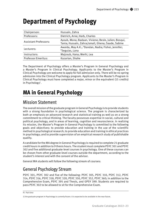# **Department of Psychology**

| Chairperson:                 | Hussain, Zahra                                                                                              |
|------------------------------|-------------------------------------------------------------------------------------------------------------|
| Professors:                  | Dietrich, Arne; Harb, Charles                                                                               |
| <b>Assistant Professors:</b> | Ayoub, Mona; Badaan, Viviene; Besle, Julien; Bosqui,<br>Tania: Hussain, Zahra: Ismail, Ghena: Saade, Sabine |
| Lecturers:                   | Awaida, May A.K.; PDandan, Nadia; Fisher, Jennifer;<br><sup>P</sup> Seguias, Lana                           |
| Instructors:                 | Majzoub, Hana; Merhi, Lea                                                                                   |
| <b>Professor Emeritus:</b>   | Kazarian, Shahe                                                                                             |

The Department of Psychology offers a Master's Program in General Psychology and a Master's Program in Clinical Psychology. Applicants to the Master's Program in Clinical Psychology are welcome to apply for fall admission only. There will be no spring admission into the Clinical Psychology program. Applicants to the Master's Program in Clinical Psychology must have completed a major, minor or the equivalent (15 credits) in Psychology<sup>1</sup>.

# **MA in General Psychology**

## Mission Statement

The overall mission of the graduate program in General Psychology is to provide students with a strong foundation in psychological science. The program is characterized by both an emphasis on advanced research and statistical training as well as on a strong commitment to critical thinking. The faculty possesses expertise in social, cultural and political psychology, and in areas of learning, cognition and neuroscience. In realizing its mission, the Master's Program in General Psychology is committed to the following goals and objectives: to provide education and training in the use of the scientific method in psychological research; to provide education and training in ethical practices in psychology; and to provide supervision of an empirical research study of publishable quality.

A candidate for the MA degree in General Psychology is required to complete 21 graduate credit hours in addition to 9 thesis hours. The student must complete PSYC 301 and PSYC 302 and five additional graduate-level courses in psychology. One of these courses can be chosen from other graduate-level courses outside the department, according to the student's interest and with the consent of the advisor.

General MA students will follow the following stream of courses:

## General Psychology Stream

PSYC 301, PSYC 302 and five of the following: PSYC 305, PSYC 310, PSYC 312, PSYC 314, PSYC 316, PSYC 318, PSYC 320, PSYC 350, PSYC 352, PSYC 360; in addition to the Comprehensive Exam, PSYC 395 and Thesis, and GPSY 399. Students are required to pass PSYC 302 to be allowed to sit for the Comprehensive Exam.

P) Part-time

<sup>1)</sup> the graduate program in Psychology is currently frozen. It is expected to be available in the near future.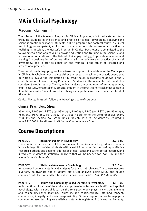# **MA in Clinical Psychology**

## Mission Statement

The mission of the Master's Program in Clinical Psychology is to educate and train graduate students in the science and practice of clinical psychology. Following the scientist-practitioner model, students will be prepared for doctoral study in clinical psychology or competent, ethical and socially responsible professional practice. In realizing its mission, the Master's Program in Clinical Psychology is committed to the following goals and objectives: to provide education and training in the scientific and professional foundations of the field of clinical psychology; to provide education and training in consideration of cultural diversity in the science and practice of clinical psychology; and to provide education and training in the ethics of research and professional practice.

The clinical psychology program has a two-track option. A candidate for the MA degree in Clinical Psychology must select either the research-track or the practitioner-track. Both tracks involve the completion of 30 credit hours in graduate coursework and 6 credit hours of Clinical Training Practicum. Students in the research-track must also complete 6 credit hours of Thesis, which involves the completion of an independent, empirical study, for a total of 42 credits. Student in the practitioner-track must complete 3 credit hours of a Clinical Project involving a comprehensive case study for a total of 39 credits.

Clinical MA students will follow the following stream of courses:

## Clinical Psychology Stream

PSYC 301, PSYC 302, PSYC 305, PSYC 350, PSYC 352, PSYC 354, PSYC 356, PSYC 358, PSYC 360, PSYC 362, PSYC 364, PSYC 366; in addition to the Comprehensive Exam, PSYC 395 and Thesis,CPSY 399 or Clinical Project, CPSY 398. Students are required to pass PSYC 302 to be allowed to sit for the Comprehensive Exam.

# **Course Descriptions**

## **PSYC 301 Research Design in Psychology 3.0; 3 cr.**

This course is the first part of the core research requirements for graduate students in psychology. It provides students with a solid foundation in the basic quantitative research methods and designs, addresses ethical issues in psychological research, and introduces students to statistical analyses that will be needed for PSYC 302 and the master's thesis. *Annually.*

## **PSYC 302 Statistical Analyses in Psychology 3.0; 3 cr.**

An advanced course in statistical analyses for the social sciences. The course explores bivariate, multivariate and structural statistical analysis using SPSS; the course combines both lecture- and lab-based sessions. *Prerequisite: PSYC 301. Annually.*

## **PSYC 305 Ethics and Community-Based Learning in Psychology 3.0; 3 cr.**

An in-depth-exploration of the ethical and professional issues in scientific and applied psychology, with a special focus on the role psychology plays in civic engagement and community-based learning. Topics include confidentiality, informed consent, competence, integrity and social responsibility. Optional opportunities to engage in community-based learning are available to students registered in this course. *Annually.*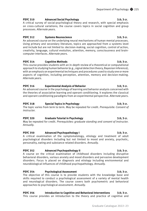## **PSYC 310 Advanced Social Psychology 3.0; 3 cr.**

A critical survey of social-psychological theory and research, with special emphasis on cross-cultural variations; the course covers topics in social cognition and group processes. *Alternate years.*

## **PSYC 312 Systems Neuroscience 3.0; 3 cr.**

*Alternate years.*

An advanced course on the underlying neural mechanisms of human mental processes. Using primary and secondary literature, topics are approached from a systems level and include but are not limited to: decision-making, social cognition, control of action, creativity, language, cultural evolution, attention, memory, consciousness and braincomputer interfaces. *Alternate years.*

### **PSYC 314 Cognitive Methods 3.0; 3 cr.** This course provides students with an in-depth review of a theoretical or computational approach to studying human behavior (e.g., signal detection theory, Bayesian inference), with an emphasis on experimental techniques and procedures used to study one or more aspects of cognition, including perception, attention, memory and decision-making.

## **PSYC 316 Experimental Analysis of Behavior 3.0; 3 cr.**

An advanced course in the psychology of learning and behavior analysis concerned with the theories of associative learning and operant conditioning. It explores the classical and operant conditioning paradigms from an experimental perspective. *Alternate years*.

## **PSYC 318 Special Topics in Psychology 3.0; 3 cr.**

The topic varies from term to term. May be repeated for credit. *Prerequisite: Consent of instructor.*

## **PSYC 320 Graduate Tutorial in Psychology 3.0; 3 cr.**

May be repeated for credit. *Prerequisites: graduate standing and consent of instructor. Annually*.

## **PSYC 350 Advanced Psychopathology I 3.0; 3 cr.**

A critical examination of the symptomatology, etiology and treatment of adult psychological disorders including but not limited to mood and anxiety, psychotic, personality, eating and substance-related disorders. *Annually.*

## **PSYC 352 Advanced Psychopathology II 3.0; 3 cr.**

A course on the critical examination of childhood disorders including disruptive behavioral disorders, various anxiety and mood disorders and pervasive development disorders. Focus is placed on diagnosis and etiology including environmental and neurobiological influences of childhood psychopathology. *Annually.*

## **PSYC 354 Psychological Assessment 3.0; 3 cr.**

The objective of this course is to provide students with the knowledge base and skills required to conduct a psychological assessment of a variety of mental health and neurological disorders. The course covers both psychometric and behavioral approaches to psychological assessment. *Annually.* 

### **PSYC 356 Introduction to Cognitive and Behavioral Interventions 3.0; 3 cr.** This course provides an introduction to the theory and practice of cognitive and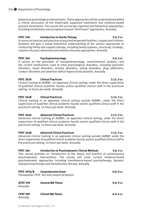behavioral psychological interventions. These approaches will be contextualized within a critical discussion of the empirically supported treatments and evidence-based practice movements. The course will survey key cognitive and behavioral approaches, including mindfulness and acceptance based "third wave" approaches. *Annually.*

## **PSYC 358 Introduction to Family Therapy 3.0; 3 cr.**

A course on theories and practices of psychotherapy with families, couples and children. Students will gain a broad theoretical understanding of the various approaches to conducting family and couples therapy, including family systems, structural, strategic, solution-focused, behavioral and emotion-focused approaches. *Annually.*

## **PSYC 360 Psychopharmacology 3.0; 3 cr.**

A course on the principles of neuropharmacology, neurochemical systems, and the current medications used to treat psychological disorders, including psychotic disorders, mood disorders, anxiety disorders, eating disorders, drug addictions, conduct disorders and attention deficit hyperactivity disorder. *Annually.*

## **PSYC 362A Clinical Practicum 3.12; 3 cr.**

Clinical training at AUBMC, an approved clinical setting, under the direct supervision of qualified clinical academic faculty and/or qualified clinical staff in the practicum setting. 14 hours per week. *Annually.*

## **PSYC 362B Clinical Practicum 3.12; 3 cr.**

Clinical training in an approved clinical setting outside AUBMC, under the direct supervision of qualified clinical academic faculty and/or qualified clinical staff in the practicum setting. 14 hours per week. *Annually.*

## **PSYC 364A Advanced Clinical Practicum 3.12; 3 cr.**

Advanced clinical training at AUBMC, an approved clinical setting, under the direct supervision of qualified clinical academic faculty and/or qualified clinical staff in the practicum setting. 14 hours per week. *Annually.*

## **PSYC 364B Advanced Clinical Practicum 3.12; 3 cr.**

Advanced clinical training in an approved clinical setting outside AUBMC under the direct supervision of qualified clinical academic faculty and/or qualified clinical staff in the practicum setting. 14 hours per week. *Annually.*

## **PSYC 366 Introduction to Psychodynamic Clinical Methods 3.0; 3 cr.**

This course provides an introduction to the theory and practice of contemporary psychodynamic interventions. The course will cover current evidence-based psychodynamic approaches including transference-based psychotherapy, dynamic interpersonal therapy and mentalization therapy. *Annually.*

| <b>PSYC 395A/B</b>           | <b>Comprehensive Exam</b><br>Prerequisite: PSYC 302 and consent of advisor. | $0.0:0$ cr. |
|------------------------------|-----------------------------------------------------------------------------|-------------|
| <b>GPSY 399</b><br>Annually. | <b>General MA Thesis</b>                                                    | $9.0:9$ cr. |
| <b>CPSY 399</b><br>Annually. | <b>Clinical MA Thesis</b>                                                   | $6.0:6$ cr. |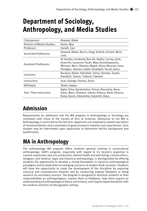# **Department of Sociology, Anthropology, and Media Studies**

| Chairperson:                 | Atwood, Blake                                                                                                                                                                                                  |
|------------------------------|----------------------------------------------------------------------------------------------------------------------------------------------------------------------------------------------------------------|
| Director of Media Studies:   | Farah, May                                                                                                                                                                                                     |
| Professor:                   | Hanafi, Sari                                                                                                                                                                                                   |
| <b>Associate Professors:</b> | Atwood, Blake; Burris, Greg; Scheid, Kirsten; Wick,<br>Livia                                                                                                                                                   |
| <b>Assistant Professors:</b> | Al-Hardan, Anaheed; Bou Ali, Nadia; Carney, Josh;<br>Enzerink, Suzanne; Farah, May; Kosmatopoulos,<br>Michael, Marc; Nikolas; Majed, Rima; Mourad, Sara;<br>Perdigon, Sylvain; Saleh, Elizabeth; Tarraf, Zeina |
| Lecturers:                   | Barakat, Rabie; Fathallah, Zeina; Hamdar, Sarah;<br>Kanafani, Samar; Trabulsi, Fawwaz                                                                                                                          |
| Instructors:                 | Azar, George; Osman, Zeina                                                                                                                                                                                     |
| Affiliated:                  | Sbaiti, Nadya                                                                                                                                                                                                  |
| Part-Time Instructors:       | Agha, Dina; Aprahamian, Panos; Boustany, Nora;<br>Daou, Marc; Ghanem, Samar; Khoury, Rami, Khoury,<br>Rana; Kassir, Alexandra; Sukarieh, Rana                                                                  |

# **Admission**

Requirements for admission into the MA program in Anthropology or Sociology are consistent with those of the Faculty of Arts of Sciences. Admission to the MA in Anthropology is restricted to the fall term. Applicants are required to submit two letters of recommendation and a statement of goals/research interests and experiences. Each student may be interviewed upon application to determine her/his background and qualification.

# **MA in Anthropology**

The anthropology MA program offers students general training in sociocultural anthropology. AUB's program, especially with regard to its faculty's expertise in creative expression and arts production; mental health and well-being; cultural ethics; refugees; and medical, legal and historical anthropology, is distinguished by offering students the opportunity to develop a strong foundation in classical anthropological paradigms and to relate them to emerging concerns of modern Arab societies. Students will have the opportunity to study the development of the discipline by exploring classical and contemporary theories and by conducting original fieldwork or doing research on secondary sources. The program is designed to sensitize students to their responsibilities as anthropologists, expose them to fieldwork, help them acquire an understanding of anthropological theory and history, and inspire experimentation with the medium and form of ethnographic writing.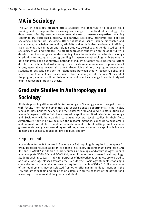# **MA in Sociology**

The MA in Sociology program offers students the opportunity to develop solid training and to acquire the necessary knowledge in the field of sociology. The department's faculty members cover several areas of research expertise, including contemporary sociological theory, comparative sociology, economic and political sociology, and cultural sociology. Other substantive issues include citizenship and civil society, knowledge production, ethnicity and sectarianism, sociology of religion, transnationalism, migration and refugee studies, sexuality and gender studies, and sociology of war and violence. The program provides students with the opportunity to develop their knowledge and understanding of key theoretical approaches in sociology in addition to getting a strong grounding in research methodology with training in both qualitative and quantitative methods of inquiry. Students are expected to further develop their intellectual skills through the critical examination of contemporary social issues, especially as they pertain to the Arab world. In addition, the program encourages students to critically consider the relationship between theory, research, policy and practice, and to reflect on ethical considerations in doing social research. At the end of the program, students will put their acquired skills and knowledge to conduct original empirical research through a thesis.

# **Graduate Studies in Anthropology and Sociology**

Students pursuing either an MA in Anthropology or Sociology are encouraged to work with faculty from other humanities and social sciences departments, in particular, media studies, political science, and the Center for Arab and Middle Eastern Studies. A master's degree in either field has a very wide application. Graduates in Anthropology and Sociology will be qualified to pursue doctoral level studies in their field. Alternatively, they will have acquired the research methods, exposure to scholarship and intercultural skills to work effectively in multicultural settings such as nongovernmental and governmental organizations, as well as expertise applicable in such domains as business, education, law and public policy.

## Requirements

A candidate for the MA degree in Sociology or Anthropology is required to complete 21 graduate credit hours in addition to a thesis. Sociology students must complete SOAN 300 and SOAN 312, in addition to three courses in sociology; and anthropology students must complete SOAN 304 and SOAN 310, in addition to three courses in anthropology. Students wishing to learn Arabic for purposes of fieldwork may complete up to 6 credits of Arabic language classes towards their MA degree. Sociology students choosing a concentration in communication are also required to complete SOAN 313. The remainder of the requirements may be selected from other offerings in the department or in the FAS and other schools and faculties on campus, with the consent of the advisor and according to the interest of the graduate student.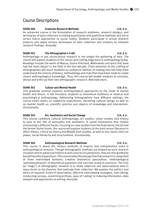## Course Descriptions

## **SOAN 300 Graduate Research Methods 3.0; 3 cr.**

An advanced course in the formulation of research problems, research designs, and techniques of data collection including quantitative and qualitative methods and micro versus macro approaches to social reality. Students participate in actual research projects and apply various techniques of data collection and analysis to interpret research findings. *Annually.*

## **SOAN 301 The Ethnographer's Craft 3.0; 3 cr.**

Anthropology or any sociocultural research is not simply the gathering of data. The course will expose students to the classic and cutting-edge texts in anthropology today. Readings include the works of Mauss, Evans-Pritchard, Malinowski and texts that have had the most impact in the field in the last decade. Close attention to the crafting of ethnographies will teach students an analytical method of reading that will help them understand the choices of theory, methodology and style that have been made to create classic anthropological knowledge. Thus, this course will enable students to conceive, devise and write-up their own ethnographic research. *Alternate years.*

## **SOAN 302 Culture and Mental Health 3.0; 3 cr.**

This graduate seminar explores anthropological approaches to the study of mental health and illness. It will introduce students to theoretical traditions in medical and psychological anthropology. Addressing ethnographies from different settings, the course treats works on subjective experiences, becoming cultural beings as well as on mental health as scientific practice and objects of knowledge and intervention. *Occasionally.*

## **SOAN 303 Art, Aesthetics and Social Change 3.0; 3 cr.**

This course combines cultural anthropology, art studies, urban studies and history to look at the role of sensuality and aesthetics in social movements that involve envisioning a different future. Focusing on case studies from the Arab world, the US and the former Soviet Union, the course will expose students to the most recent literature in affect theory, critical art theory and Middle East studies, as well as the classic texts on power, social hierarchy and structuralism. *Occasionally.*

## **SOAN 304 Anthropological Research Methods 3.0; 3 cr.**

This course is about the various methods of enquiry and interpretation used in anthropological research. Though ethnographic methods are shaped by each research situation and its particular historical and cultural circumstances, they are also guided by broad theoretical questions. This course takes the perspective that research is comprised of three interrelated domains: creative theoretical speculation, methodological 'operationalization' of theoretical questions and concrete research practices. The trick (or 'magic') of ethnographic research is to relate empirical and observational data in many forms to the theories that motivate their collection. We explore the politics and ethics of research, kinds of observation, effective interviewing strategies, note-taking, conducting surveys, examining archives, ways of 'coding' or indexing information, data analysis and approaches to writing. *Annually.*

Graduate Catalogue 2021–22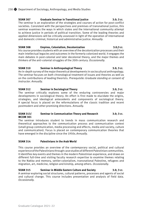## **SOAN 307 Graduate Seminar in Transitional Justice 3.0; 3 cr.**

The seminar is an exploration of the strategies and courses of action for post-conflict societies. Consistent with the perspectives and premises of transnational justice, this seminar examines the ways in which states and the international community attempt to achieve justice in periods of political transition. Some of the leading theories and applied dimensions will be critically assessed in light of the operation of international and domestic criminal, historical and administrative justice. *Annually.*

## **SOAN 308 Empires, Colonialism, Decolonization 3.0;3 cr.**

his course provides students with an overview of the decolonization processes and their main intellectual legacies and outcomes in the formerly colonized world. It engages the main debates in post-colonial and later decolonial theory, and the major themes and thinkers of the anti-colonial struggles of the 20th century. *Occasionally.*

## **SOAN 310 Seminar in Anthropological Theory 3.0; 3 cr.**

An in-depth survey of the major theoretical developments in sociocultural anthropology. The seminar focuses on both chronological treatment of issues and theories as well as on the contributions of leading theorists. *Prerequisite: Graduate standing or consent of instructor. Annually.*

## **SOAN 312 Seminar in Sociological Theory 3.0; 3 cr.**

The seminar critically explores some of the enduring controversies and major developments in sociological theory. An effort is first made to elucidate the origins, strategies, and ideological antecedents and components of sociological theory. A special focus is placed on the reformulations of the classic tradition and recent postmodern and other promising directions. *Annually.*

## **SOAN 313/ Seminar in Communication Theory and Research 3.0; 3 cr. MCOM 301**

The seminar introduces student to trends in mass communication research and theoretical approaches to the communication process and communication context (small group communication, media processing and effects, media and society, culture and communication). Focus is placed on contemporary communication theories that have emerged in the discipline since the 1950s.*Annually.*

## **SOAN 314 Palestinians in the Arab World**

This course provides an overview of the contemporary social, political and cultural experience of the Palestinians through case studies of different Palestinian communities. It identifies key events and themes in the modern Palestinian experience, and draws on different full-time and visiting faculty research expertise to examine themes relating to the Nakba and memory, settler-colonialism, transnational Palestine, refugees and migration, art, medicine, religion and kinship, among others. *Occasionally.*

## **SOAN 315 Seminar in Middle Eastern Culture and Society 3.0; 3 cr.**

A seminar exploring social structures, cultural patterns, processes and agents of social and cultural change. This course includes presentation and analysis of field data. *Occasionally.*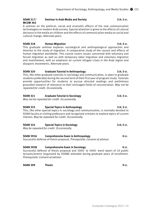## Graduate Catalogue 2021–22

## **SOAN 317/ Seminar in Arab Media and Society 3.0; 3 cr. MCOM 302**

A seminar on the political, social and economic effects of the new communication technologies on modern Arab society. Special attention is given to the effects of cultural deviance in the media on children and the effects of communication media on social and cultural change. *Alternate years.*

### **SOAN 318** Human Migration **3.0; 3 cr. 3.0; 3 cr.** This graduate seminar explores sociological and anthropological approaches and theories to the study of migration. A comparative study of the causes and effects of human migration worldwide. This course covers issues concerned with voluntary and forced migration as well as with temporary labor migration and voluntary migration

### **SOAN 320 Graduate Tutorial in Anthropology 3.0; 3 cr.** This, like other graduate tutorials in sociology and communication, is open to graduate students preferably during the second term of their first year of program study. Tutorials provide opportunities for students to pursue directed readings and preliminary grounded research of relevance to their envisaged fields of concentration. *May not be repeated for credit. Occasionally*.

and resettlement, with an emphasis on current refugee crises in the Arab region and

## **SOAN 321 Graduate Tutorial in Sociology 3.0; 3 cr.**

*May not be repeated for credit. Occasionally.*

diasporic movements. *Alternate years.*

## **SOAN 323 Special Topics in Anthropology 3.0; 3 cr.** This, like other special topics in sociology and communication, is normally devoted to SOAN faculty or visiting professors and recognized scholars to explore topics of current interest. May be repeated for credit. *Occasionally.*

## **SOAN 324 Special Topics in Sociology 3.0; 3 cr.**

*May be repeated for credit. Occasionally.*

## **SOAN 395A Comprehensive Exam in Anthropology 0 cr.**

Successful defense of thesis proposal. *Prerequisite: Consent of advisor.*

## **SOAN 395B Comprehensive Exam in Sociology 0 cr.**

Successful defense of thesis proposal and 3000- to 5000- word report of 10 public lectures/events (organized by SOAM) attended during graduate years of enrollment. *Prerequisite: Consent of advisor.*

**SOAN 399** Thesis 9 cr.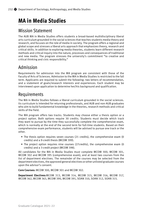# **MA in Media Studies**

## Mission Statement

The AUB MA in Media Studies offers students a broad-based multidisciplinary liberal arts curriculum grounded in the social sciences that teaches students media theory and research, and focuses on the role of media in society. The program offers a regional and global scope and stresses a liberal arts approach that emphasizes theory, research and critical skills. In addition to exploring media theories, students learn different research methods and critical inquiry into the nature, processes and consequences of traditional and new media. The program stresses the university's commitment "to creative and critical thinking and civic responsibility."

## Admission

Requirements for admission into the MA program are consistent with those of the Faculty of Arts of Sciences. Admission to the MA in Media Studies is restricted to the fall term. Applicants are required to submit the following: two letters of recommendation, and a statement of goals/research interests and experiences. Each student may be interviewed upon application to determine her/his background and qualification.

## Requirements

The MA in Media Studies follows a liberal curriculum grounded in the social sciences. Its curriculum is intended for returning professionals, and AUB and non-AUB graduates who aim to build fundamental knowledge in the theories, research methods and critical skills of the field.

The MA program offers two tracks. Students may choose either a thesis option or a project option. Both options require 30 credits. Students must decide which track they want to pursue by the time they successfully complete the comprehensive exam, which is normally at the end of the second term for full-time students. Based on their comprehensive exam performance, students will be advised to pursue one track or the other.

- The thesis option requires seven courses (21 credits), the comprehensive exam (0 credits) and a 9-credit thesis (MCOM 399).
- The project option requires nine courses (27credits), the comprehensive exam (0 credits) and a 3-credit project (MCOM 398).

All candidates for the MA in Media Studies must complete MCOM 300, MCOM 301, MCOM 302 and MCOM 395 (comprehensive exam), and at least two courses from the list of department electives. The remainder of the courses may be selected from the department electives, the approved general electives or other unlisted graduate courses upon the advisor's consent.

**Core Courses:** MCOM 300, MCOM 301 and MCOM 302.

**Department Electives:**MCOM 313, MCOM 314, MCOM 315, MCOM 316, MCOM 317, MCOM 362, MCOM 363, MCOM 390, MCOM 391, SOAN 310, SOAN 312, SOAN 315.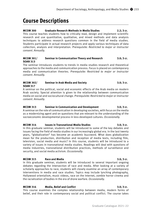# **Course Descriptions**

## **MCOM 300 Graduate Research Methods in Media Studies 2.2; 3 cr.**

This course teaches students how to critically read, design and implement scientific research and use quantitative, qualitative, and mixed methods and data analysis techniques to address research questions common in the field of media studies. Students participate in actual research projects and apply various techniques of data collection, analysis and interpretation. *Prerequisite: Restricted to major or instructor consent. Annually.* 

## **MCOM 301/ Seminar in Communication Theory and Research 3.0; 3 cr. SOAN 313**

The seminar introduces students to trends in media studies research and theoretical approaches to the media and communication process. Focus is placed on contemporary media and communication theories. *Prerequisite: Restricted to major or instructor consent. Annually.*

## **MCOM 302/ Seminar in Arab Media and Society 3.0; 3 cr. SOAN 317**

A seminar on the political, social and economic effects of the Arab media on modern Arab society. Special attention is given to the relationship between communication media on social and sociocultural change. *Prerequisite: Restricted to major or instructor consent. Annually.* 

## **MCOM 313 Seminar in Communication and Development 3.0; 3 cr.**

A seminar on the role of communication in developing societies, with focus on the media as a modernizing agent and on questions that are relevant to the understanding of the socioeconomic developmental process in less developed cultures. *Occasionally.* 

## **MCOM 314 Issues in Transnational Media Studies 3.0; 3 cr.**

In this graduate seminar, students will be introduced to some of the key debates and issues facing the field of media studies in our increasingly global era. In the last twenty years, "globalization" has become an academic buzzword. What does globalization mean for the production, distribution and reception of media texts, including film, television, social media and music? In this course, students will be introduced to a variety of issues in transnational media studies. Readings will deal with questions of media industries, transnational distribution practices, methods of surveillance and security, and social media activism. *Occasionally.*

## **MCOM 315 Race and Media 3.0; 3 cr.**

In this graduate seminar, students will be introduced to several important ongoing debates regarding the intersection of race and media. After looking at a variety of scholarly approaches to race, students will closely examine an array of contemporary interventions in media and race studies. Topics may include lynching photography, Hollywood orientalism, music videos, race on the Internet, zombie horror cinema and the racialization of bodies in the era of drone warfare. *Occasionally.*

## **MCOM 316 Media, Belief and Conflict 3.0; 3 cr.**

This course examines the complex relationship between media, modern forms of belief, and their role in contemporary social and political conflict. The course takes

Graduate Catalogue 2021–22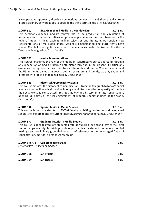a comparative approach, drawing connections between critical theory and current interdisciplinary conversations to open up the three terms in the title. *Occasionally.*

## **MCOM 317 Sex, Gender and Media in the Middle East 3.0; 3 cr.** This seminar examines media's central role in the production and circulation of narratives and counter-narratives of gender oppression and sexual liberation in the region. Through critical readings in film, television and literature, we consider how representations of male dominance, women's emancipation and LGBT rights have shaped Middle Eastern politics with particular emphasis on decolonization, the War on Terror and immigration. *Occasionally.*

## **MCOM 362 Media Representations 3.0; 3 cr.**

This course examines the role of the media in constructing our social reality through an examination of media practices both historically and in the present. It particularly examines the representations of Arabs and the Arab world in the Western media, and the US in the Arab media. It covers politics of culture and identity as they shape and intersect with today's globalized media. *Occasionally.* 

## **MCOM 363 Historical Approaches to Media 3.0; 3 cr.**

This course situates the history of communication – from the telegraph to today's social media – as more than a history of technology, and discusses the complexity with which the social world is constructed. Both technology and history enter into conversation, opening up points of critical engagement of modern understandings of the world. *Occasionally.*

## **MCOM 390 Special Topics in Media Studies 3.0; 3 cr.**

This course is normally devoted to MCOM faculty or visiting professors and recognized scholars to explore topics of current interest. *May be repeated for credit. Occasionally.* 

## **MCOM 391 Graduate Tutorial in Media Studies 3.0; 3 cr.**

This course is open to graduate students preferably during the second term of their first year of program study. Tutorials provide opportunities for students to pursue directed readings and preliminary grounded research of relevance to their envisaged fields of concentration. *May not be repeated for credit.* 

|                 | MCOM 395A/B Comprehensive Exam    | 0 cr. |
|-----------------|-----------------------------------|-------|
|                 | Prerequisite: Consent of advisor. |       |
| <b>MCOM 398</b> | <b>MA Project</b>                 | 3 cr. |
| <b>MCOM 399</b> | <b>MA Thesis</b>                  | 6 cr. |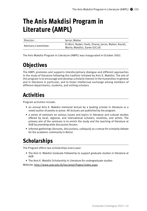# **The Anis Makdisi Program in Literature (AMPL)**

| Director:           | Jarrar, Maher                                                                        |
|---------------------|--------------------------------------------------------------------------------------|
| Advisory Committee: | El-Bizri, Nader; Harb, Sirene; Jarrar, Maher; Kozah,<br>Mario; Makdisi, Saree (UCLA) |

The Anis Makdisi Program in Literature (AMPL) was inaugurated in October 2002.

# **Objectives**

The AMPL promotes and supports interdisciplinary dialogue and different approaches in the study of literature following the tradition initiated by Anis K. Makdisi. The aim of this program is to encourage and develop scholarly interest in the humanities in general and in literature in particular, and to foster intellectual exchange among members of different departments, students, and visiting scholars.

# **Activities**

Program activities include:

- an annual Anis K. Makdisi memorial lecture by a leading scholar in literature or a noted author of poetry or prose. All lectures are published by the program.
- a series of seminars on various issues and topics in literature and cultural studies offered by local, regional, and international scholars, novelists, and artists. The primary aim of the seminars is to enrich the study and the teaching of literature at AUB by providing wide discussion forums.
- informal gatherings (lectures, discussions, colloquia) as a venue for scholarly debate for the academic community in Beirut.

# **Scholarships**

The Program offers two scholarships every year:

- The Anis K. Makdisi Graduate Fellowship to support graduate studies in literature at AUB
- The Anis K. Makdisi Scholarship in Literature for undergraduate studies

Website: http://www.aub.edu.lb/fas/ampl/Pages/index.aspx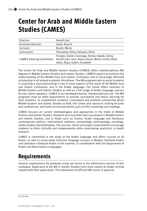# **Center for Arab and Middle Eastern Studies (CAMES)**

| Director:                        | Hanafi, Sari                                                                                                                              |
|----------------------------------|-------------------------------------------------------------------------------------------------------------------------------------------|
| <b>Assistant Director:</b>       | Saidi, Aliya R.                                                                                                                           |
| Lecturer:                        | Kozah, Mario                                                                                                                              |
| Instructors:                     | <sup>P</sup> Kanawati, Rima: Semaan, Rima                                                                                                 |
| <b>CAMES Steering Committee:</b> | Frangie, Samer; Gannage, Emma; Halabi, Zeina;<br>Hanafi, Sari; Issa, Rana; Kozah, Mario; Orfali, Bilal;<br>Saidi, Aliya; Saleh, Elizabeth |

The Center for Arab and Middle Eastern Studies (CAMES) offers interdisciplinary MA degrees in Middle Eastern Studies and Islamic Studies. CAMES's goal is to enhance the understanding of the Middle East and Islamic civilization and to encourage informed scholarship in all related academic disciplines. The MA programs aim to assist students in acquiring a sound grounding in one or more aspects of the study of the Middle East and Islamic civilization, and in the Arabic language. The Center offers seminars in Middle Eastern and Islamic Studies as well as a full range of Arabic language courses for non-native speakers. CAMES is an interdepartmental, interdisciplinary unit. The MA programs draw on other departments to provide coursework and thesis advising for their students. To complement students' coursework and promote scholarship about Middle Eastern and Islamic Studies at AUB, the Center also sponsors visiting lectures and conferences, and holds occasional events such as film screenings and readings.

CAMES focuses on current methodologies and approaches in the fields of Middle Eastern and Islamic Studies. Students structure their own coursework in Middle Eastern and Islamic Studies, and in fields such as history, Arabic language and literature, contemporary politics, international relations, archaeology, anthropology, sociology, media studies and philosophy. The courses, thesis and project requirements encourage students to think critically and independently while undertaking analytical, in-depth research.

CAMES is committed to the study of the Arabic language and offers courses at all levels, as well as seven-week intensive language courses in Modern Standard Arabic and Lebanese colloquial Arabic in the summer, in coordination with the Department of Arabic and Near Eastern Languages.

# **Requirements**

General requirements for graduate study are found in the Admissions section of this catalogue. Applicants to the MA in Islamic Studies track must submit an Arabic writing sample with their application. The submission of official GRE scores is optional.

P) Part time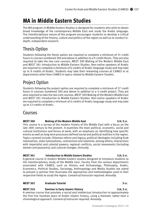# **MA in Middle Eastern Studies**

The MA program in Middle Eastern Studies is designed for students who wish to obtain broad knowledge of the contemporary Middle East and study the Arabic language. The interdisciplinary nature of the program encourages students to develop a critical understanding of the history, culture and politics of the region as well as to conduct indepth, independent research.

## Thesis Option

Students following the thesis option are required to complete a minimum of 21 credit hours in courses numbered 300 and above in addition to a 9-credit thesis. They are also required to take the two core courses, MEST 300 Making of the Modern Middle East and MEST 301 Introduction to Middle Eastern Studies. Non-native speakers of Arabic are required to complete a minimum of 6 credits of Arabic language study and may take up to 9 credits of Arabic. Students may take their remaining courses at CAMES or at departments other than CAMES in topics related to Middle Eastern Studies.

## Project Option

Students following the project option are required to complete a minimum of 27 credit hours in courses numbered 300 and above in addition to a 3-credit project. They are also required to take the two core courses, MEST 300 Making of the Modern Middle East and MEST 301 Introduction to Middle Eastern Studies. Non-native speakers of Arabic are required to complete a minimum of 6 credits of Arabic language study and may take up to 12 credits of Arabic.

## Courses

## **MEST 300 Making of the Modern Middle East 3.0; 3 cr.**

This course is a survey of the modern history of the Middle East with a focus on the late 18th century to the present. It examines the main political, economic, social and cultural institutions and forces at work, with an emphasis on identifying how specific events as well as long-term processes defined social and political realities in the region. Topics covered include: Ottoman reform and legacy; political ideologies including Arab nationalism, state nationalisms, communism and Islamism, among others; interactions with imperialist and colonial powers; regional conflicts; social movements (including women and peasants); and cultural changes. *Annually.*

## **MEST 301 Introduction to Middle Eastern Studies 3.0; 3 cr.**

A general course in modern Middle Eastern studies designed to introduce students to the interdisciplinary study of the Middle East. Faculty from the various departments associated with CAMES, such as History and Archaeology, Philosophy, Arabic, Economics, Political Studies, Sociology, Anthropology and Media Studies are asked to present a seminar that illustrates the approaches and methodologies used in their respective fields to study the region. *Consent of instructor required. Annually.*

## **MEST 302 Graduate Tutorial 3 cr.**

## **MEST 310 Seminar in Early Islamic History 3.0; 3 cr.**

A seminar course that provides a social and intellectual introduction to approximately the first five hundred years of Arabic Islamic history, using a thematic rather than a chronological approach. *Consent of instructor required. Annually.*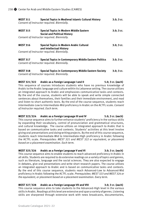| <b>MEST 311</b> | Special Topics in Medieval Islamic Cultural History<br>Consent of instructor required. Biennially.    | $3.0; 3$ cr. |
|-----------------|-------------------------------------------------------------------------------------------------------|--------------|
| <b>MEST 315</b> | Special Topics in Modern Middle Eastern<br><b>Social and Political History</b>                        | $3.0; 3$ cr. |
|                 | Consent of instructor required. Biennially.                                                           |              |
| <b>MEST 316</b> | <b>Special Topics in Modern Arabic Cultural</b><br>and Intellectual History                           | $3.0; 3$ cr. |
|                 | Consent of instructor required. Biennially.                                                           |              |
| <b>MEST 317</b> | Special Topics in Contemporary Middle Eastern Politics<br>Consent of instructor required. Biennially. | $3.0; 3$ cr. |

## **MEST 318 Special Topics in Contemporary Middle Eastern Society 3.0; 3 cr.**

*Consent of instructor required. Biennially.*

## **MEST 321/322 Arabic as a Foreign Language I and II 5.0; 3 cr. (each)**

This sequence of courses introduces students who have no previous knowledge of Arabic to the Arabic language and culture within its Lebanese setting. The course utilizes an integrated approach to Arabic and emphasizes communicative tasks and contexts. By the end of the course, students will be able to speak and write simple connected sentences about themselves, their families and their immediate environment, and read and listen to short authentic texts. By the end of the course sequence, students reach Intermediate-Low to Intermediate-Mid proficiency in Arabic on the ACTFL scale. *Consent of instructor required. Each term.*

## **MEST 323/324 Arabic as a Foreign Language III and IV 5.0; 3 cr. (each)**

This course sequence aims to further enhance students' proficiency in the various skills by expanding their vocabulary, control of pronunciation and grammatical structures, and cultural knowledge. The course utilizes an integrated approach to Arabic that is based on communicative tasks and contexts. Students' activities at this level involve giving oral presentations and doing writing projects. By the end of this course sequence, students reach Intermediate-Mid to Intermediate-High proficiency in Arabic following the ACTFL scale. *Prerequisites: MEST 321 and MEST 322 or equivalent, or placement based on a placement examination. Each term.*

## **MEST 325/326 Arabic as a Foreign Language V and VI 3.0; 3 cr. (each)**

This course sequence aims to enable students to reach advanced proficiency in Arabic in all skills. Students are required to do extensive readings on a variety of topics and genres, such as literature, language and the social sciences. They are also expected to engage in debates, give oral presentations and write short research papers. The course utilizes an integrated approach to Arabic and is based on communicative tasks and contexts. By the end of this course sequence, students reach Advanced-Low to Advanced-Mid proficiency in Arabic following the ACTFL scale. *Prerequisites: MEST 323 and MEST 324 or the equivalent, or placement based on a placement examination. Every term.*

**MEST 327/328 Arabic as a Foreign Language VII and VIII 3.0; 3 cr. (each)** This course sequence aims to take students to the Advanced-High level in the various skills in Arabic. Readings at this level are extensive and span a variety of genres. Listening skills are sharpened through extensive work with news broadcasts, documentaries,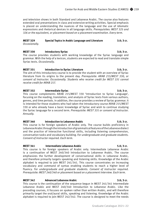and television shows in both Standard and Lebanese Arabic. The course also features extended oral presentations in class and extensive writing activities. Special emphasis is placed on understanding the nuances of the language and the use of idiomatic expressions and rhetorical devices in all language skills. *Prerequisites: MEST 325 and 326 or the equivalent, or placement based on a placement examination. Every term*.

### **MEST 329 Special Topics in Arabic Language and Literature 3.0; 3 cr.**  *Occasionally.*

**MEST 330 Introductory Syriac 3.0; 3 cr.** The course provides students with working knowledge of the Syriac language and grammar. With the help of a lexicon, students are expected to read and translate simple Syriac texts. *Occasionally*.

## **MEST 331 Introduction to Syriac Literature 3.0; 3 cr.**

The aim of this introductory course is to provide the student with an overview of Syriac literature from its origins to the present day. *Prerequisite: ARAB 215/MEST 330, or consent of instructor. Occasionally. Students who receive credit for MEST 331 cannot receive credit for ARAB 217.*

## **MEST 332 Intermediate Syriac 3.0; 3 cr.**

This course complements ARAB 215/MEST 330 'Introduction to Syriac Language', focusing on the reading, translation, and analysis of Syriac texts from various authors, genres, and time periods. In addition, the course provides a review of Syriac grammar. It is intended for those students who had taken the introductory course ARAB 215/MEST 330 or who already have a basic knowledge of Syriac and wish to continue studying the Syriac language for a second term. *Prerequisite: MEST 331 or consent of instructor. Annually.*

## **MEST 340 Introduction to Lebanese Arabic 5.0; 3 cr.**

This course is for foreign speakers of Arabic only. The course builds proficiency in Lebanese Arabic through the introduction of grammatical features of the Lebanese dialect and the practice of interactive functional skills, including listening comprehension, conversation tasks and vocabulary building. *For undergraduate and graduate students. Consent of instructor required. Each term*.

## **MEST 341 Intermediate Lebanese Arabic 5.0; 3 cr.**

This course is for foreign speakers of Arabic only. Intermediate Lebanese Arabic is a continuation of MEST 240/340 Introduction to Lebanese Arabic. The course emphasizes the further development of conversational skills in Lebanese Arabic, and therefore primarily targets speaking and listening skills. Knowledge of the Arabic alphabet is required to join MEST 241/341. This course concentrates on increasing vocabulary and command of syntax enabling students to reach a higher level of fluency. *For undergraduate and graduate students. Consent of instructor required. Prerequisite: MEST 240/340 or placement based on a placement interview. Each term.*

## **MEST 342 Advanced Lebanese Arabic 3.0; 3 cr.**

This course is the continuation of the sequence begun in MEST 241/341 Intermediate Lebanese Arabic and MEST 240/340 Introduction to Lebanese Arabic. Like the preceding courses, it focuses on spoken rather than written Arabic, and will therefore primarily target the oral/aural skills, speaking and listening. Knowledge of the Arabic alphabet is required to join MEST 242/342. The course is designed to meet the needs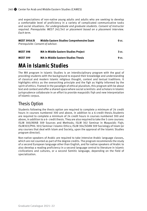and expectations of non-native young adults and adults who are seeking to develop a comfortable level of proficiency in a variety of complicated communicative tasks and social situations. *For undergraduate and graduate students. Consent of instructor required. Prerequisite: MEST 241/341 or placement based on a placement interview. Each term.*

| <b>MEST 395A/B</b><br>Prerequisite: Consent of advisor. | <b>Middle Eastern Studies Comprehensive Exam</b> | 0 cr. |
|---------------------------------------------------------|--------------------------------------------------|-------|
| <b>MEST 398</b>                                         | <b>MA in Middle Eastern Studies Project</b>      | 3 cr. |
| <b>MEST 399</b>                                         | <b>MA in Middle Eastern Studies Thesis</b>       | 9 cr. |

# **MA in Islamic Studies**

The MA program in Islamic Studies is an interdisciplinary program with the goal of providing students with the background to expand their knowledge and understanding of classical and modern Islamic religious thought, context and textual traditions. It highlights ethics as the overarching principle and the figh as highly informed by the spirit of ethics. Framed in the paradigm of ethical pluralism, this program with be about text and context and offer a shared space where social scientists and scholars in Islamic jurisprudence collaborate in an effort to provide maqasidic fiqh and new interpretation of Islamic corpus.

## Thesis Option

Students following the thesis option are required to complete a minimum of 24 credit hours in courses numbered 300 and above, in addition to a 6-credit thesis.Students are required to complete a minimum of 24 credit hours in courses numbered 300 and above, in addition to a 6- credit thesis. They are also required to take the 5 core courses: ISLM 300/ARAB 309 Sources and Methods; ISLM 302 Seminar in Maqasidic Fiqh; ISLM303/PHIL 301J Seminar i Islamic Ethics; ISLM 304/SOAN 309 Sociology of Islam (or any courses that deal with Islam and Society, upon the approval of the Islamic Studies program director).

Non-native speakers of Arabic are required to take intensive Arabic language classes, which are not counted as part of the degree credits. The program recommends the study of a second European language other than English, and for native speakers of Arabic to also develop a reading proficiency in a second language central to literature in Islamic civilizations and cultures, or a second Semitic language, depending on the field of specialization.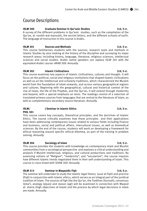## Course Descriptions

## **ISLM 300 Graduate Seminar in Qur'anic Studies 3.0; 3 cr.**

A survey of the different problems in Qur'anic studies, such as the compilation of the Qur'an, al -nasikh wal-mansukh, the sectret letters, and the different schools of tasfir. The language of instruction in this course is Arabic.

### **ISLM 301 Sources and Methods 3.0; 3 cr.** This course familiarizes students with the sources, research tools and methods in Islamic Studies by also looking at the history of the discipline and surveying its major research areas; including history, language, literature, religious sciences, intellectual sciences and social studies. *Arabic native speakers can replace ISLM 301 with the equivalent Arabic course: ARAB 309. Annually.*

## **ISLM 302 Islamic Civilizations 3.0; 3 cr.**

This course examines key aspects of Islamic civilizations, cultures and thought. It will focus on the political, social and religious institutions that shaped Islamic civilizations as well as on the intellectual and scholarly traditions, which characterized the Muslim world from the foundation of Islam onwards, and across various geographical regions and cultures. Beginning with the geographical, cultural and historical context of the rise of Islam, the life of the Prophet, and the Qur'an, it will extend through modernity and beyond, with a special emphasis on texts. The readings consist of a selection of translated primary sources from languages that are central to the literature of Islam, as well as complementary secondary source literature. *Annually.*

### **ISLM/ J Seminar in Islamic Ethics 3.0; 3 cr. PHIL 301**

This course covers key concepts, theoretical principles. and the doctrines of Islamic Ethics. The course critically examines how these principles and their applications have been addressing contemporary issues related to various fields including finance and business, social and political affairs, intercultural issues, as well as biomedical sciences. By the end of the course, students will work on developing a framework for ethical reasoning around specific ethical dilemma, as part of the training in problem solving. *Annually.* 

## **ISLM 304 Sociology of Islam 3.0; 3 cr.**

This course provides the students with knowledge on contemporary Islam and Muslim communities from a sociological perspective and explores a critical understanding and analysis if Muslim intellectual, religious, and cultural productions and traditions. By assessing notions of "Religion", "modernity", and "secularism", the course inquires how different Islamic trends negotiated them in their self-understanding of Islam. This course is cross-listed with SOAN 309. *Annually.*

## **ISLM 315 Seminar in Maqasidic Fiqh 3.0; 3 cr.**

The seminar will undertake to study the Islamic legal theory (usul al-fiqh) and practice (fiqh) in conjunction with Islamic ethics, which serves as an integral part of the juridical tradition of Islam. The sources of figh like the Qur'an, the Tradition (Sunnah), consensus (ijma'), analogy (qiyas) and reason (agl) will be examined in connection with Maqsid al- sharia (high objectives of Islam) and the process by which legal decisions in Islam are made. *Annually.*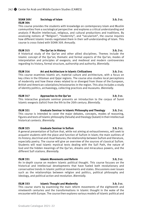### **SOAN 309/ Sociology of Islam 3.0; 3 cr. ISLM 304**

This course provides the students with knowledge on contemporary Islam and Muslim communities from a sociological perspective and explores a critical understanding and analysis if Muslim intellectual, religious, and cultural productions and traditions. By assessing notions of "Religion", "modernity", and "secularism", the course inquires how different Islamic trends negotiated them in their self-understanding of Islam. This course is cross-listed with SOAN 309. *Annually.*

### **ISLM 315 The Qur'an in History 3.0; 3 cr.** A historical study of the Qur'an and other allied disciplines. Themes include the Islamic concept of the Qur'an; thematic and formal aspects of the Qur'an; modes of interpretation and principles of exegesis; and medieval and modern controversies regarding its history, formal structure, authorship and authority. *Biennially.*

## **ISLM 316 Art and Architecture in Islamic Civilizations 3.0; 3 cr.**

This course examines Islamic art, material culture and architecture, with a focus on key cities in the Ottoman and Qajar regions. The course also studies local perceptions of modernity and how these views related to or diverged from those of the European, British and American colonialists/missionaries in the region. This also includes a study of identity politics, archaeology, collecting practices and museums. *Biennially.*

## **ISLM 317 Approaches to the Qur'an 3.0; 3 cr.**

This interactive graduate seminar presents an introduction to the corpus of Sunni Islamic exegesis (tafsir) from the 9th to the 20th century. *Biennially.*

## **ISLM 321 Graduate Seminar in Islamic Philosophy and Theology 3.0; 3 cr.**

This course is intended to cover the major debates, concepts, modes of reasoning, figures and texts of Islamic philosophy (falsafa) and theology (kalam) in their intellectual historical contexts. *Biennially.*

## **ISLM 325 Graduate Seminar in Sufism 3.0; 3 cr.**

A general presentation of Sufism that, while not aiming at exhaustiveness, will seek to acquaint students with the place and function of Sufism in Islam; the main outlines of its history; doctrinal and ritual features; the relationship between Sufism and literature, especially poetry. The course will give an overview of the sources of classical Sufism. Students will read Islamic mystical texts dealing with the Sufi Path, the nature of God and the hidden meanings of the Qur'an, dreams and miraculous powers, and the different Sufi stations. *Biennially.*

## **ISLM 331 Islamic Movements and Reform 3.0; 3 cr.**

An in-depth course on modern Islamic political thought. This course focuses on the historical and intellectual developments that have fueled both revolutionary and conservative trends in Islamic political movements and states. Discussions over issues such as the relationships between religion and politics, political philosophy and ideology, and political action and revolution. *Biennially.*

## **ISLM 333 Islamic Thought and Modernity 3.0; 3 cr.**

This course starts by examining the main reform movements of the eighteenth and nineteenth centuries and the transformations in Islamic thought in the wake of the encounter with Europe. The course then explores various models of Islamic political and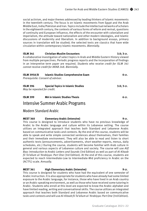social activism, and major themes addressed by leading thinkers of Islamic movements in the twentieth century. The focus is on Islamic movements from Egypt and the Arab Middle East, India/Pakistan and Iran. Topics include the intellectual networks of scholars in the eighteenth century, the contexts of various forms of reform and revival, questions of continuity and European influence, the effects of the encounter with colonialism and imperialism, the attitude toward nationalism and other modern ideologies, and Islamic discussions of modernity and liberalism. In addition to background essays, primary sources in translation will be studied; the selected texts are classics that have wide circulation within contemporary Islamic movements. *Biennially.*

| <b>ISLM 341</b> | <b>Christian-Muslim Encounters</b>              | $3.0:3$ cr.                                                                              |
|-----------------|-------------------------------------------------|------------------------------------------------------------------------------------------|
|                 |                                                 | A collaborative investigation of select topics in Arab and Middle Eastern History viewed |
|                 |                                                 | from multiple perspectives. Periodic progress reports and the incorporation of findings  |
|                 | cannot receive credit for ARAB 248. Biennially. | in an interpretive term paper are required. Students who receive credit for ISLM 341     |
| ICIM 205A/R     | Iclamic Studies Comprehensive Evam              | n er                                                                                     |

|                                                | <b>USERVIS STATES</b> COMPLEMENTS LABIN<br>Prerequisite: Consent of advisor. | v u.         |
|------------------------------------------------|------------------------------------------------------------------------------|--------------|
| <b>ISLM 396</b><br>May be repeated for credit. | <b>Special Topics in Islamic Studies</b>                                     | $3.0; 3$ cr. |
| <b>ISLM 399</b>                                | <b>MA in Islamic Studies Thesis</b>                                          | 6 cr.        |

## Intensive Summer Arabic Programs

Modern Standard Arabic

## **MEST 360 Elementary Arabic (Intensive) 9 cr.** This course is designed to introduce students who have no previous knowledge of Arabic to the Arabic language and culture within its Lebanese setting. The course utilizes an integrated approach that teaches both Standard and Lebanese Arabic based on communicative tasks and contexts. By the end of the course, students will be able to speak and write simple connected sentences about themselves, their families and their immediate environment. They will also be able to read and listen to short authentic texts (announcements, advertisements, short weather reports, menus, daily schedules, etc.) During the course, students will become familiar with Arab culture in general and various aspects of Lebanese culture and society. The course will use *Alif Baa: Introduction to Arabic Letters and Sounds* (3rd Edition) as well as part of *Al-Kitaab fii Ta'allum al-'Arabiyya: Part One* (3rd Edition). At the end of this course, students are expected to reach Intermediate-Low to Intermediate-Mid proficiency in Arabic on the (ACTFL) scale. *Annually.*

## **MEST 361 High Elementary Arabic (Intensive) 9 cr.**

This course is designed for students who have had the equivalent of one semester of Arabic instruction. It is also appropriate for students who have already had some limited exposure to the Arabic language, for instance, those who have lived in an Arab country or an Arabic-speaking environment, as well as those who have received some tutoring in Arabic. Students who enroll at this level are expected to know the Arabic alphabet and have limited reading, writing and conversational skills. The course utilizes an integrated approach that teaches both Standard and Lebanese Arabic based on communicative tasks and contexts and will use *Al-Kitaab fii Ta'allum al-'Arabiyya: Part One* (3rd Edition).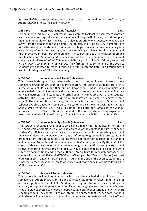By the end of the course, students are expected to reach Intermediate-Mid proficiency in Arabic following the ACTFL scale. *Annually.*

## **MEST 362 Intermediate Arabic (Intensive) 9 cr.**

This course is designed for students who have completed at least two semesters of Arabic in an academic setting but whose placement results require that they go at a slower pace than the intermediate class. The course is also appropriate for students who have been away from the language for some time. The objectives of this course, in general, are to further develop the students' skills and strategies, expand active vocabulary in a wide variety of topics and settings, enhance knowledge of basic Arabic grammar, and further develop intercultural competence. The course utilizes an integrated approach that teaches both Standard and Lebanese Arabic based on communicative tasks and contexts and will use *Al-Kitaab fii Ta'allum al-'Arabiyya: Part One* (3rd Edition) and a part of *Al-Kitaab fii Ta'allum al-'Arabiyya: Part Two* (3rd Edition). By the end of the course, students are expected to reach Intermediate-Mid to Intermediate-High proficiency in Arabic following the ACTFL scale. *Annually.*

### **MEST 363 Intermediate Mid Arabic (Intensive) 9 cr.**

This course is designed for students who have had the equivalent of two to three semesters of Arabic instruction. The course aims to further enhance students' proficiency in the various skills, expand their cultural knowledge, expand their vocabulary, and enhance their control of grammatical structures and pronunciation. All communications between instructors and students are carried out strictly in Arabic. Part of the students' activities at this level involves giving oral presentations and doing a lengthy writing project. The course utilizes an integrated approach that teaches both Standard and Lebanese Arabic based on communicative tasks and contexts and will use *Al-Kitaab fii Ta'allum al-'Arabiyya: Part Two* (3rd Edition) and parts of *Al-Kitaab fii Ta'allum al- 'Arabiyya: Part Two* (2nd Edition). By the end of the course, students are expected to reach Intermediate-High proficiency in Arabic following the ACTFL scale. *Annually.*

## **MEST 364 Intermediate High Arabic (Intensive) 9 cr.**

This course is designed for students who have already had the equivalent of four to five semesters of Arabic instruction. The objective of the course is to further enhance students' proficiency in the various skills, expand their cultural knowledge, expand their vocabulary, and enhance their control of complex grammatical structures and pronunciation. The course utilizes an integrated approach that teaches both Standard and Lebanese Arabic based on communicative tasks and contexts. By the end of the class, students are expected to comprehend lengthy authentic listening material and to give long oral presentations with facility. They are also expected to be able to write extensive compositions and to read authentic Arabic texts for research purposes. The course will use part of *Al-Kitaab fii Ta'allum al-'Arabiyya: Part Two* (2nd Edition) and part of *Al-Kitaab fii Ta'allum al-'Arabiyya: Part Three*. By the end of the course, students are expected to reach Advanced-Low to Advanced-Mid proficiency in Arabic following the ACTFL scale. *Annually.*

## **MEST 365 Advanced Arabic (Intensive) 9 cr.**

This course is designed for students who have already had the equivalent of six semesters of Arabic instruction. It aims to enable students to reach higher levels of advanced proficiency in all skills. Students are required to do extensive readings on a variety of topics and genres, such as literature, language and the social sciences. They are also expected to engage in debates, give oral presentations and write short research papers. The course utilizes an integrated approach that teaches both Standard and Lebanese Arabic based on communicative tasks and contexts and will use *Al-Kitaab*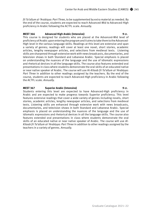*fii Ta'allum al-'Arabiyya: Part Three*, to be supplemented by extra material as needed. By the end of the course, students are expected to reach Advanced-Mid to Advanced-High proficiency in Arabic following the ACTFL scale. *Annually.*

## **MEST 366 Advanced High Arabic (Intensive) 9 cr.**

This course is designed for students who are placed at the Advanced-Mid level of proficiency of Arabic upon entering the program and it aims to take them to the Advanced-High level in the various language skills. Readings at this level are extensive and span a variety of genres; readings will cover at least one novel, short stories, academic articles, lengthy newspaper articles, and selections from medieval texts. Listening skills are sharpened through extensive work with news broadcasts, documentaries, and television shows in both Standard and Lebanese Arabic. Special emphasis is placed on understanding the nuances of the language and the use of idiomatic expressions and rhetorical devices in all the language skills. The course also features extended oral presentations in class where students demonstrate the oral skills of an educated native or near native speaker of Arabic. The course will use Al-*Kitaab fii Ta'allum al-'Arabiyya: Part Three* in addition to other readings assigned by the teachers. By the end of the course, students are expected to reach Advanced-High proficiency in Arabic following the ACTFL scale. *Annually.*

## **MEST 367 Superior Arabic (Intensive) 9 cr.**

Students entering this level are expected to have Advanced-High proficiency in Arabic and are expected to make progress towards Superior proficiency. This level features extensive readings that cover a wide variety of genres including novels, short stories, academic articles, lengthy newspaper articles, and selections from medieval texts. Listening skills are enhanced through extensive work with news broadcasts, documentaries, and television shows in both Standard and Lebanese Arabic. Special emphasis is placed on understanding the nuances of the language and the use of idiomatic expressions and rhetorical devices in all the language skills. The course also features extended oral presentations in class where students demonstrate the oral skills of an educated native or near native speaker of Arabic. The course will use *Al-Kitaab fii Ta'allum al-'Arabiyya: Part Three* in addition to other readings assigned by the teachers in a variety of genres. *Annually.*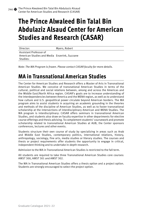# **The Prince Alwaleed Bin Talal Bin Abdulaziz Alsaud Center for American Studies and Research (CASAR)**

Director: Myers, Robert Assistant Professor of American Studies and Media Enzerink, Suzzane Studies:

*Note: The MA Program is frozen. Please contact CASAR faculty for more details.*

# **MA in Transnational American Studies**

The Center for American Studies and Research offers a Master of Arts in Transnational American Studies. We conceive of transnational American Studies in terms of the cultural, political and social relations between, among and across the Americas and the Middle East/North Africa region. CASAR's goals are to increase understanding of the interdependencies between America and the MENA region, as well as to understand how culture and U.S. geopolitical power circulate beyond American borders. The MA program aims to assist students in acquiring an academic grounding in the theories and methods of the discipline of American Studies, as well as to foster transnational scholarship at the intersections of interdisciplinary American and MENA Studies. The MA program is interdisciplinary: CASAR offers seminars in transnational American Studies, and students also draw on faculty expertise in other departments for elective course offerings and thesis advising. To complement students' coursework and promote scholarship related to transnational American Studies at AUB, the Center sponsors conferences, lectures and other events.

Students structure their own course of study by specializing in areas such as Arab and Middle East Studies, contemporary politics, international relations, history, anthropology, sociology, fine arts, media studies or literary studies. The courses and thesis or project requirements offer students the opportunity to engage in critical, independent thinking and to undertake in-depth research.

Admission to the MA in Transnational American Studies is restricted to the fall term.

All students are required to take three Transnational American Studies core courses: AMST 300, AMST 301 and AMST 302.

The MA in Transnational American Studies offers a thesis option and a project option. Students are strongly encouraged to select the project option.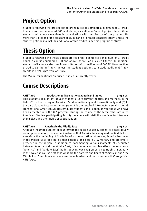## **Project Option**

Students following the project option are required to complete a minimum of 27 credit hours in courses numbered 300 and above, as well as a 3-credit project. In addition, students will choose electives in consultation with the director of the program. No more than 3 credits of the program of study can be in Arabic language study, unless the student petitions to include additional Arabic credits in her/his program of study.

## **Thesis Option**

Students following the thesis option are required to complete a minimum of 21 credit hours in courses numbered 300 and above, as well as a 9-credit thesis. In addition, students will choose electives in consultation with the director of CASAR. No more than 3 credits can be in Arabic, unless the student petitions to include additional Arabic credits in her/his program of study.

The MA in Transnational American Studies is currently frozen.

### **Course Descriptions**

**AMST 300 Introduction to Transnational American Studies 3.0; 3 cr.** This graduate seminar introduces students (1) to current theories and methods in the field, (2) to the history of American Studies nationally and transnationally and (3) to the participating faculty in the program. It is the required introductory seminar for all Transnational American Studies graduate students and is open only to those who have been accepted into the MA program. During the course of the term, other affiliated American Studies participating faculty members will visit the seminar to introduce themselves and their fields of specialization.

#### **AMST 301 America in the Middle East 3.0; 3 cr.**

Although the United States' encounter with the Middle East may appear to be a relatively recent phenomenon, this course illustrates that America has imagined the Middle East ever since the beginning of North American colonization. Moreover, America has been in the Middle East for a period that extends long before U.S. military and diplomatic presence in the region. In addition to documenting various moments of encounter between America and the Middle East, this course also problematizes the very terms "America" and "Middle East" by introducing each region as a geographic imaginary. In this way, the course first asks what are the borders and limits of "America" and "the Middle East" and how and when are these borders and limits produced? *Prerequisite: AMST 300.*

#### $247$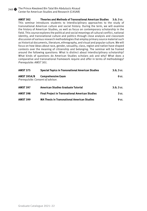#### 248 The Prince Alwaleed Bin Talal Bin Abdulaziz Alsaud Center for American Studies and Research (CASAR)

**AMST 302 Theories and Methods of Transnational American Studies 3.0; 3 cr.** This seminar introduces students to interdisciplinary approaches to the study of transnational American culture and social history. During the term, we will examine the history of American Studies, as well as focus on contemporary scholarship in the field. This course explores the political and social meanings of cultural conflict, national identity, and transnational culture and politics through close analysis and classroom discussion of various research methodologies that employ primary source material such as historical documents, literature, ethnography, and visual and popular culture. We will focus on how ideas about race, gender, sexuality, class, region and nation have shaped contests over the meaning of citizenship and belonging. The seminar will be framed around the following questions: What is distinct about interdisciplinary scholarship? What kinds of questions do American Studies scholars ask and why? What does a comparative and transnational framework require and offer in terms of methodology? *Prerequisite: AMST 301.*

| <b>AMST 375</b> | <b>Special Topics in Transnational American Studies</b>        | $3.0:3$ cr.  |
|-----------------|----------------------------------------------------------------|--------------|
| AMST 395A/B     | <b>Comprehensive Exam</b><br>Prerequisite: Consent of advisor. | 0 cr.        |
| <b>AMST 397</b> | <b>American Studies Graduate Tutorial</b>                      | $3.0; 3$ cr. |
| <b>AMST 398</b> | <b>Final Project in Transnational American Studies</b>         | 3 cr.        |
| <b>AMST 399</b> | <b>MA Thesis in Transnational American Studies</b>             | 9 cr.        |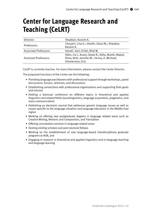# **Center for Language Research and Teaching (CeLRT)**

| Director:             | Shaaban, Kassim A.                                                                                                      |
|-----------------------|-------------------------------------------------------------------------------------------------------------------------|
| Professors:           | Choueiri, Lina G.; Ghaith, Ghazi M.; Shaaban,<br>Kassim A.                                                              |
| Associate Professors: | Hanafi, Sari; Orfali, Bilal W.                                                                                          |
| Assistant Professors: | Allen, Ira J.; Avant, Doyle R.; Kelly, Niamh; Majed,<br>Rima; Nish, Jennifer M.; Vermy, A. Michael;<br>Zimmerman, Erin. |

CeLRT is currently inactive. For more information, please contact the Center Director.

The proposed functions of the Center are the following:

- Providing language practitioners with professional support through workshops, panel discussions, forums, seminars, and discussions
- Establishing connections with professional organizations and supporting their goals and mission
- Holding a biannual conference on different topics in theoretical and applied linguistics and related fields (sociolinguistics, language acquisition, pragmatics, and mass communication)
- Publishing an electronic journal that addresses generic language issues as well as issues specific to the language situation and language education in the Middle East region
- Working on offering new postgraduate degrees in language related areas such as Creative Writing, Rhetoric and Composition, and Translation
- Offering consultation services in language-related areas
- Hosting visiting scholars and post-doctoral fellows
- Working on the establishment of new language-based interdisciplinary graduate programs at AUB, and
- Engaging in research in theoretical and applied linguistics and in language teaching and language learning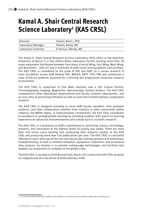# **Kamal A. Shair Central Research Science Laboratory1 (KAS CRSL)**

| Director:             | Oweini, Rami i, PhD  |
|-----------------------|----------------------|
| Laboratory Manager:   | Shatila, Rania, MS   |
| Laboratory Scientist: | El Khoury, Wendy, MS |

The Kamal A. Shair Central Research Science Laboratory (KAS CRSL) at the American University of Beirut is a five-million-dollar laboratory facility housing more than 30 major equipment distributed between Four Areas (Central Wing, East Wing, West Wing, and Basement:  $\sim$  400 m<sup>2</sup>) and a multitude of other multi-user equipment and facilities. The KAS CRSL is considered as the pride of FAS and AUB, as it serves research in most disciplines across AUB (mainly FAS, MSFEA, FAFS, FHS, FM) and constitutes a state of-the-art platform essential for a thriving and progressive university research environment.

The KAS CRSL is comprised of Five Main Sections and a Cell Culture Facility: Chromatography, Imaging, Magnetism, Spectroscopy, Surface Science. The KAS CRSL complements other specialized departmental and faculty research laboratories, and as such aims at promoting individual as well as joint and multidisciplinary cooperative research.

The KAS CRSL is designed primarily to serve AUB faculty members, their graduate students, and their collaborators whether from industry or other universities within Lebanon, the MENA region, or internationally. Furthermore, the KAS CRSL contributes to excellence in undergraduate teaching by providing students with hands-on learning experience on advanced instrumentations and a head-start in scientific research.

The KAS CRSL is a testimony to AUB's commitment in advancing science, technology, research, and innovation at the highest levels of quality and safety. There are more than 250 active users working and conducting their research studies at the KAS CRSL and producing more than 116 publications per year. The KAS CRSL is constantly offering its users with top-of-the-line and day-to-day training sessions and workshops, troubleshooting, as well as method validation, equipment calibration, and occasional data analysis. Its mission is to provide cutting-edge technologies and facilities that enables our researchers to compete on the global scale.

The KAS CRSL is located in Emile Bustani Hall, Room 120. Contact the KAS CRSL by email at crsl@aub.edu.lb or by phone at AUB extension 4300.

<sup>1</sup> An overview of the KAS CRSL facilities and activities can be found on its website: www.aub.edu.lb/fas/crsl.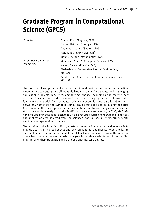# **Graduate Program in Computational Science (GPCS)**

| Director:           | Touma, Jihad (Physics, FAS)                                   |
|---------------------|---------------------------------------------------------------|
|                     | Dohna, Heinrich (Biology, FAS)                                |
|                     | Doummar, Joanna (Geology, FAS)                                |
|                     | Kazan, Michel (Physics, FAS)                                  |
|                     | Monni, Stefano (Mathematics, FAS)                             |
| Executive Committee | Mouawad, Amer A. (Computer Science, FAS)                      |
| Members:            | Najem, Sara A. (Physics, FAS)                                 |
|                     | Shehadeh, Mu'tasem (Mechanical Engineering,<br>MSFEA)         |
|                     | Zaraket, Fadi (Electrical and Computer Engineering,<br>MSFEA) |

The practice of computational science combines domain expertise in mathematical modeling and computing disciplines as vital tools in solving fundamental and challenging application problems in science, engineering, finance, economics and recently new disciplines in health and medical sciences. The scope of the program curriculum includes fundamental material from computer science (sequential and parallel algorithms, networks), numerical and symbolic computing, discrete and continuous mathematics (logic, number theory, graphs, differential equations and Fourier analysis, optimization, statistics and data analysis), and scientific software environments (UNIX, C, MATLAB, MPI and OpenMP, statistical packages). It also requires sufficient knowledge in at least one application area selected from the sciences (natural, social, engineering, health medical, management and finance).

The mission of the interdisciplinary master's program in computational science is to provide a sufficiently broad educational environment that qualifies its holders to design and implement computational models in at least one application area. The program offers two tracks: a research master's degree for students who intend to join a PhD program after their graduation and a professional master's degree.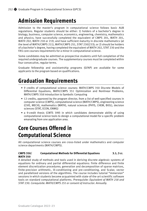### **Admission Requirements**

Admission to the master's program in computational science follows basic AUB regulations. Regular students should be either: 1) holders of a bachelor's degree in biology, business, computer science, economics, engineering, chemistry, mathematics and physics; have successfully completed the equivalent of CMPS 201, MATH 201, MATH 202, MATH 218 or 219; and have sufficient maturity in discrete mathematics (at the level of MATH/CMPS 211), MATH/CMPS 251, STAT 230(233); or 2) should be holders of a bachelor's degree, having completed the equivalent of MATH 202, STAT 230 and the FAS core courses requirements for a minor in computational science.

Some candidates may be admitted as prospective students until full completion of the required undergraduate courses. The supplementary courses must be completed within four consecutive, regular terms.

Graduate fellowship and assistantship programs (GFAP) are available for some applicants to the program based on qualifications.

### **Graduation Requirements**

- 9 credits of computational science courses: MATH/CMPS 350 Discrete Models of Differential Equations, MATH/CMPS 351 Optimization and Nonlinear Problems, MATH/CMPS 358 Introduction to Symbolic Computing
- 12 credits, approved by the program director, from a list of well-specified courses in computer science (CMPS), computational science (MATH/CMPS), engineering science (CIVE, MECH), mathematics (MATH), natural sciences (PHYS, CHEM, BIOL), decision sciences (STAT, ECON, ENMG)
- a 9-credit thesis (CMTS 399) in which candidates demonstrate ability of using computational science tools to design a computational model for a specific problem emanating from one application area.

## **Core Courses Offered in Computational Science**

All computational science courses are cross-listed under mathematics and computer science departments (MATH/CMPS).

#### **CMPS 350/ Computational Methods for Differential Equations 3.1; 3 cr. MATH 350**

A detailed study of methods and tools used in deriving discrete algebraic systems of equations for ordinary and partial differential equations: finite difference and finite element discretization procedures; generation and decomposition of sparse matrices, finite-precision arithmetic, ill-conditioning and pre-conditioning, and Scalar, vector and parallelized versions of the algorithms. The course includes tutorial "immersion" sessions in which students become acquainted with state-of-the-art scientific software tools on standard computational platforms. *Prerequisite: Equivalent of MATH 218 and STAT 230. Corequisite: MATH/CMPS 251 or consent of instructor. Annually.*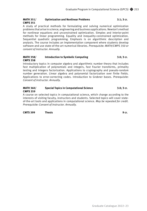#### **MATH 351/ Optimization and Nonlinear Problems 3.1; 3 cr. CMPS 351**

A study of practical methods for formulating and solving numerical optimization problems that arise in science, engineering and business applications. Newton's method for nonlinear equations and unconstrained optimization. Simplex and interior-point methods for linear programming. Equality and inequality-constrained optimization. Sequential quadratic programming. Emphasis is on algorithmic description and analysis. The course includes an implementation component where students develop software and use state-of-the-art numerical libraries. *Prerequisite: MATH/CMPS 350 or consent of instructor. Annually.*

#### **MATH 358/ Introduction to Symbolic Computing 3.0; 3 cr. CMPS 358**

Introductory topics in computer algebra and algorithmic number theory that includes fast multiplication of polynomials and integers, fast Fourier transforms, primality testing and integers factorization. Applications to cryptography and pseudo-random number generation. Linear algebra and polynomial factorization over finite fields. Applications to error-correcting codes. Introduction to Grobner bases. *Prerequisite: Consent of instructor. Annually.* 

#### **MATH 360/ Special Topics in Computational Science 3.0; 3 cr. CMPS 359**

A course on selected topics in computational science, which change according to the interests of visiting faculty, instructors and students. Selected topics will cover stateof-the-art tools and applications in computational science. *May be repeated for credit. Prerequisite: Consent of instructor. Annually.*

**CMTS 399** Thesis 9 cr.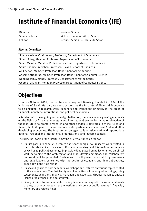# **Institute of Financial Economics (IFE)**

| Director:       | Neaime. Simon                       |
|-----------------|-------------------------------------|
| Senior Fellows: | Makdisi, Samir A.; Altug, Sumru     |
| Fellows:        | Neaime, Simon E.; El Joueidi, Sarah |

#### **Steering Committee**

| Simon Neaime, Chairperson, Professor, Department of Economics       |
|---------------------------------------------------------------------|
| Sumru Altug, Member, Professor, Department of Economics             |
| Samir Makdisi, Member, Professor Emeritus, Department of Economics  |
| Selim Chahine, Member, Professor, Olavan School of Business         |
| Ali Chehab, Member, Professor, Department of Engineering            |
| Assem Safieddine, Member, Professor, Department of Computer Science |
| Nabil Nassif, Member, Professor, Department of Mathematics          |
| George Turkiyyah, Member, Professor, Department of Computer Science |

## **Objectives**

Effective October 2001, the Institute of Money and Banking, founded in 1984 at the initiative of Samir Makdisi, was restructured as the Institute of Financial Economics to be engaged in research work, seminars and workshops primarily in the areas of financial, monetary, international and political economics.

In tandem with the ongoing process of globalization, there has been a growing emphasis on the fields of financial, monetary and international economics. A major objective of the Institute is to promote research and other academic activities in these fields and thereby build it up into a major research center particularly as concerns Arab and other developing economies. The Institute encourages collaborative work with appropriate national, regional and international organizations, and research centers.

The principal goals of the Institute may be briefly outlined as follows:

- Its first goal is to conduct, organize and sponsor high-level research work related in particular (but not exclusively) to financial, monetary and international economics as well as to political economy. Emphasis will be placed on policy-oriented empirical work pertaining to the Arab region and other developing areas, and collaborative teamwork will be promoted. Such research will prove beneficial to governments and organizations concerned with the design of economic and financial policies, especially in the Arab region.
- Its second goal is to hold seminars, workshops and lectures on various topics related to the above areas. The first two types of activities will, among other things, bring together academicians, financial managers and experts, and policy makers to analyze issues of relevance at the policy level.
- Finally, it aims to accommodate visiting scholars and experts, for various intervals of time, to conduct research at the Institute and sponsor public lectures in financial, monetary and related fields.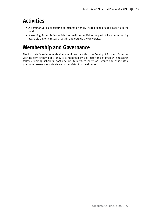## **Activities**

- A Seminar Series consisting of lectures given by invited scholars and experts in the field.
- A Working Paper Series which the Institute publishes as part of its role in making available ongoing research within and outside the University.

## **Membership and Governance**

The Institute is an independent academic entity within the Faculty of Arts and Sciences with its own endowment fund. It is managed by a director and staffed with research fellows, visiting scholars, post-doctoral fellows, research assistants and associates, graduate research assistants and an assistant to the director.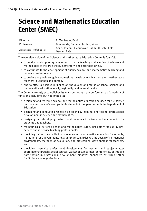# **Science and Mathematics Education Center (SMEC)**

| Director:             | El Mouhayar, Rabih                                             |
|-----------------------|----------------------------------------------------------------|
| Professors:           | Boulaoude, Saouma; Jurdak, Murad                               |
| Associate Professors: | Amin, Tamer; El Mouhavar, Rabih; Khishfe, Rola;<br>Osman, Enja |

The overall mission of the Science and Mathematics Education Center is four-fold:

- to conduct and support quality research on the teaching and learning of science and mathematics at the pre-school, elementary, and secondary levels,
- to contribute to the development of quality science and mathematics teaching and research professionals,
- to design and provide ongoing professional development for science and mathematics teachers in Lebanon and abroad,
- and to effect a positive influence on the quality and status of school science and mathematics education locally, regionally, and internationally.

The Center currently accomplishes its mission through the performance of a variety of functions including, but not limited to:

- designing and teaching science and mathematics education courses for pre-service teachers and master's level graduate students in cooperation with the Department of Education,
- designing and conducting research on teaching, learning, and teacher professional development in science and mathematics,
- designing and developing instructional materials in science and mathematics for students and teachers,
- maintaining a current science and mathematics curriculum library for use by preservice and in-service teaching professionals,
- providing outreach consultation in science and mathematics education for schools, institutions, and governments regarding curriculum design, the design of instructional environments, methods of evaluation, and professional development for teachers, and
- providing in-service professional development for teachers and subject-matter coordinators through special courses, workshops, institutes, conferences, or through participation in professional development initiatives sponsored by AUB or other institutions and organizations.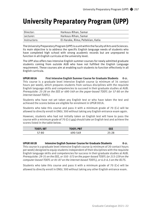# **University Preparatory Program (UPP)**

| Director:    | Harkous-Rihan, Samar              |
|--------------|-----------------------------------|
| Lecturer:    | Harkous-Rihan, Samar              |
| Instructors: | El-Harake, Rima; Peltekian, Katia |

The University Preparatory Program (UPP) is a unit within the Faculty of Arts and Sciences. Its main objective is to address the specific English language needs of students who have completed high school with strong academic records but are unprepared to function in all-English curricula at the university level.

The UPP also offers two intensive English summer courses for newly admitted graduate students coming from outside AUB who have not fulfilled the English Language requirement. These courses aim at enabling such students to function effectively in all English curricula.

**UPGR 001A First Intensive English Summer Course for Graduate Students 0 cr.** This course is a graduate level intensive English course (a minimum of 34 contact hours per week), which prepares students from various disciplines with the requisite English language skills and competencies to succeed in their graduate studies at AUB. *Prerequisite: 25-28 on the EEE or 490-549 on the paper-based TOEFL (or 57-80 on the internet-based TOEFL).*

Students who have not yet taken any English test or who have taken the test and achieved the scores below are eligible for enrolment in UPGR 001A.

Students who take this course and pass it with a minimum grade of 70 (C+) will be allowed to directly enroll in ENGL 300 without taking any English entrance exam again.

However, students who had not initially taken an English test will have to pass the course with a minimum grade of 70  $(C+)$  and should take an English test and achieve the scores listed in the table below.

| <b>TOEFLIBT</b> | <b>TOEFL PBT</b> | --- |
|-----------------|------------------|-----|
|                 |                  |     |

**UPGR 001B Intensive English Summer Course for Graduate Students 0 cr.** This course is a graduate level intensive English course (a minimum of 20 contact hours per week) designed to equip students independent of their disciplines with the requisite English language skills and competencies for success in their graduate studies at AUB. *Prerequisite: 29-31 on the EEE, or 550 -572 on the paper-based TOEFL (or 213-229 on the computer-based TOEFL or 81-87 on the internet-based TOEFL), or 6.0-6.5 on the IELTS.*

Students who take this course and pass it with a minimum grade of 70 (C+) will be allowed to directly enroll in ENGL 300 without taking any other English entrance exam.